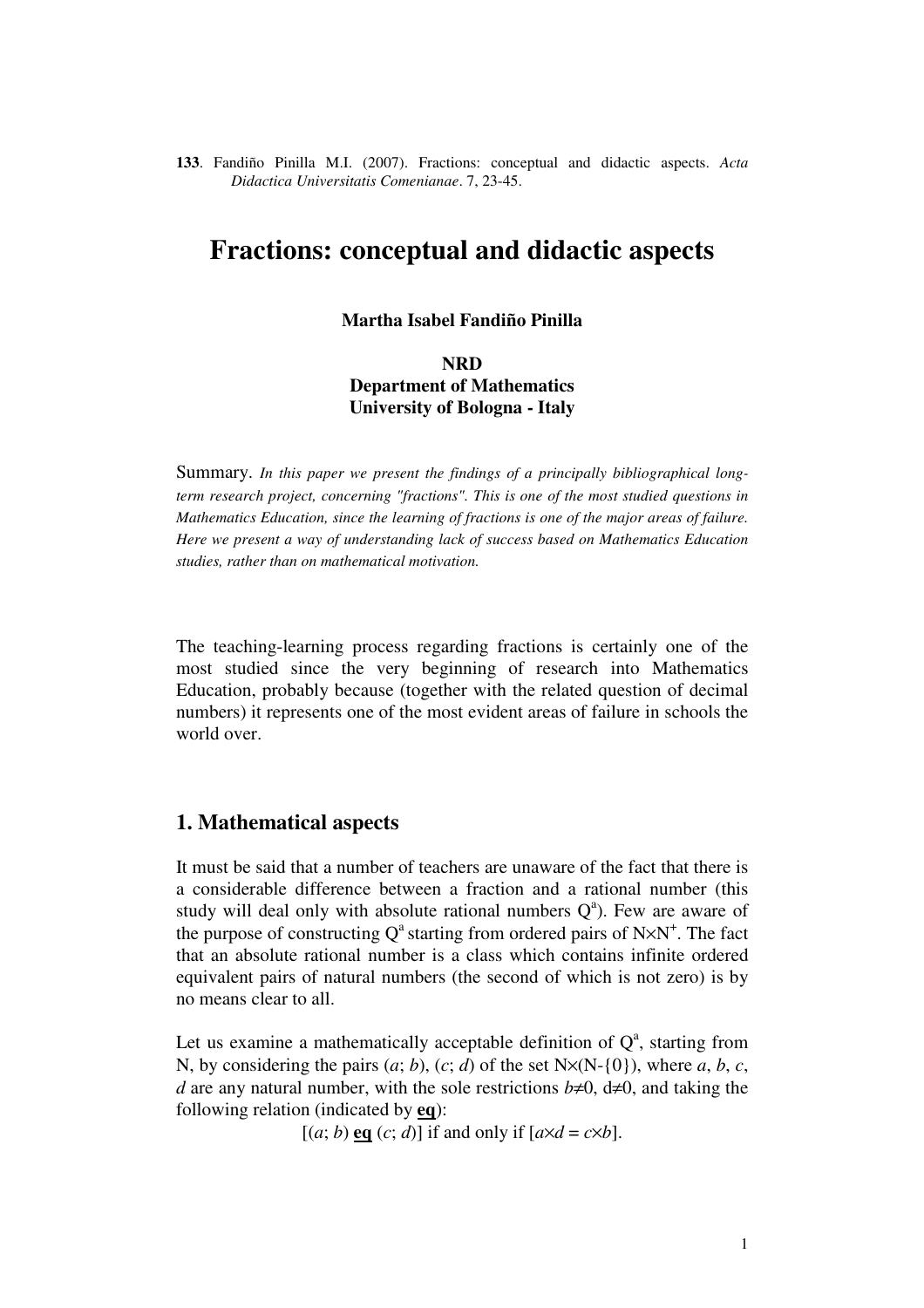**133**. Fandiño Pinilla M.I. (2007). Fractions: conceptual and didactic aspects. *Acta Didactica Universitatis Comenianae*. 7, 23-45.

# **Fractions: conceptual and didactic aspects**

### **Martha Isabel Fandiño Pinilla**

# **NRD Department of Mathematics University of Bologna - Italy**

Summary. *In this paper we present the findings of a principally bibliographical longterm research project, concerning "fractions". This is one of the most studied questions in Mathematics Education, since the learning of fractions is one of the major areas of failure. Here we present a way of understanding lack of success based on Mathematics Education studies, rather than on mathematical motivation.*

The teaching-learning process regarding fractions is certainly one of the most studied since the very beginning of research into Mathematics Education, probably because (together with the related question of decimal numbers) it represents one of the most evident areas of failure in schools the world over.

## **1. Mathematical aspects**

It must be said that a number of teachers are unaware of the fact that there is a considerable difference between a fraction and a rational number (this study will deal only with absolute rational numbers  $Q<sup>a</sup>$ ). Few are aware of the purpose of constructing  $Q^a$  starting from ordered pairs of N $\times$ N<sup>+</sup>. The fact that an absolute rational number is a class which contains infinite ordered equivalent pairs of natural numbers (the second of which is not zero) is by no means clear to all.

Let us examine a mathematically acceptable definition of  $Q^a$ , starting from N, by considering the pairs  $(a; b)$ ,  $(c; d)$  of the set  $N \times (N - \{0\})$ , where  $a, b, c$ , *d* are any natural number, with the sole restrictions  $b \neq 0$ ,  $d \neq 0$ , and taking the following relation (indicated by **eq**):

 $[(a; b) \text{ eq } (c; d)]$  if and only if  $[a \times d = c \times b]$ .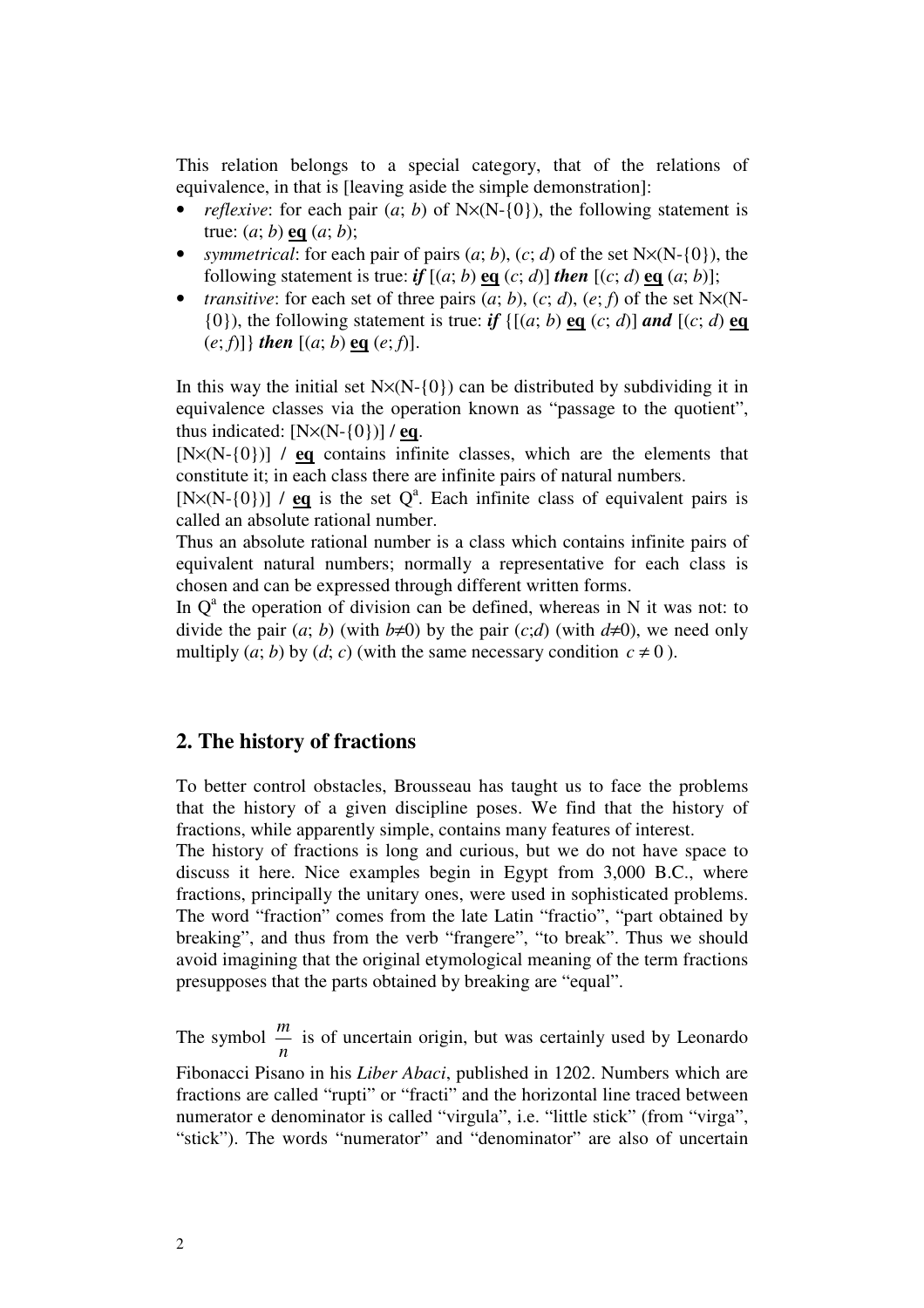This relation belongs to a special category, that of the relations of equivalence, in that is [leaving aside the simple demonstration]:

- *reflexive*: for each pair  $(a, b)$  of  $N \times (N \{0\})$ , the following statement is true: (*a*; *b*) **eq** (*a*; *b*);
- *symmetrical:* for each pair of pairs  $(a; b)$ ,  $(c; d)$  of the set N $\times$ (N-{0}), the following statement is true: *if*  $[(a, b) \neq (c, d)]$  *then*  $[(c, d) \neq (a, b)]$ ;
- *transitive*: for each set of three pairs  $(a, b)$ ,  $(c, d)$ ,  $(e, f)$  of the set N $\times$ (N-{0}), the following statement is true: *if* {[(*a*; *b*) **eq** (*c*; *d*)] *and* [(*c*; *d*) **eq** (*e*; *f*)]} *then* [(*a*; *b*) **eq** (*e*; *f*)].

In this way the initial set  $N \times (N-10)$  can be distributed by subdividing it in equivalence classes via the operation known as "passage to the quotient", thus indicated:  $[N \times (N - \{0\})]/eq$ .

[N×(N-{0})] / **eq** contains infinite classes, which are the elements that constitute it; in each class there are infinite pairs of natural numbers.

[N $\times$ (N-{0})] / **eq** is the set Q<sup>a</sup>. Each infinite class of equivalent pairs is called an absolute rational number.

Thus an absolute rational number is a class which contains infinite pairs of equivalent natural numbers; normally a representative for each class is chosen and can be expressed through different written forms.

In  $Q^a$  the operation of division can be defined, whereas in N it was not: to divide the pair  $(a, b)$  (with  $b \neq 0$ ) by the pair  $(c,d)$  (with  $d\neq 0$ ), we need only multiply  $(a; b)$  by  $(d; c)$  (with the same necessary condition  $c \neq 0$ ).

# **2. The history of fractions**

To better control obstacles, Brousseau has taught us to face the problems that the history of a given discipline poses. We find that the history of fractions, while apparently simple, contains many features of interest.

The history of fractions is long and curious, but we do not have space to discuss it here. Nice examples begin in Egypt from 3,000 B.C., where fractions, principally the unitary ones, were used in sophisticated problems. The word "fraction" comes from the late Latin "fractio", "part obtained by breaking", and thus from the verb "frangere", "to break". Thus we should avoid imagining that the original etymological meaning of the term fractions presupposes that the parts obtained by breaking are "equal".

The symbol *n m* is of uncertain origin, but was certainly used by Leonardo

Fibonacci Pisano in his *Liber Abaci*, published in 1202. Numbers which are fractions are called "rupti" or "fracti" and the horizontal line traced between numerator e denominator is called "virgula", i.e. "little stick" (from "virga", "stick"). The words "numerator" and "denominator" are also of uncertain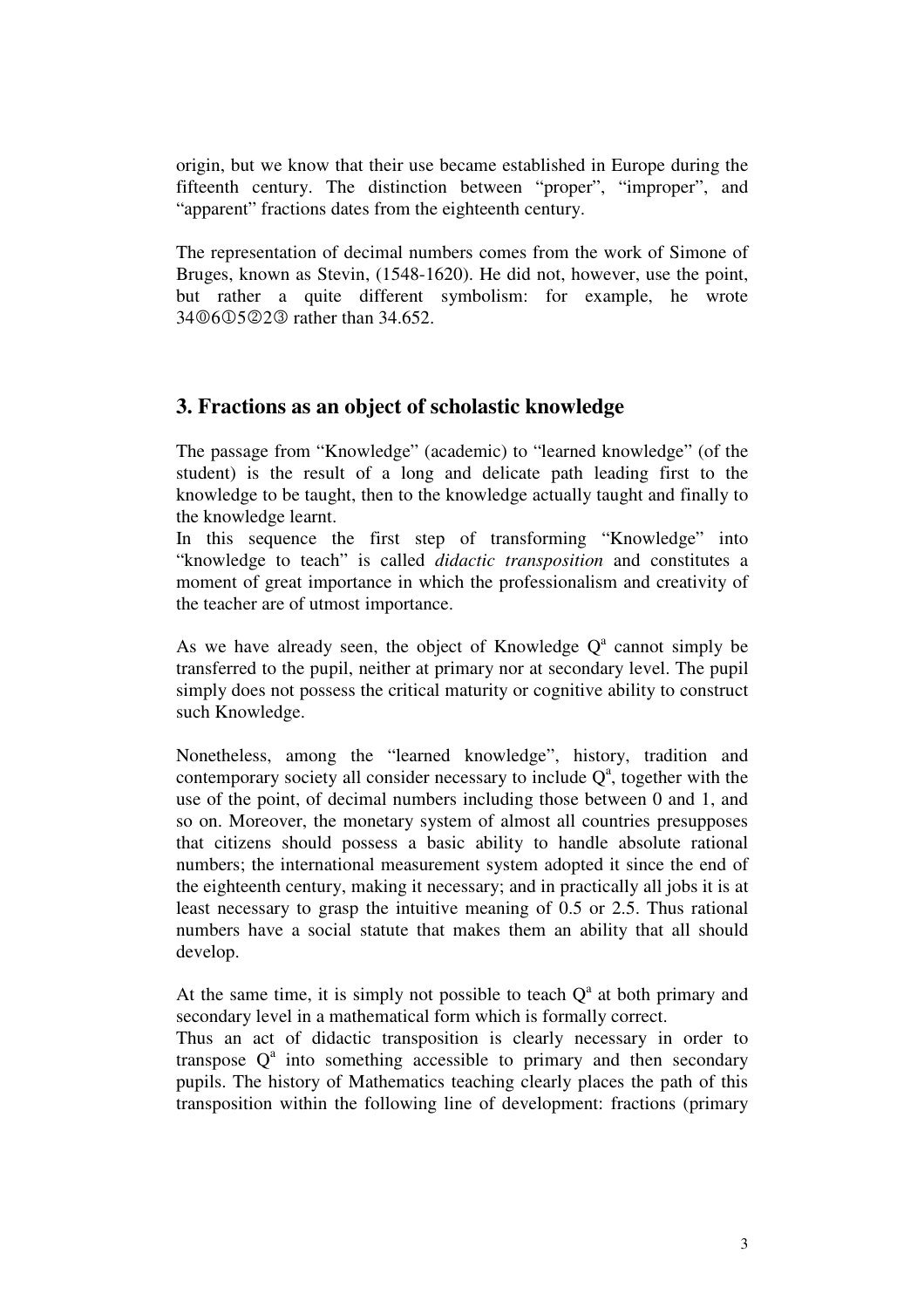origin, but we know that their use became established in Europe during the fifteenth century. The distinction between "proper", "improper", and "apparent" fractions dates from the eighteenth century.

The representation of decimal numbers comes from the work of Simone of Bruges, known as Stevin, (1548-1620). He did not, however, use the point, but rather a quite different symbolism: for example, he wrote 34 © 6 © 5 © 2 © rather than 34.652.

# **3. Fractions as an object of scholastic knowledge**

The passage from "Knowledge" (academic) to "learned knowledge" (of the student) is the result of a long and delicate path leading first to the knowledge to be taught, then to the knowledge actually taught and finally to the knowledge learnt.

In this sequence the first step of transforming "Knowledge" into "knowledge to teach" is called *didactic transposition* and constitutes a moment of great importance in which the professionalism and creativity of the teacher are of utmost importance.

As we have already seen, the object of Knowledge  $Q<sup>a</sup>$  cannot simply be transferred to the pupil, neither at primary nor at secondary level. The pupil simply does not possess the critical maturity or cognitive ability to construct such Knowledge.

Nonetheless, among the "learned knowledge", history, tradition and contemporary society all consider necessary to include  $Q<sup>a</sup>$ , together with the use of the point, of decimal numbers including those between 0 and 1, and so on. Moreover, the monetary system of almost all countries presupposes that citizens should possess a basic ability to handle absolute rational numbers; the international measurement system adopted it since the end of the eighteenth century, making it necessary; and in practically all jobs it is at least necessary to grasp the intuitive meaning of 0.5 or 2.5. Thus rational numbers have a social statute that makes them an ability that all should develop.

At the same time, it is simply not possible to teach  $Q<sup>a</sup>$  at both primary and secondary level in a mathematical form which is formally correct.

Thus an act of didactic transposition is clearly necessary in order to transpose  $Q^a$  into something accessible to primary and then secondary pupils. The history of Mathematics teaching clearly places the path of this transposition within the following line of development: fractions (primary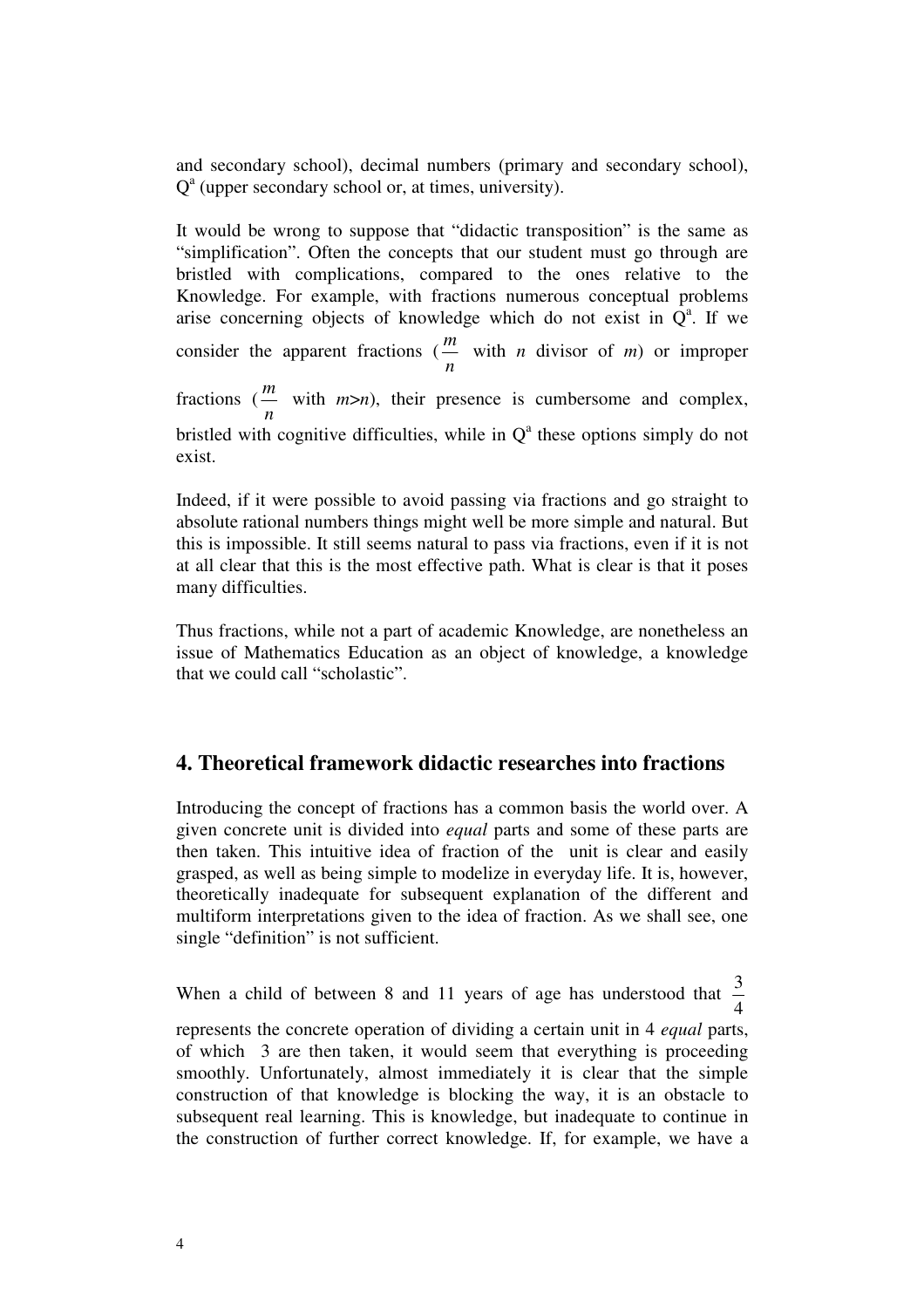and secondary school), decimal numbers (primary and secondary school), Q<sup>a</sup> (upper secondary school or, at times, university).

It would be wrong to suppose that "didactic transposition" is the same as "simplification". Often the concepts that our student must go through are bristled with complications, compared to the ones relative to the Knowledge. For example, with fractions numerous conceptual problems arise concerning objects of knowledge which do not exist in  $Q^a$ . If we consider the apparent fractions ( *n m* with *n* divisor of *m*) or improper fractions ( *n m* with *m*>*n*), their presence is cumbersome and complex, bristled with cognitive difficulties, while in  $Q<sup>a</sup>$  these options simply do not exist.

Indeed, if it were possible to avoid passing via fractions and go straight to absolute rational numbers things might well be more simple and natural. But this is impossible. It still seems natural to pass via fractions, even if it is not at all clear that this is the most effective path. What is clear is that it poses many difficulties.

Thus fractions, while not a part of academic Knowledge, are nonetheless an issue of Mathematics Education as an object of knowledge, a knowledge that we could call "scholastic".

# **4. Theoretical framework didactic researches into fractions**

Introducing the concept of fractions has a common basis the world over. A given concrete unit is divided into *equal* parts and some of these parts are then taken. This intuitive idea of fraction of the unit is clear and easily grasped, as well as being simple to modelize in everyday life. It is, however, theoretically inadequate for subsequent explanation of the different and multiform interpretations given to the idea of fraction. As we shall see, one single "definition" is not sufficient.

When a child of between 8 and 11 years of age has understood that 4 3 represents the concrete operation of dividing a certain unit in 4 *equal* parts,

of which 3 are then taken, it would seem that everything is proceeding smoothly. Unfortunately, almost immediately it is clear that the simple construction of that knowledge is blocking the way, it is an obstacle to subsequent real learning. This is knowledge, but inadequate to continue in the construction of further correct knowledge. If, for example, we have a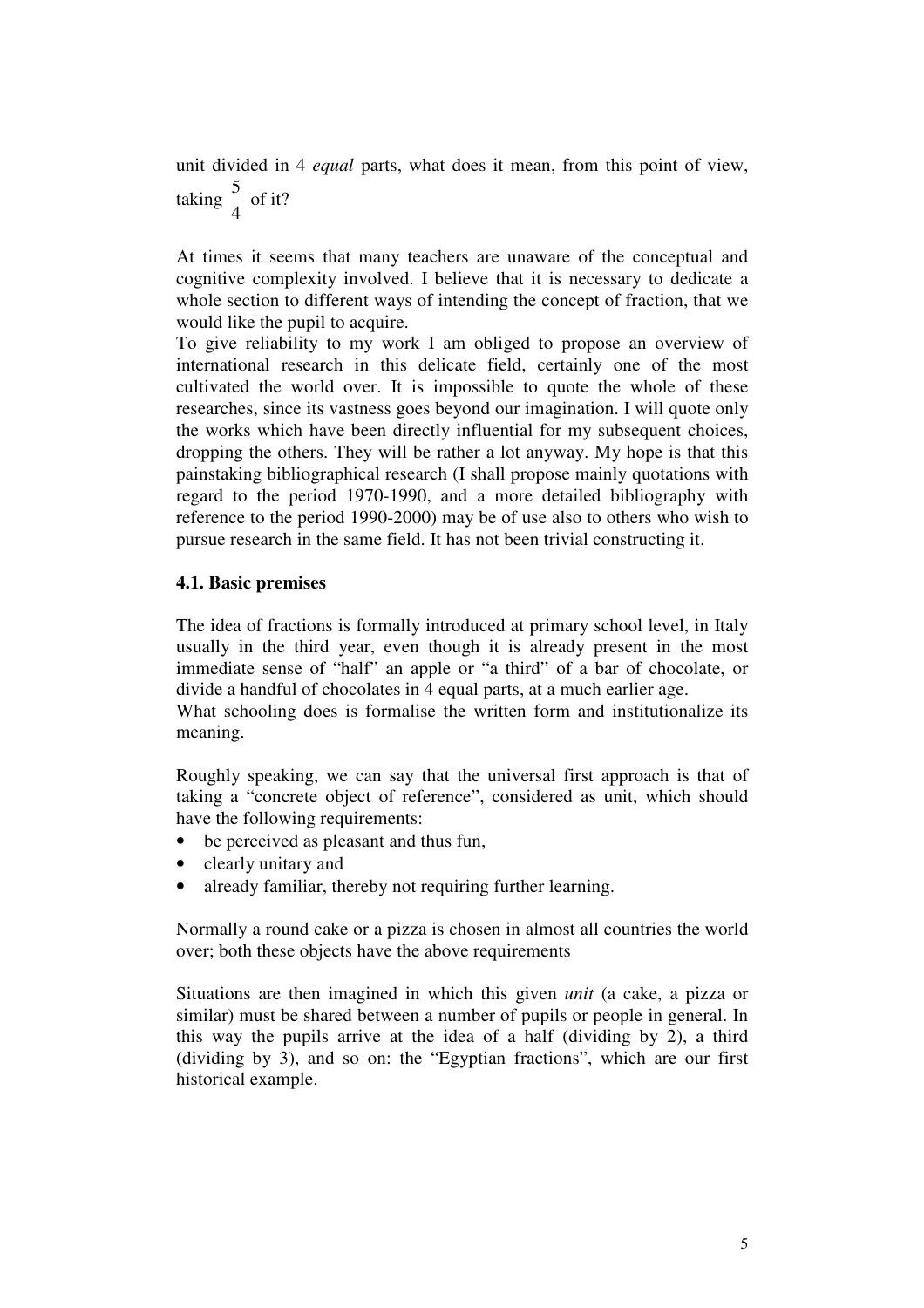unit divided in 4 *equal* parts, what does it mean, from this point of view, taking 4  $\frac{5}{4}$  of it?

At times it seems that many teachers are unaware of the conceptual and cognitive complexity involved. I believe that it is necessary to dedicate a whole section to different ways of intending the concept of fraction, that we would like the pupil to acquire.

To give reliability to my work I am obliged to propose an overview of international research in this delicate field, certainly one of the most cultivated the world over. It is impossible to quote the whole of these researches, since its vastness goes beyond our imagination. I will quote only the works which have been directly influential for my subsequent choices, dropping the others. They will be rather a lot anyway. My hope is that this painstaking bibliographical research (I shall propose mainly quotations with regard to the period 1970-1990, and a more detailed bibliography with reference to the period 1990-2000) may be of use also to others who wish to pursue research in the same field. It has not been trivial constructing it.

## **4.1. Basic premises**

The idea of fractions is formally introduced at primary school level, in Italy usually in the third year, even though it is already present in the most immediate sense of "half" an apple or "a third" of a bar of chocolate, or divide a handful of chocolates in 4 equal parts, at a much earlier age.

What schooling does is formalise the written form and institutionalize its meaning.

Roughly speaking, we can say that the universal first approach is that of taking a "concrete object of reference", considered as unit, which should have the following requirements:

- be perceived as pleasant and thus fun,
- clearly unitary and
- already familiar, thereby not requiring further learning.

Normally a round cake or a pizza is chosen in almost all countries the world over; both these objects have the above requirements

Situations are then imagined in which this given *unit* (a cake, a pizza or similar) must be shared between a number of pupils or people in general. In this way the pupils arrive at the idea of a half (dividing by 2), a third (dividing by 3), and so on: the "Egyptian fractions", which are our first historical example.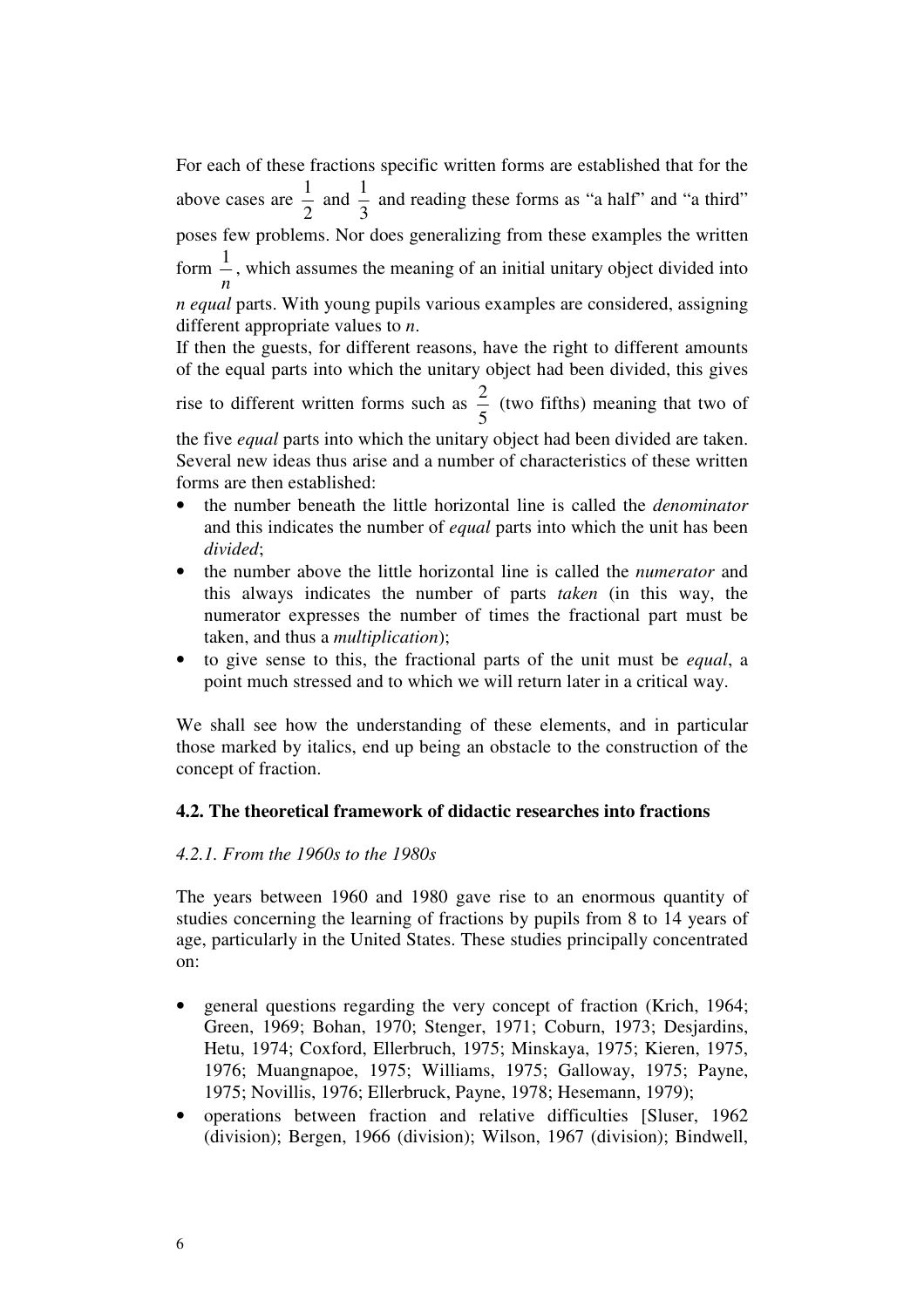For each of these fractions specific written forms are established that for the above cases are 2  $\frac{1}{2}$  and 3  $\frac{1}{6}$  and reading these forms as "a half" and "a third" poses few problems. Nor does generalizing from these examples the written form *n*  $\frac{1}{x}$ , which assumes the meaning of an initial unitary object divided into *n equal* parts. With young pupils various examples are considered, assigning different appropriate values to *n*.

If then the guests, for different reasons, have the right to different amounts of the equal parts into which the unitary object had been divided, this gives

rise to different written forms such as 5  $\frac{2}{5}$  (two fifths) meaning that two of

the five *equal* parts into which the unitary object had been divided are taken. Several new ideas thus arise and a number of characteristics of these written forms are then established:

- the number beneath the little horizontal line is called the *denominator* and this indicates the number of *equal* parts into which the unit has been *divided*;
- the number above the little horizontal line is called the *numerator* and this always indicates the number of parts *taken* (in this way, the numerator expresses the number of times the fractional part must be taken, and thus a *multiplication*);
- to give sense to this, the fractional parts of the unit must be *equal*, a point much stressed and to which we will return later in a critical way.

We shall see how the understanding of these elements, and in particular those marked by italics, end up being an obstacle to the construction of the concept of fraction.

## **4.2. The theoretical framework of didactic researches into fractions**

#### *4.2.1. From the 1960s to the 1980s*

The years between 1960 and 1980 gave rise to an enormous quantity of studies concerning the learning of fractions by pupils from 8 to 14 years of age, particularly in the United States. These studies principally concentrated on:

- general questions regarding the very concept of fraction (Krich, 1964; Green, 1969; Bohan, 1970; Stenger, 1971; Coburn, 1973; Desjardins, Hetu, 1974; Coxford, Ellerbruch, 1975; Minskaya, 1975; Kieren, 1975, 1976; Muangnapoe, 1975; Williams, 1975; Galloway, 1975; Payne, 1975; Novillis, 1976; Ellerbruck, Payne, 1978; Hesemann, 1979);
- operations between fraction and relative difficulties [Sluser, 1962 (division); Bergen, 1966 (division); Wilson, 1967 (division); Bindwell,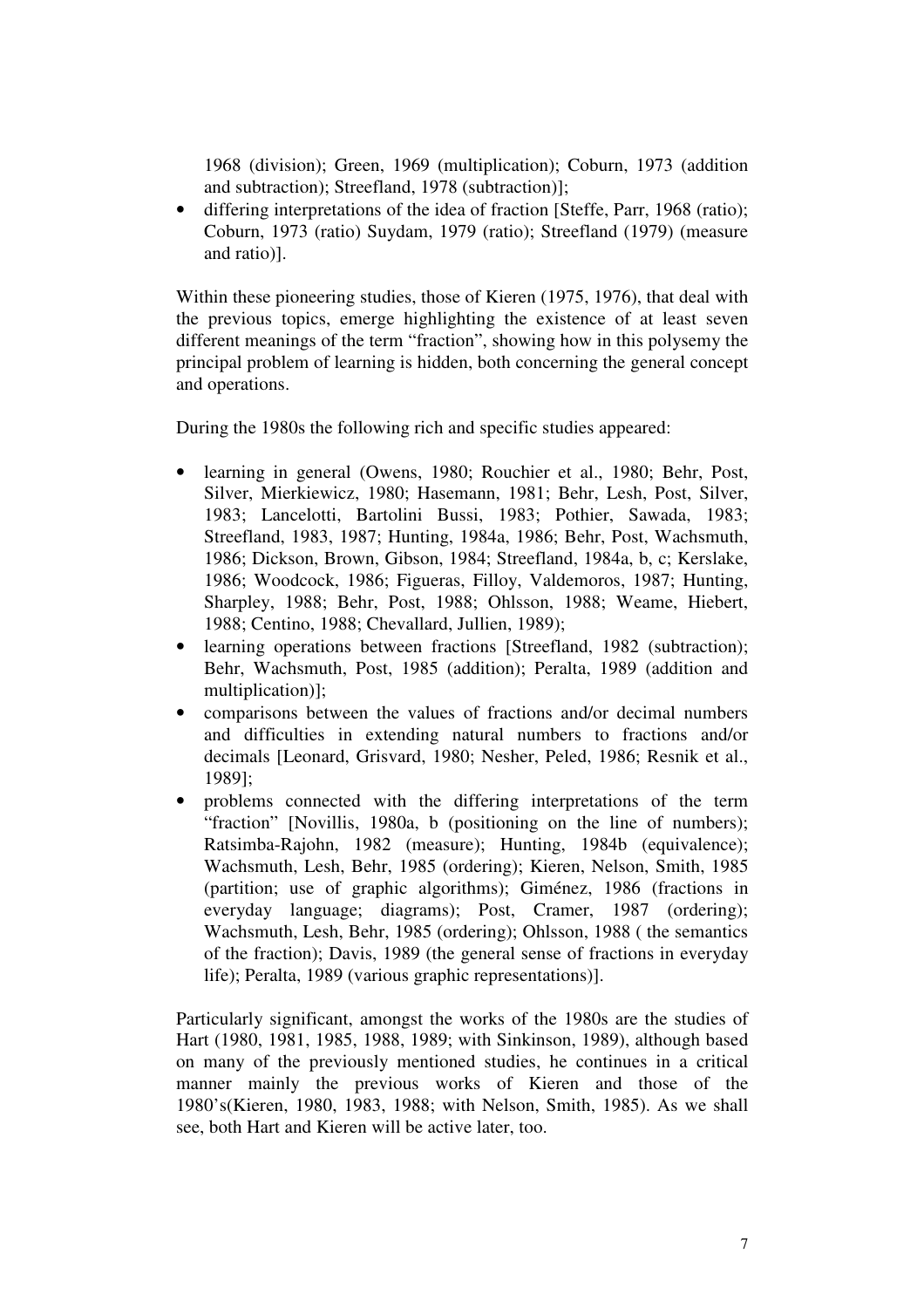1968 (division); Green, 1969 (multiplication); Coburn, 1973 (addition and subtraction); Streefland, 1978 (subtraction)];

• differing interpretations of the idea of fraction [Steffe, Parr, 1968 (ratio); Coburn, 1973 (ratio) Suydam, 1979 (ratio); Streefland (1979) (measure and ratio)].

Within these pioneering studies, those of Kieren (1975, 1976), that deal with the previous topics, emerge highlighting the existence of at least seven different meanings of the term "fraction", showing how in this polysemy the principal problem of learning is hidden, both concerning the general concept and operations.

During the 1980s the following rich and specific studies appeared:

- learning in general (Owens, 1980; Rouchier et al., 1980; Behr, Post, Silver, Mierkiewicz, 1980; Hasemann, 1981; Behr, Lesh, Post, Silver, 1983; Lancelotti, Bartolini Bussi, 1983; Pothier, Sawada, 1983; Streefland, 1983, 1987; Hunting, 1984a, 1986; Behr, Post, Wachsmuth, 1986; Dickson, Brown, Gibson, 1984; Streefland, 1984a, b, c; Kerslake, 1986; Woodcock, 1986; Figueras, Filloy, Valdemoros, 1987; Hunting, Sharpley, 1988; Behr, Post, 1988; Ohlsson, 1988; Weame, Hiebert, 1988; Centino, 1988; Chevallard, Jullien, 1989);
- learning operations between fractions [Streefland, 1982 (subtraction); Behr, Wachsmuth, Post, 1985 (addition); Peralta, 1989 (addition and multiplication)];
- comparisons between the values of fractions and/or decimal numbers and difficulties in extending natural numbers to fractions and/or decimals [Leonard, Grisvard, 1980; Nesher, Peled, 1986; Resnik et al., 1989];
- problems connected with the differing interpretations of the term "fraction" [Novillis, 1980a, b (positioning on the line of numbers); Ratsimba-Rajohn, 1982 (measure); Hunting, 1984b (equivalence); Wachsmuth, Lesh, Behr, 1985 (ordering); Kieren, Nelson, Smith, 1985 (partition; use of graphic algorithms); Giménez, 1986 (fractions in everyday language; diagrams); Post, Cramer, 1987 (ordering); Wachsmuth, Lesh, Behr, 1985 (ordering); Ohlsson, 1988 ( the semantics of the fraction); Davis, 1989 (the general sense of fractions in everyday life); Peralta, 1989 (various graphic representations)].

Particularly significant, amongst the works of the 1980s are the studies of Hart (1980, 1981, 1985, 1988, 1989; with Sinkinson, 1989), although based on many of the previously mentioned studies, he continues in a critical manner mainly the previous works of Kieren and those of the 1980's(Kieren, 1980, 1983, 1988; with Nelson, Smith, 1985). As we shall see, both Hart and Kieren will be active later, too.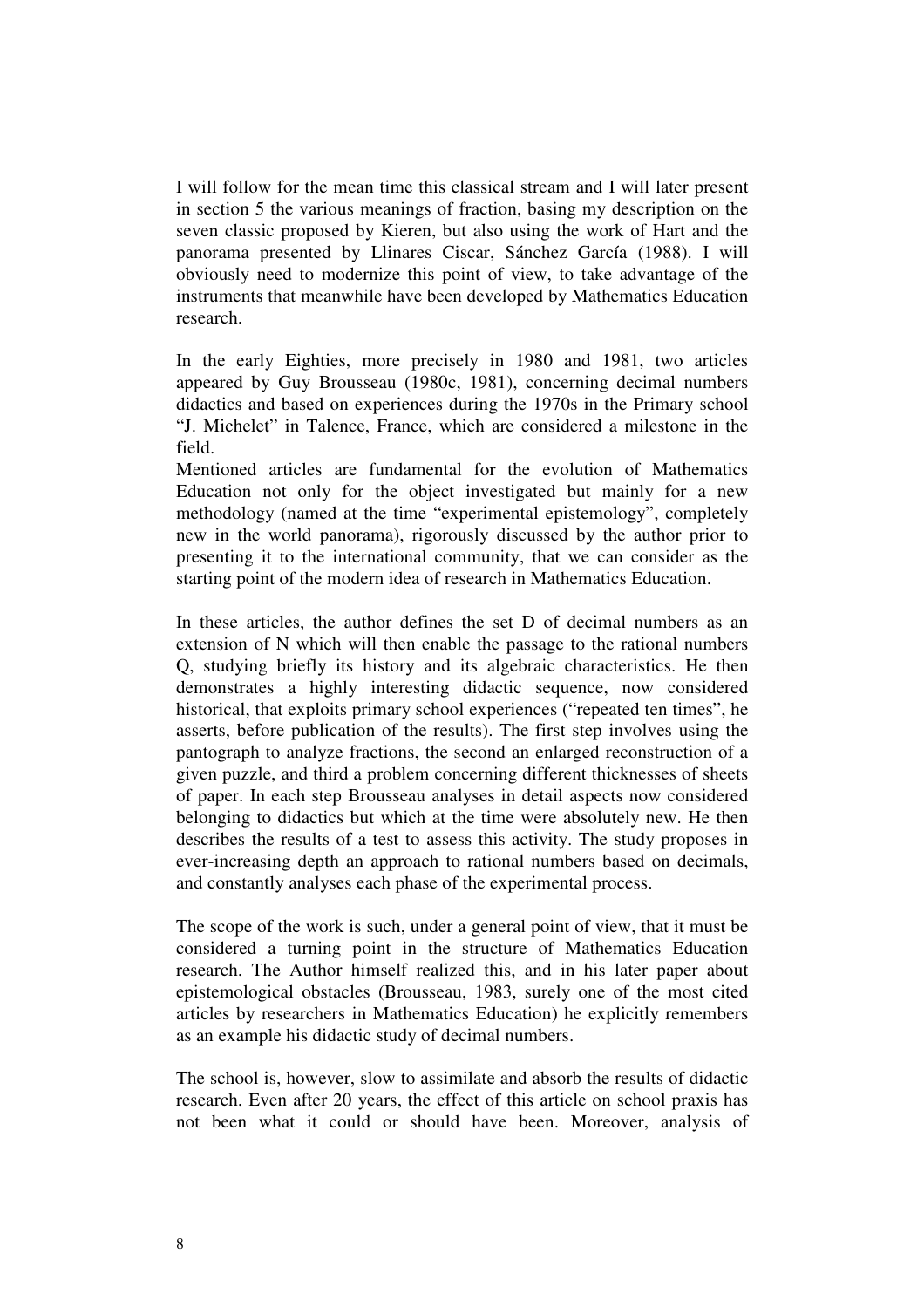I will follow for the mean time this classical stream and I will later present in section 5 the various meanings of fraction, basing my description on the seven classic proposed by Kieren, but also using the work of Hart and the panorama presented by Llinares Ciscar, Sánchez García (1988). I will obviously need to modernize this point of view, to take advantage of the instruments that meanwhile have been developed by Mathematics Education research.

In the early Eighties, more precisely in 1980 and 1981, two articles appeared by Guy Brousseau (1980c, 1981), concerning decimal numbers didactics and based on experiences during the 1970s in the Primary school "J. Michelet" in Talence, France, which are considered a milestone in the field.

Mentioned articles are fundamental for the evolution of Mathematics Education not only for the object investigated but mainly for a new methodology (named at the time "experimental epistemology", completely new in the world panorama), rigorously discussed by the author prior to presenting it to the international community, that we can consider as the starting point of the modern idea of research in Mathematics Education.

In these articles, the author defines the set D of decimal numbers as an extension of N which will then enable the passage to the rational numbers Q, studying briefly its history and its algebraic characteristics. He then demonstrates a highly interesting didactic sequence, now considered historical, that exploits primary school experiences ("repeated ten times", he asserts, before publication of the results). The first step involves using the pantograph to analyze fractions, the second an enlarged reconstruction of a given puzzle, and third a problem concerning different thicknesses of sheets of paper. In each step Brousseau analyses in detail aspects now considered belonging to didactics but which at the time were absolutely new. He then describes the results of a test to assess this activity. The study proposes in ever-increasing depth an approach to rational numbers based on decimals, and constantly analyses each phase of the experimental process.

The scope of the work is such, under a general point of view, that it must be considered a turning point in the structure of Mathematics Education research. The Author himself realized this, and in his later paper about epistemological obstacles (Brousseau, 1983, surely one of the most cited articles by researchers in Mathematics Education) he explicitly remembers as an example his didactic study of decimal numbers.

The school is, however, slow to assimilate and absorb the results of didactic research. Even after 20 years, the effect of this article on school praxis has not been what it could or should have been. Moreover, analysis of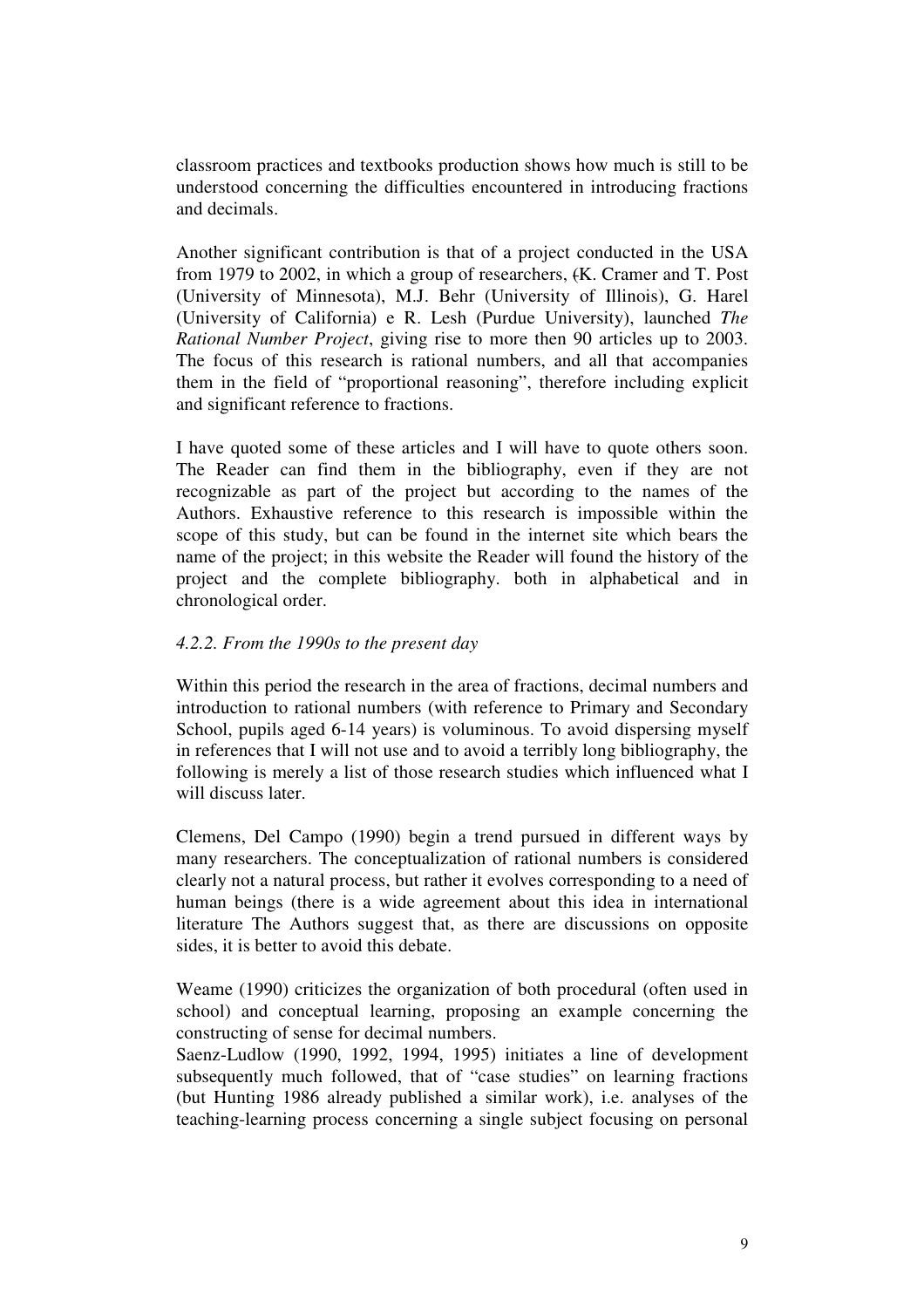classroom practices and textbooks production shows how much is still to be understood concerning the difficulties encountered in introducing fractions and decimals.

Another significant contribution is that of a project conducted in the USA from 1979 to 2002, in which a group of researchers, (K. Cramer and T. Post (University of Minnesota), M.J. Behr (University of Illinois), G. Harel (University of California) e R. Lesh (Purdue University), launched *The Rational Number Project*, giving rise to more then 90 articles up to 2003. The focus of this research is rational numbers, and all that accompanies them in the field of "proportional reasoning", therefore including explicit and significant reference to fractions.

I have quoted some of these articles and I will have to quote others soon. The Reader can find them in the bibliography, even if they are not recognizable as part of the project but according to the names of the Authors. Exhaustive reference to this research is impossible within the scope of this study, but can be found in the internet site which bears the name of the project; in this website the Reader will found the history of the project and the complete bibliography. both in alphabetical and in chronological order.

# *4.2.2. From the 1990s to the present day*

Within this period the research in the area of fractions, decimal numbers and introduction to rational numbers (with reference to Primary and Secondary School, pupils aged 6-14 years) is voluminous. To avoid dispersing myself in references that I will not use and to avoid a terribly long bibliography, the following is merely a list of those research studies which influenced what I will discuss later

Clemens, Del Campo (1990) begin a trend pursued in different ways by many researchers. The conceptualization of rational numbers is considered clearly not a natural process, but rather it evolves corresponding to a need of human beings (there is a wide agreement about this idea in international literature The Authors suggest that, as there are discussions on opposite sides, it is better to avoid this debate.

Weame (1990) criticizes the organization of both procedural (often used in school) and conceptual learning, proposing an example concerning the constructing of sense for decimal numbers.

Saenz-Ludlow (1990, 1992, 1994, 1995) initiates a line of development subsequently much followed, that of "case studies" on learning fractions (but Hunting 1986 already published a similar work), i.e. analyses of the teaching-learning process concerning a single subject focusing on personal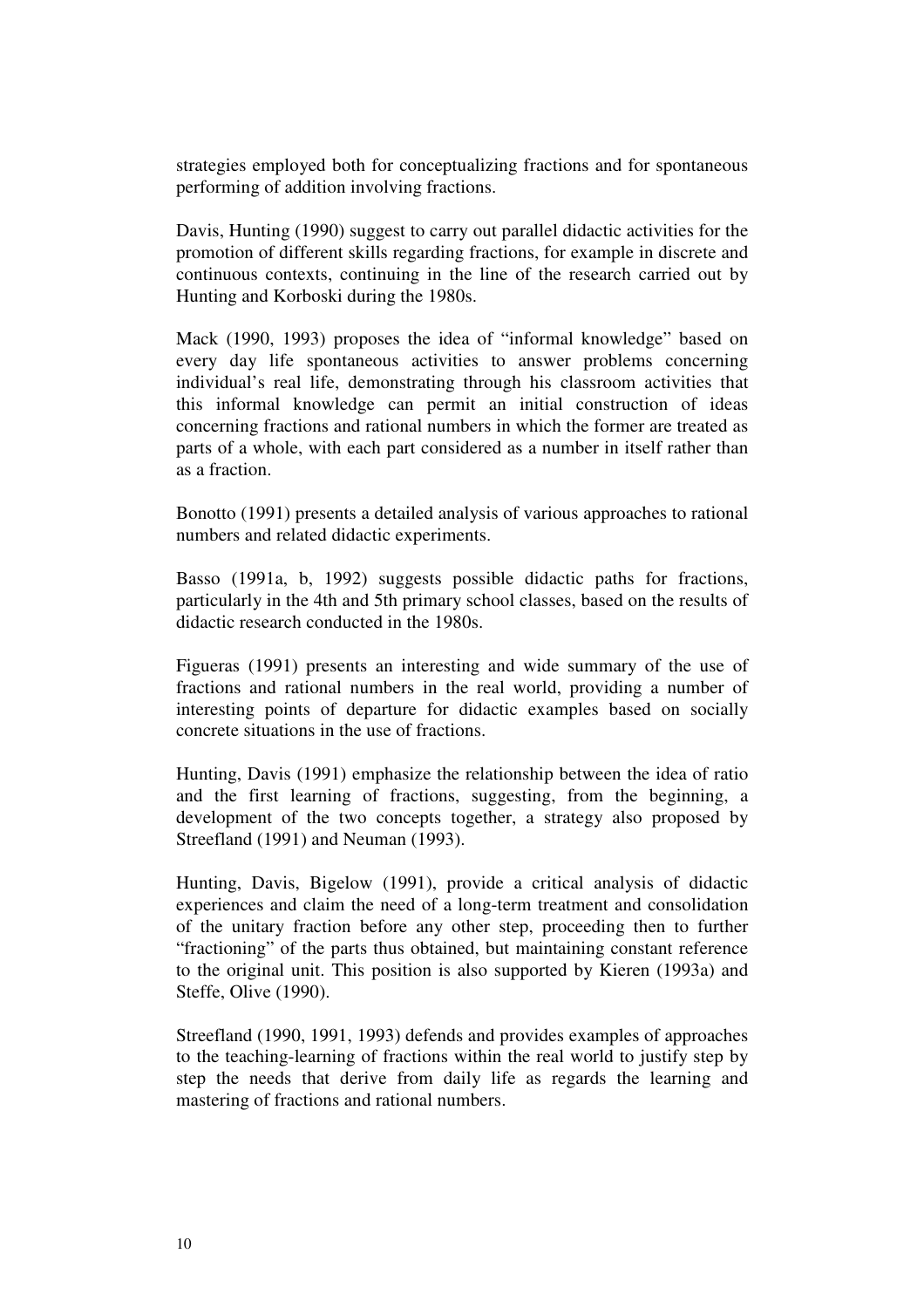strategies employed both for conceptualizing fractions and for spontaneous performing of addition involving fractions.

Davis, Hunting (1990) suggest to carry out parallel didactic activities for the promotion of different skills regarding fractions, for example in discrete and continuous contexts, continuing in the line of the research carried out by Hunting and Korboski during the 1980s.

Mack (1990, 1993) proposes the idea of "informal knowledge" based on every day life spontaneous activities to answer problems concerning individual's real life, demonstrating through his classroom activities that this informal knowledge can permit an initial construction of ideas concerning fractions and rational numbers in which the former are treated as parts of a whole, with each part considered as a number in itself rather than as a fraction.

Bonotto (1991) presents a detailed analysis of various approaches to rational numbers and related didactic experiments.

Basso (1991a, b, 1992) suggests possible didactic paths for fractions, particularly in the 4th and 5th primary school classes, based on the results of didactic research conducted in the 1980s.

Figueras (1991) presents an interesting and wide summary of the use of fractions and rational numbers in the real world, providing a number of interesting points of departure for didactic examples based on socially concrete situations in the use of fractions.

Hunting, Davis (1991) emphasize the relationship between the idea of ratio and the first learning of fractions, suggesting, from the beginning, a development of the two concepts together, a strategy also proposed by Streefland (1991) and Neuman (1993).

Hunting, Davis, Bigelow (1991), provide a critical analysis of didactic experiences and claim the need of a long-term treatment and consolidation of the unitary fraction before any other step, proceeding then to further "fractioning" of the parts thus obtained, but maintaining constant reference to the original unit. This position is also supported by Kieren (1993a) and Steffe, Olive (1990).

Streefland (1990, 1991, 1993) defends and provides examples of approaches to the teaching-learning of fractions within the real world to justify step by step the needs that derive from daily life as regards the learning and mastering of fractions and rational numbers.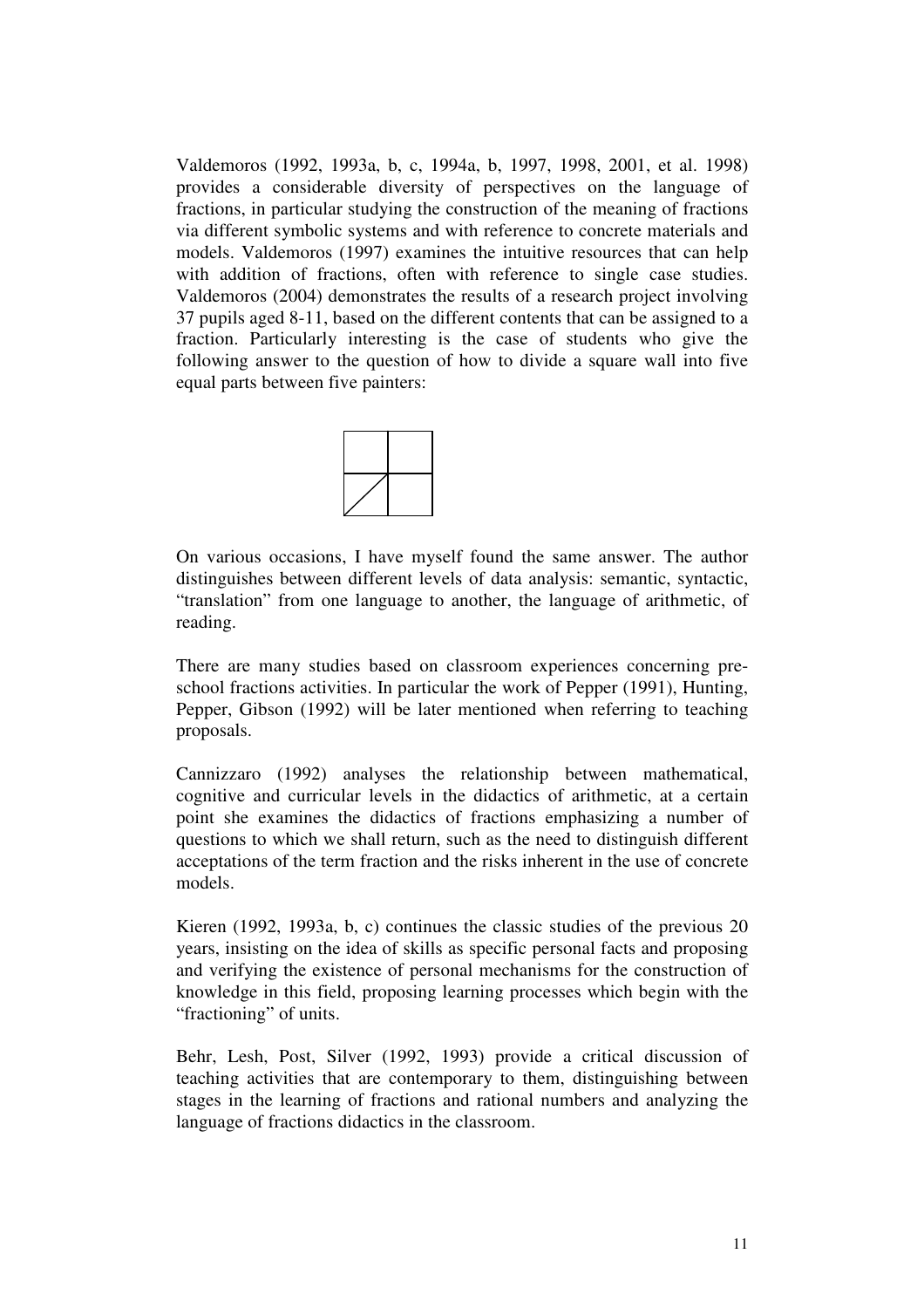Valdemoros (1992, 1993a, b, c, 1994a, b, 1997, 1998, 2001, et al. 1998) provides a considerable diversity of perspectives on the language of fractions, in particular studying the construction of the meaning of fractions via different symbolic systems and with reference to concrete materials and models. Valdemoros (1997) examines the intuitive resources that can help with addition of fractions, often with reference to single case studies. Valdemoros (2004) demonstrates the results of a research project involving 37 pupils aged 8-11, based on the different contents that can be assigned to a fraction. Particularly interesting is the case of students who give the following answer to the question of how to divide a square wall into five equal parts between five painters:



On various occasions, I have myself found the same answer. The author distinguishes between different levels of data analysis: semantic, syntactic, "translation" from one language to another, the language of arithmetic, of reading.

There are many studies based on classroom experiences concerning preschool fractions activities. In particular the work of Pepper (1991), Hunting, Pepper, Gibson (1992) will be later mentioned when referring to teaching proposals.

Cannizzaro (1992) analyses the relationship between mathematical, cognitive and curricular levels in the didactics of arithmetic, at a certain point she examines the didactics of fractions emphasizing a number of questions to which we shall return, such as the need to distinguish different acceptations of the term fraction and the risks inherent in the use of concrete models.

Kieren (1992, 1993a, b, c) continues the classic studies of the previous 20 years, insisting on the idea of skills as specific personal facts and proposing and verifying the existence of personal mechanisms for the construction of knowledge in this field, proposing learning processes which begin with the "fractioning" of units.

Behr, Lesh, Post, Silver (1992, 1993) provide a critical discussion of teaching activities that are contemporary to them, distinguishing between stages in the learning of fractions and rational numbers and analyzing the language of fractions didactics in the classroom.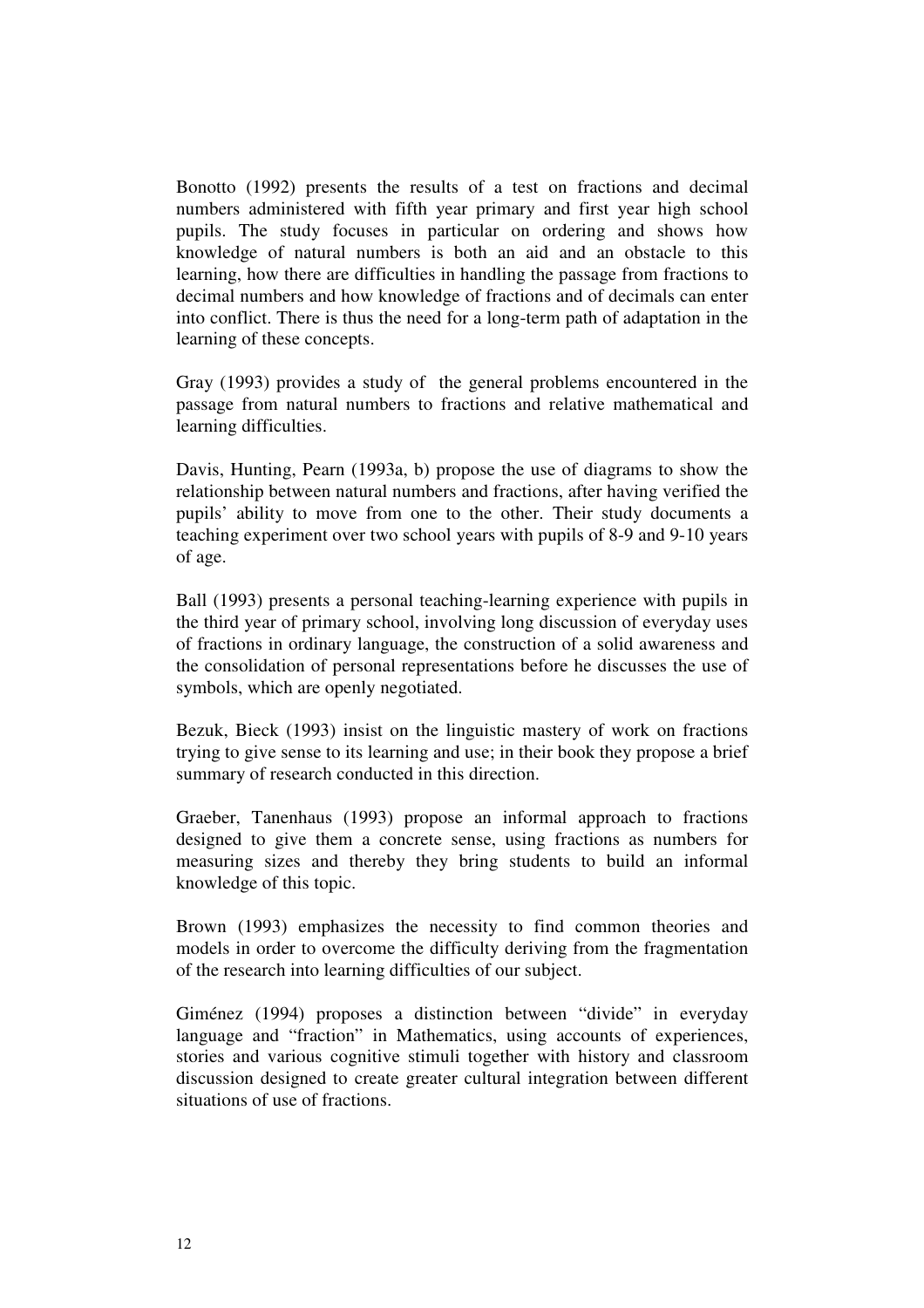Bonotto (1992) presents the results of a test on fractions and decimal numbers administered with fifth year primary and first year high school pupils. The study focuses in particular on ordering and shows how knowledge of natural numbers is both an aid and an obstacle to this learning, how there are difficulties in handling the passage from fractions to decimal numbers and how knowledge of fractions and of decimals can enter into conflict. There is thus the need for a long-term path of adaptation in the learning of these concepts.

Gray (1993) provides a study of the general problems encountered in the passage from natural numbers to fractions and relative mathematical and learning difficulties.

Davis, Hunting, Pearn (1993a, b) propose the use of diagrams to show the relationship between natural numbers and fractions, after having verified the pupils' ability to move from one to the other. Their study documents a teaching experiment over two school years with pupils of 8-9 and 9-10 years of age.

Ball (1993) presents a personal teaching-learning experience with pupils in the third year of primary school, involving long discussion of everyday uses of fractions in ordinary language, the construction of a solid awareness and the consolidation of personal representations before he discusses the use of symbols, which are openly negotiated.

Bezuk, Bieck (1993) insist on the linguistic mastery of work on fractions trying to give sense to its learning and use; in their book they propose a brief summary of research conducted in this direction.

Graeber, Tanenhaus (1993) propose an informal approach to fractions designed to give them a concrete sense, using fractions as numbers for measuring sizes and thereby they bring students to build an informal knowledge of this topic.

Brown (1993) emphasizes the necessity to find common theories and models in order to overcome the difficulty deriving from the fragmentation of the research into learning difficulties of our subject.

Giménez (1994) proposes a distinction between "divide" in everyday language and "fraction" in Mathematics, using accounts of experiences, stories and various cognitive stimuli together with history and classroom discussion designed to create greater cultural integration between different situations of use of fractions.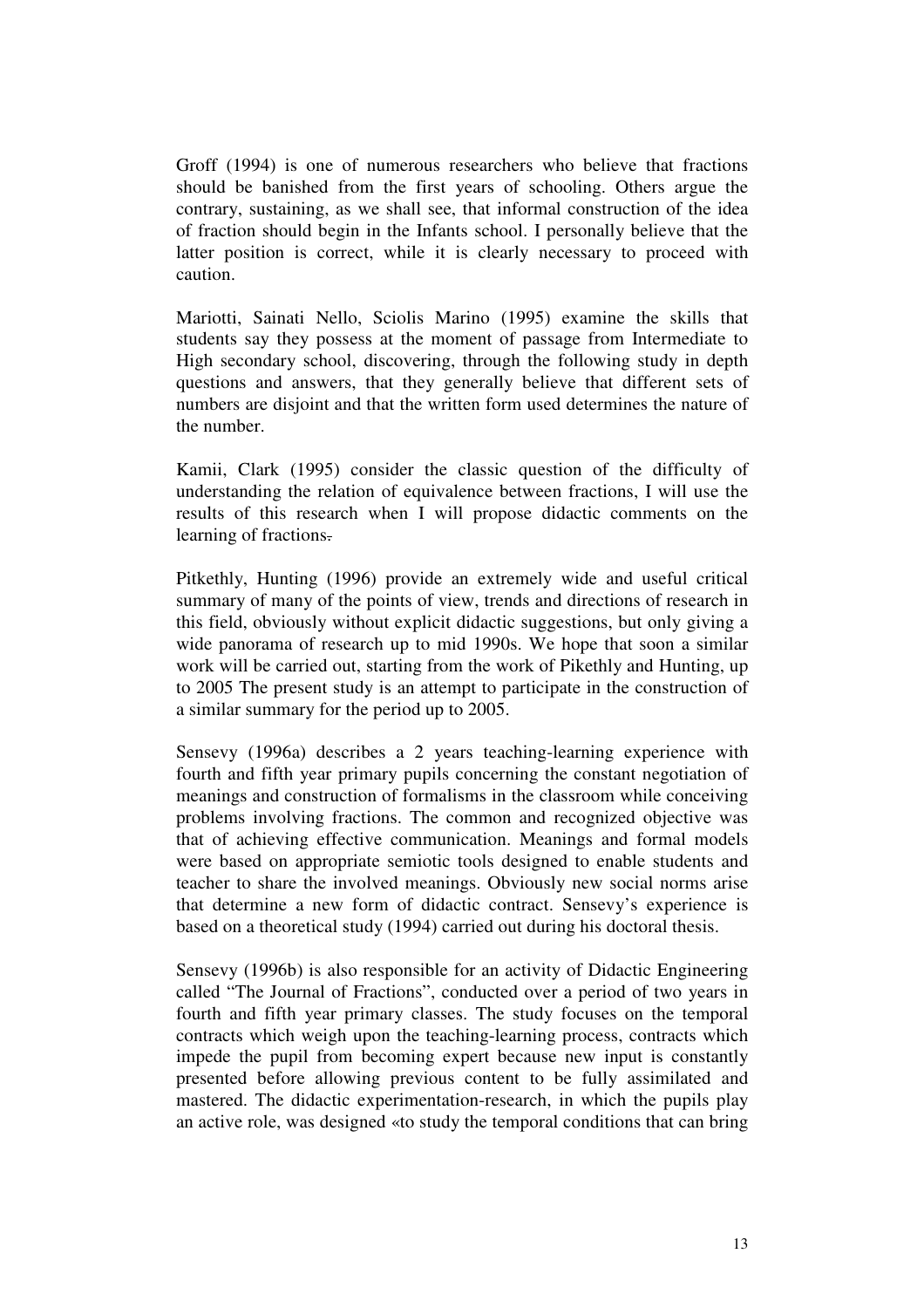Groff (1994) is one of numerous researchers who believe that fractions should be banished from the first years of schooling. Others argue the contrary, sustaining, as we shall see, that informal construction of the idea of fraction should begin in the Infants school. I personally believe that the latter position is correct, while it is clearly necessary to proceed with caution.

Mariotti, Sainati Nello, Sciolis Marino (1995) examine the skills that students say they possess at the moment of passage from Intermediate to High secondary school, discovering, through the following study in depth questions and answers, that they generally believe that different sets of numbers are disjoint and that the written form used determines the nature of the number.

Kamii, Clark (1995) consider the classic question of the difficulty of understanding the relation of equivalence between fractions, I will use the results of this research when I will propose didactic comments on the learning of fractions.

Pitkethly, Hunting (1996) provide an extremely wide and useful critical summary of many of the points of view, trends and directions of research in this field, obviously without explicit didactic suggestions, but only giving a wide panorama of research up to mid 1990s. We hope that soon a similar work will be carried out, starting from the work of Pikethly and Hunting, up to 2005 The present study is an attempt to participate in the construction of a similar summary for the period up to 2005.

Sensevy (1996a) describes a 2 years teaching-learning experience with fourth and fifth year primary pupils concerning the constant negotiation of meanings and construction of formalisms in the classroom while conceiving problems involving fractions. The common and recognized objective was that of achieving effective communication. Meanings and formal models were based on appropriate semiotic tools designed to enable students and teacher to share the involved meanings. Obviously new social norms arise that determine a new form of didactic contract. Sensevy's experience is based on a theoretical study (1994) carried out during his doctoral thesis.

Sensevy (1996b) is also responsible for an activity of Didactic Engineering called "The Journal of Fractions", conducted over a period of two years in fourth and fifth year primary classes. The study focuses on the temporal contracts which weigh upon the teaching-learning process, contracts which impede the pupil from becoming expert because new input is constantly presented before allowing previous content to be fully assimilated and mastered. The didactic experimentation-research, in which the pupils play an active role, was designed «to study the temporal conditions that can bring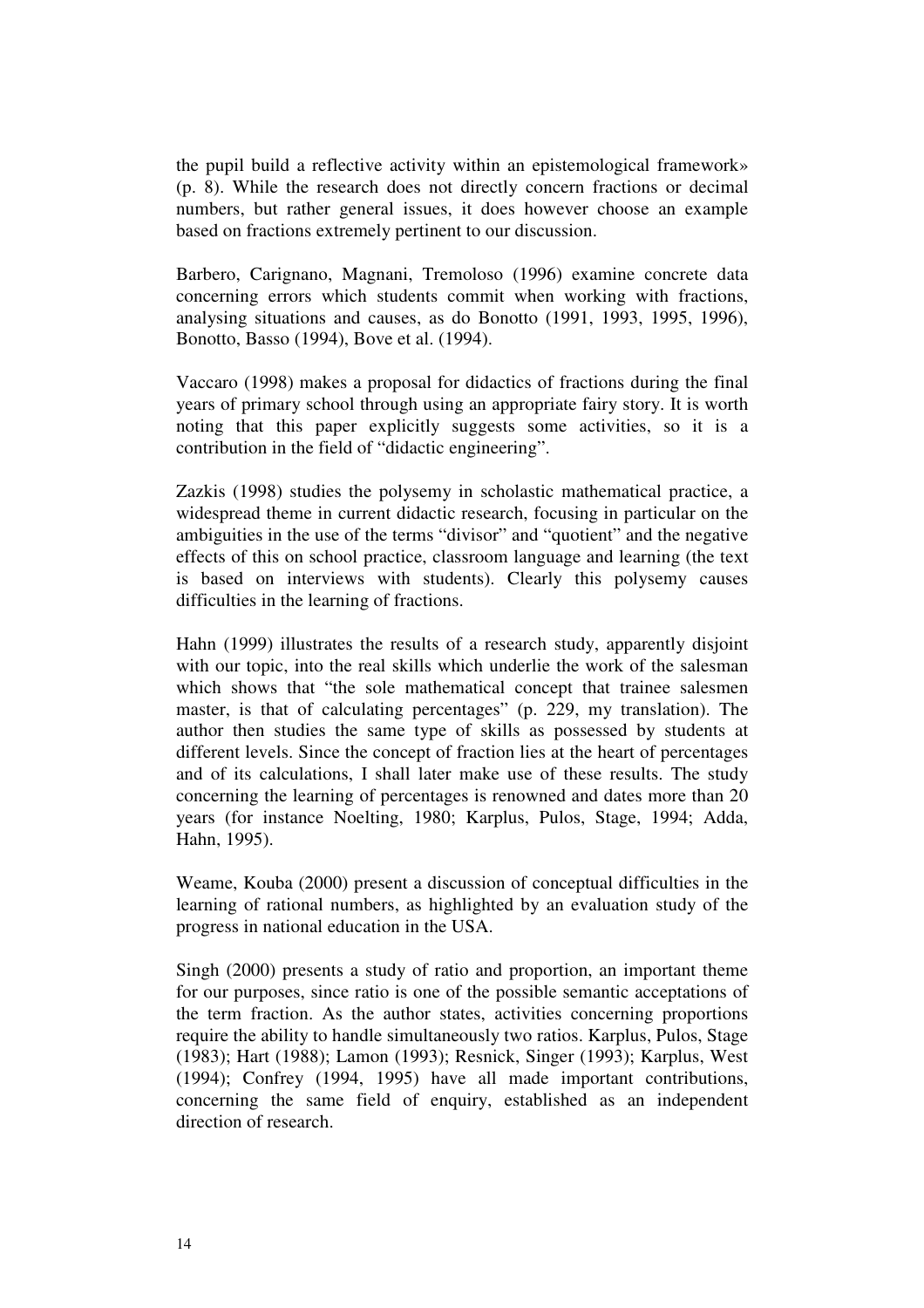the pupil build a reflective activity within an epistemological framework» (p. 8). While the research does not directly concern fractions or decimal numbers, but rather general issues, it does however choose an example based on fractions extremely pertinent to our discussion.

Barbero, Carignano, Magnani, Tremoloso (1996) examine concrete data concerning errors which students commit when working with fractions, analysing situations and causes, as do Bonotto (1991, 1993, 1995, 1996), Bonotto, Basso (1994), Bove et al. (1994).

Vaccaro (1998) makes a proposal for didactics of fractions during the final years of primary school through using an appropriate fairy story. It is worth noting that this paper explicitly suggests some activities, so it is a contribution in the field of "didactic engineering".

Zazkis (1998) studies the polysemy in scholastic mathematical practice, a widespread theme in current didactic research, focusing in particular on the ambiguities in the use of the terms "divisor" and "quotient" and the negative effects of this on school practice, classroom language and learning (the text is based on interviews with students). Clearly this polysemy causes difficulties in the learning of fractions.

Hahn (1999) illustrates the results of a research study, apparently disjoint with our topic, into the real skills which underlie the work of the salesman which shows that "the sole mathematical concept that trainee salesmen master, is that of calculating percentages" (p. 229, my translation). The author then studies the same type of skills as possessed by students at different levels. Since the concept of fraction lies at the heart of percentages and of its calculations, I shall later make use of these results. The study concerning the learning of percentages is renowned and dates more than 20 years (for instance Noelting, 1980; Karplus, Pulos, Stage, 1994; Adda, Hahn, 1995).

Weame, Kouba (2000) present a discussion of conceptual difficulties in the learning of rational numbers, as highlighted by an evaluation study of the progress in national education in the USA.

Singh (2000) presents a study of ratio and proportion, an important theme for our purposes, since ratio is one of the possible semantic acceptations of the term fraction. As the author states, activities concerning proportions require the ability to handle simultaneously two ratios. Karplus, Pulos, Stage (1983); Hart (1988); Lamon (1993); Resnick, Singer (1993); Karplus, West (1994); Confrey (1994, 1995) have all made important contributions, concerning the same field of enquiry, established as an independent direction of research.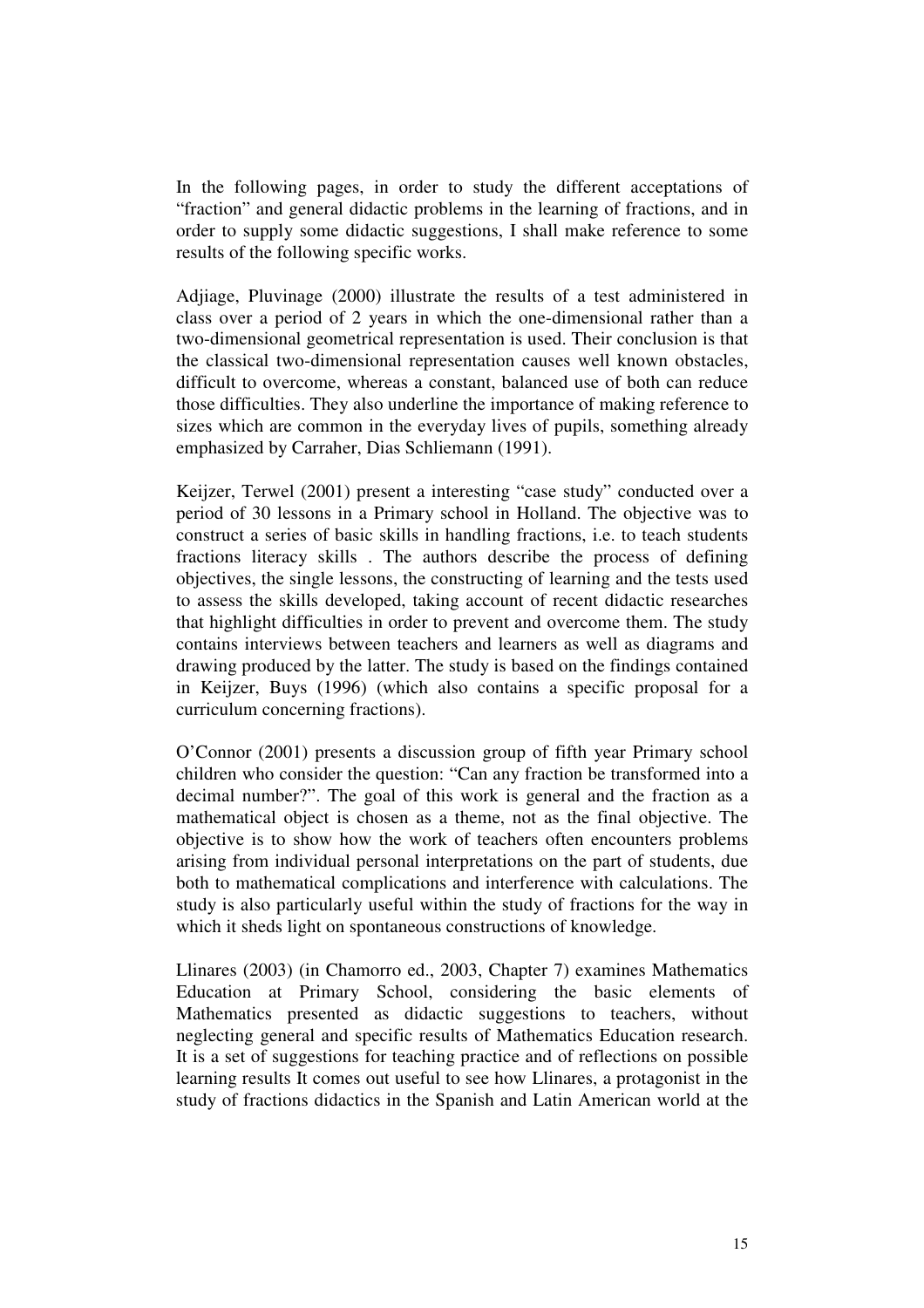In the following pages, in order to study the different acceptations of "fraction" and general didactic problems in the learning of fractions, and in order to supply some didactic suggestions, I shall make reference to some results of the following specific works.

Adjiage, Pluvinage (2000) illustrate the results of a test administered in class over a period of 2 years in which the one-dimensional rather than a two-dimensional geometrical representation is used. Their conclusion is that the classical two-dimensional representation causes well known obstacles, difficult to overcome, whereas a constant, balanced use of both can reduce those difficulties. They also underline the importance of making reference to sizes which are common in the everyday lives of pupils, something already emphasized by Carraher, Dias Schliemann (1991).

Keijzer, Terwel (2001) present a interesting "case study" conducted over a period of 30 lessons in a Primary school in Holland. The objective was to construct a series of basic skills in handling fractions, i.e. to teach students fractions literacy skills . The authors describe the process of defining objectives, the single lessons, the constructing of learning and the tests used to assess the skills developed, taking account of recent didactic researches that highlight difficulties in order to prevent and overcome them. The study contains interviews between teachers and learners as well as diagrams and drawing produced by the latter. The study is based on the findings contained in Keijzer, Buys (1996) (which also contains a specific proposal for a curriculum concerning fractions).

O'Connor (2001) presents a discussion group of fifth year Primary school children who consider the question: "Can any fraction be transformed into a decimal number?". The goal of this work is general and the fraction as a mathematical object is chosen as a theme, not as the final objective. The objective is to show how the work of teachers often encounters problems arising from individual personal interpretations on the part of students, due both to mathematical complications and interference with calculations. The study is also particularly useful within the study of fractions for the way in which it sheds light on spontaneous constructions of knowledge.

Llinares (2003) (in Chamorro ed., 2003, Chapter 7) examines Mathematics Education at Primary School, considering the basic elements of Mathematics presented as didactic suggestions to teachers, without neglecting general and specific results of Mathematics Education research. It is a set of suggestions for teaching practice and of reflections on possible learning results It comes out useful to see how Llinares, a protagonist in the study of fractions didactics in the Spanish and Latin American world at the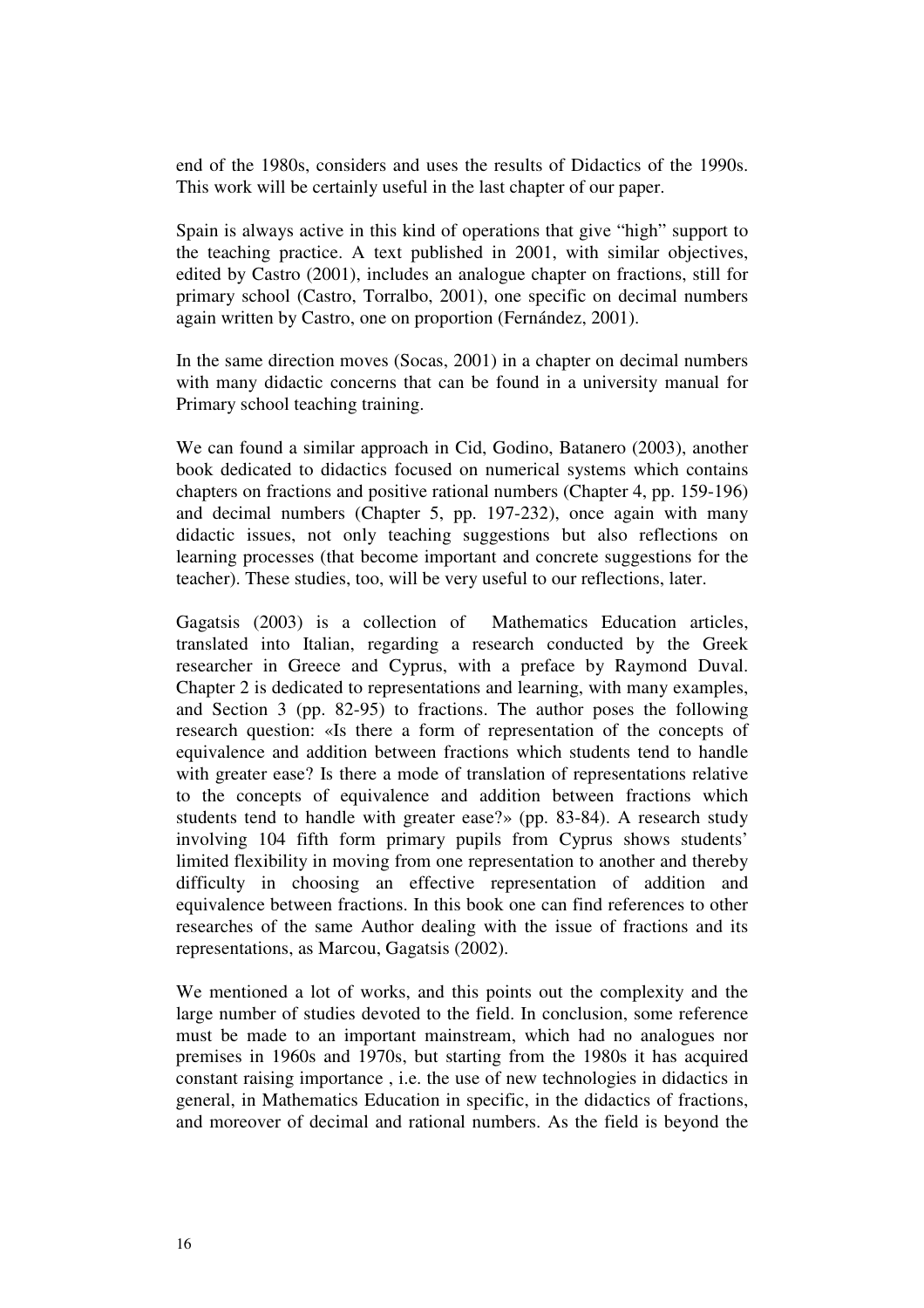end of the 1980s, considers and uses the results of Didactics of the 1990s. This work will be certainly useful in the last chapter of our paper.

Spain is always active in this kind of operations that give "high" support to the teaching practice. A text published in 2001, with similar objectives, edited by Castro (2001), includes an analogue chapter on fractions, still for primary school (Castro, Torralbo, 2001), one specific on decimal numbers again written by Castro, one on proportion (Fernández, 2001).

In the same direction moves (Socas, 2001) in a chapter on decimal numbers with many didactic concerns that can be found in a university manual for Primary school teaching training.

We can found a similar approach in Cid, Godino, Batanero (2003), another book dedicated to didactics focused on numerical systems which contains chapters on fractions and positive rational numbers (Chapter 4, pp. 159-196) and decimal numbers (Chapter 5, pp. 197-232), once again with many didactic issues, not only teaching suggestions but also reflections on learning processes (that become important and concrete suggestions for the teacher). These studies, too, will be very useful to our reflections, later.

Gagatsis (2003) is a collection of Mathematics Education articles, translated into Italian, regarding a research conducted by the Greek researcher in Greece and Cyprus, with a preface by Raymond Duval. Chapter 2 is dedicated to representations and learning, with many examples, and Section 3 (pp. 82-95) to fractions. The author poses the following research question: «Is there a form of representation of the concepts of equivalence and addition between fractions which students tend to handle with greater ease? Is there a mode of translation of representations relative to the concepts of equivalence and addition between fractions which students tend to handle with greater ease?» (pp. 83-84). A research study involving 104 fifth form primary pupils from Cyprus shows students' limited flexibility in moving from one representation to another and thereby difficulty in choosing an effective representation of addition and equivalence between fractions. In this book one can find references to other researches of the same Author dealing with the issue of fractions and its representations, as Marcou, Gagatsis (2002).

We mentioned a lot of works, and this points out the complexity and the large number of studies devoted to the field. In conclusion, some reference must be made to an important mainstream, which had no analogues nor premises in 1960s and 1970s, but starting from the 1980s it has acquired constant raising importance , i.e. the use of new technologies in didactics in general, in Mathematics Education in specific, in the didactics of fractions, and moreover of decimal and rational numbers. As the field is beyond the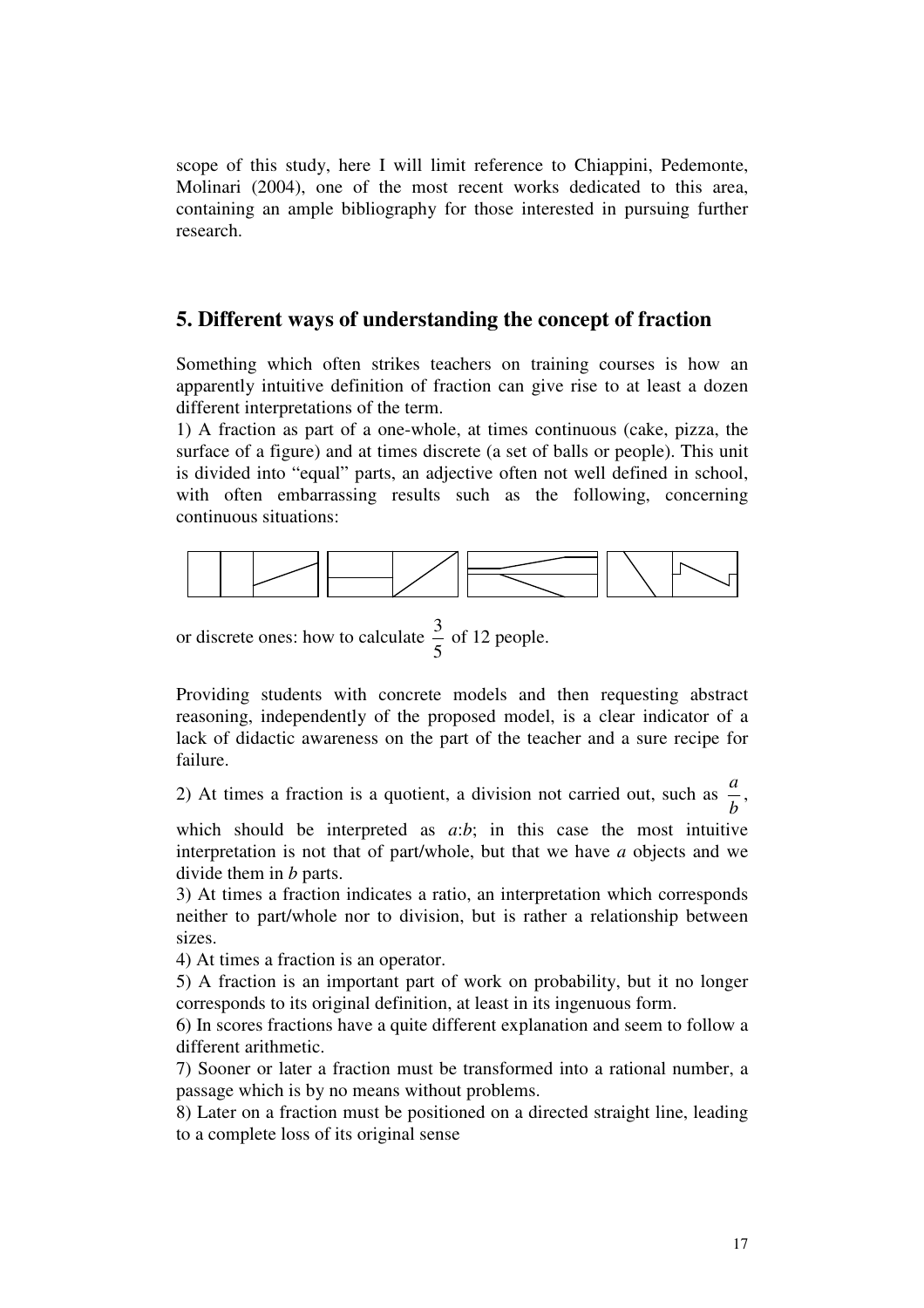scope of this study, here I will limit reference to Chiappini, Pedemonte, Molinari (2004), one of the most recent works dedicated to this area, containing an ample bibliography for those interested in pursuing further research.

# **5. Different ways of understanding the concept of fraction**

Something which often strikes teachers on training courses is how an apparently intuitive definition of fraction can give rise to at least a dozen different interpretations of the term.

1) A fraction as part of a one-whole, at times continuous (cake, pizza, the surface of a figure) and at times discrete (a set of balls or people). This unit is divided into "equal" parts, an adjective often not well defined in school, with often embarrassing results such as the following, concerning continuous situations:



or discrete ones: how to calculate 5  $\frac{3}{5}$  of 12 people.

Providing students with concrete models and then requesting abstract reasoning, independently of the proposed model, is a clear indicator of a lack of didactic awareness on the part of the teacher and a sure recipe for failure.

2) At times a fraction is a quotient, a division not carried out, such as *b*  $\frac{a}{i}$ 

which should be interpreted as *a*:*b*; in this case the most intuitive interpretation is not that of part/whole, but that we have *a* objects and we divide them in *b* parts.

3) At times a fraction indicates a ratio, an interpretation which corresponds neither to part/whole nor to division, but is rather a relationship between sizes.

4) At times a fraction is an operator.

5) A fraction is an important part of work on probability, but it no longer corresponds to its original definition, at least in its ingenuous form.

6) In scores fractions have a quite different explanation and seem to follow a different arithmetic.

7) Sooner or later a fraction must be transformed into a rational number, a passage which is by no means without problems.

8) Later on a fraction must be positioned on a directed straight line, leading to a complete loss of its original sense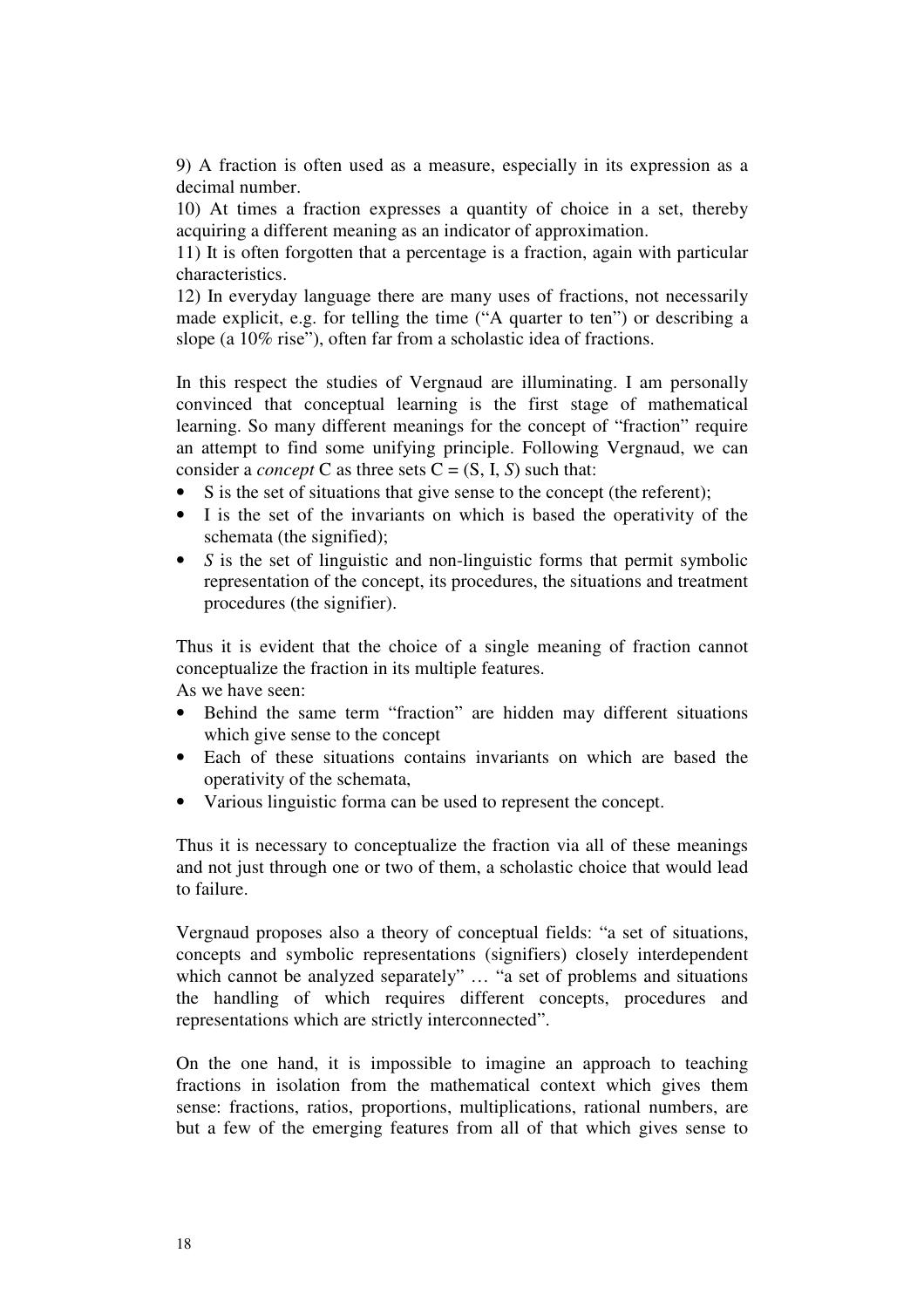9) A fraction is often used as a measure, especially in its expression as a decimal number.

10) At times a fraction expresses a quantity of choice in a set, thereby acquiring a different meaning as an indicator of approximation.

11) It is often forgotten that a percentage is a fraction, again with particular characteristics.

12) In everyday language there are many uses of fractions, not necessarily made explicit, e.g. for telling the time ("A quarter to ten") or describing a slope (a 10% rise"), often far from a scholastic idea of fractions.

In this respect the studies of Vergnaud are illuminating. I am personally convinced that conceptual learning is the first stage of mathematical learning. So many different meanings for the concept of "fraction" require an attempt to find some unifying principle. Following Vergnaud, we can consider a *concept* C as three sets  $C = (S, I, S)$  such that:

- S is the set of situations that give sense to the concept (the referent);
- I is the set of the invariants on which is based the operativity of the schemata (the signified);
- *S* is the set of linguistic and non-linguistic forms that permit symbolic representation of the concept, its procedures, the situations and treatment procedures (the signifier).

Thus it is evident that the choice of a single meaning of fraction cannot conceptualize the fraction in its multiple features.

As we have seen:

- Behind the same term "fraction" are hidden may different situations which give sense to the concept
- Each of these situations contains invariants on which are based the operativity of the schemata,
- Various linguistic forma can be used to represent the concept.

Thus it is necessary to conceptualize the fraction via all of these meanings and not just through one or two of them, a scholastic choice that would lead to failure.

Vergnaud proposes also a theory of conceptual fields: "a set of situations, concepts and symbolic representations (signifiers) closely interdependent which cannot be analyzed separately" ... "a set of problems and situations the handling of which requires different concepts, procedures and representations which are strictly interconnected".

On the one hand, it is impossible to imagine an approach to teaching fractions in isolation from the mathematical context which gives them sense: fractions, ratios, proportions, multiplications, rational numbers, are but a few of the emerging features from all of that which gives sense to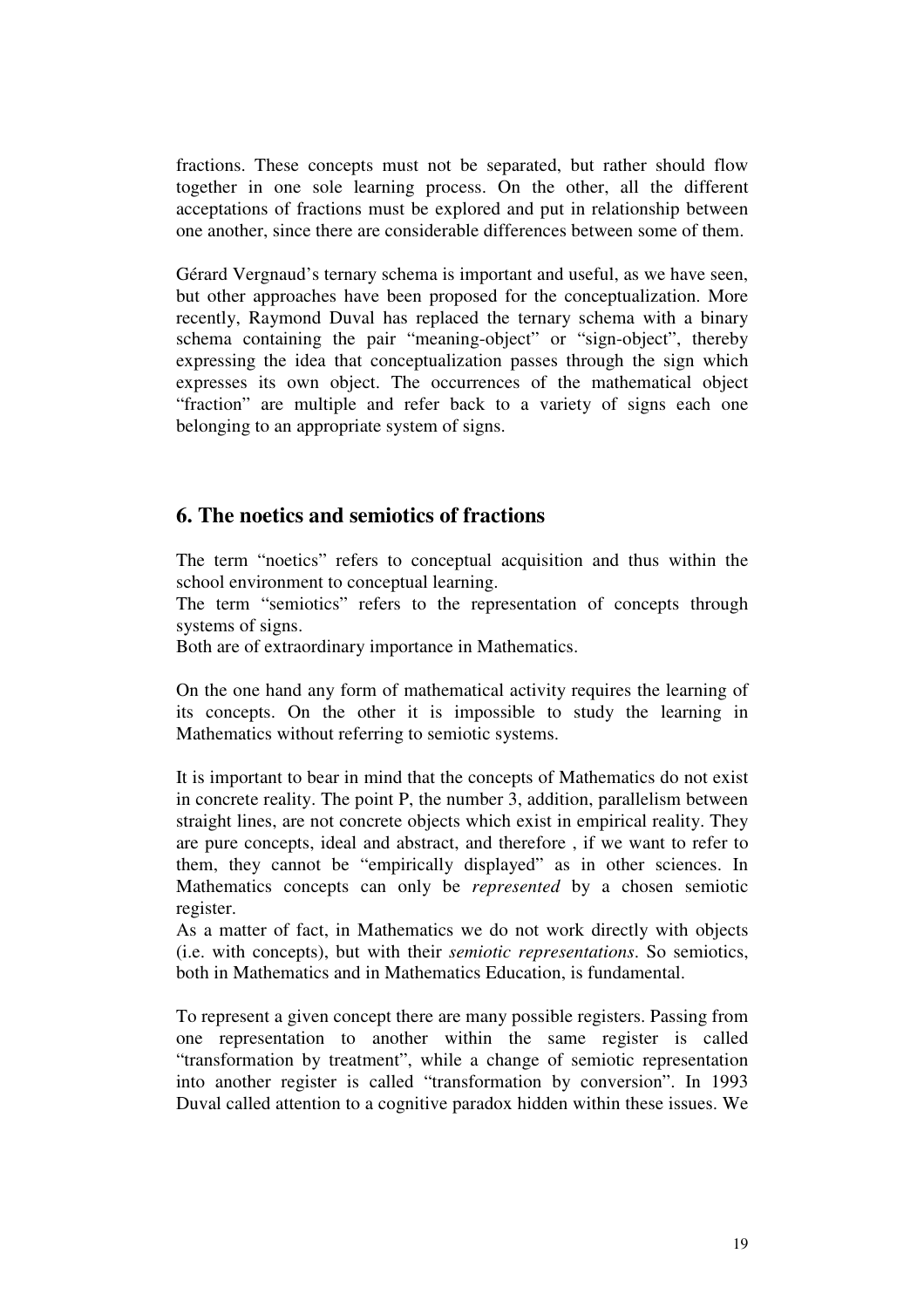fractions. These concepts must not be separated, but rather should flow together in one sole learning process. On the other, all the different acceptations of fractions must be explored and put in relationship between one another, since there are considerable differences between some of them.

Gérard Vergnaud's ternary schema is important and useful, as we have seen, but other approaches have been proposed for the conceptualization. More recently, Raymond Duval has replaced the ternary schema with a binary schema containing the pair "meaning-object" or "sign-object", thereby expressing the idea that conceptualization passes through the sign which expresses its own object. The occurrences of the mathematical object "fraction" are multiple and refer back to a variety of signs each one belonging to an appropriate system of signs.

# **6. The noetics and semiotics of fractions**

The term "noetics" refers to conceptual acquisition and thus within the school environment to conceptual learning.

The term "semiotics" refers to the representation of concepts through systems of signs.

Both are of extraordinary importance in Mathematics.

On the one hand any form of mathematical activity requires the learning of its concepts. On the other it is impossible to study the learning in Mathematics without referring to semiotic systems.

It is important to bear in mind that the concepts of Mathematics do not exist in concrete reality. The point P, the number 3, addition, parallelism between straight lines, are not concrete objects which exist in empirical reality. They are pure concepts, ideal and abstract, and therefore , if we want to refer to them, they cannot be "empirically displayed" as in other sciences. In Mathematics concepts can only be *represented* by a chosen semiotic register.

As a matter of fact, in Mathematics we do not work directly with objects (i.e. with concepts), but with their *semiotic representations*. So semiotics, both in Mathematics and in Mathematics Education, is fundamental.

To represent a given concept there are many possible registers. Passing from one representation to another within the same register is called "transformation by treatment", while a change of semiotic representation into another register is called "transformation by conversion". In 1993 Duval called attention to a cognitive paradox hidden within these issues. We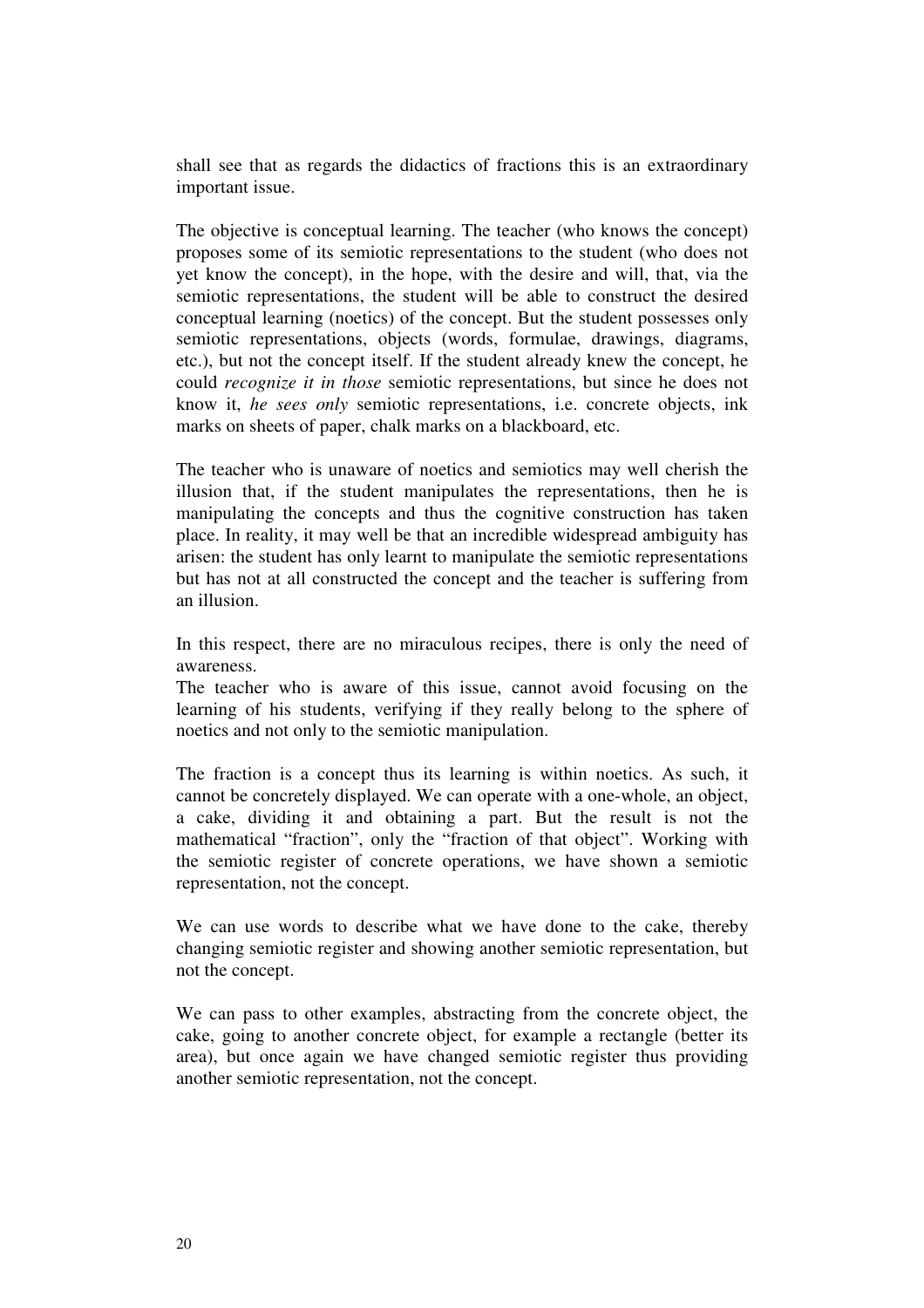shall see that as regards the didactics of fractions this is an extraordinary important issue.

The objective is conceptual learning. The teacher (who knows the concept) proposes some of its semiotic representations to the student (who does not yet know the concept), in the hope, with the desire and will, that, via the semiotic representations, the student will be able to construct the desired conceptual learning (noetics) of the concept. But the student possesses only semiotic representations, objects (words, formulae, drawings, diagrams, etc.), but not the concept itself. If the student already knew the concept, he could *recognize it in those* semiotic representations, but since he does not know it, *he sees only* semiotic representations, i.e. concrete objects, ink marks on sheets of paper, chalk marks on a blackboard, etc.

The teacher who is unaware of noetics and semiotics may well cherish the illusion that, if the student manipulates the representations, then he is manipulating the concepts and thus the cognitive construction has taken place. In reality, it may well be that an incredible widespread ambiguity has arisen: the student has only learnt to manipulate the semiotic representations but has not at all constructed the concept and the teacher is suffering from an illusion.

In this respect, there are no miraculous recipes, there is only the need of awareness.

The teacher who is aware of this issue, cannot avoid focusing on the learning of his students, verifying if they really belong to the sphere of noetics and not only to the semiotic manipulation.

The fraction is a concept thus its learning is within noetics. As such, it cannot be concretely displayed. We can operate with a one-whole, an object, a cake, dividing it and obtaining a part. But the result is not the mathematical "fraction", only the "fraction of that object". Working with the semiotic register of concrete operations, we have shown a semiotic representation, not the concept.

We can use words to describe what we have done to the cake, thereby changing semiotic register and showing another semiotic representation, but not the concept.

We can pass to other examples, abstracting from the concrete object, the cake, going to another concrete object, for example a rectangle (better its area), but once again we have changed semiotic register thus providing another semiotic representation, not the concept.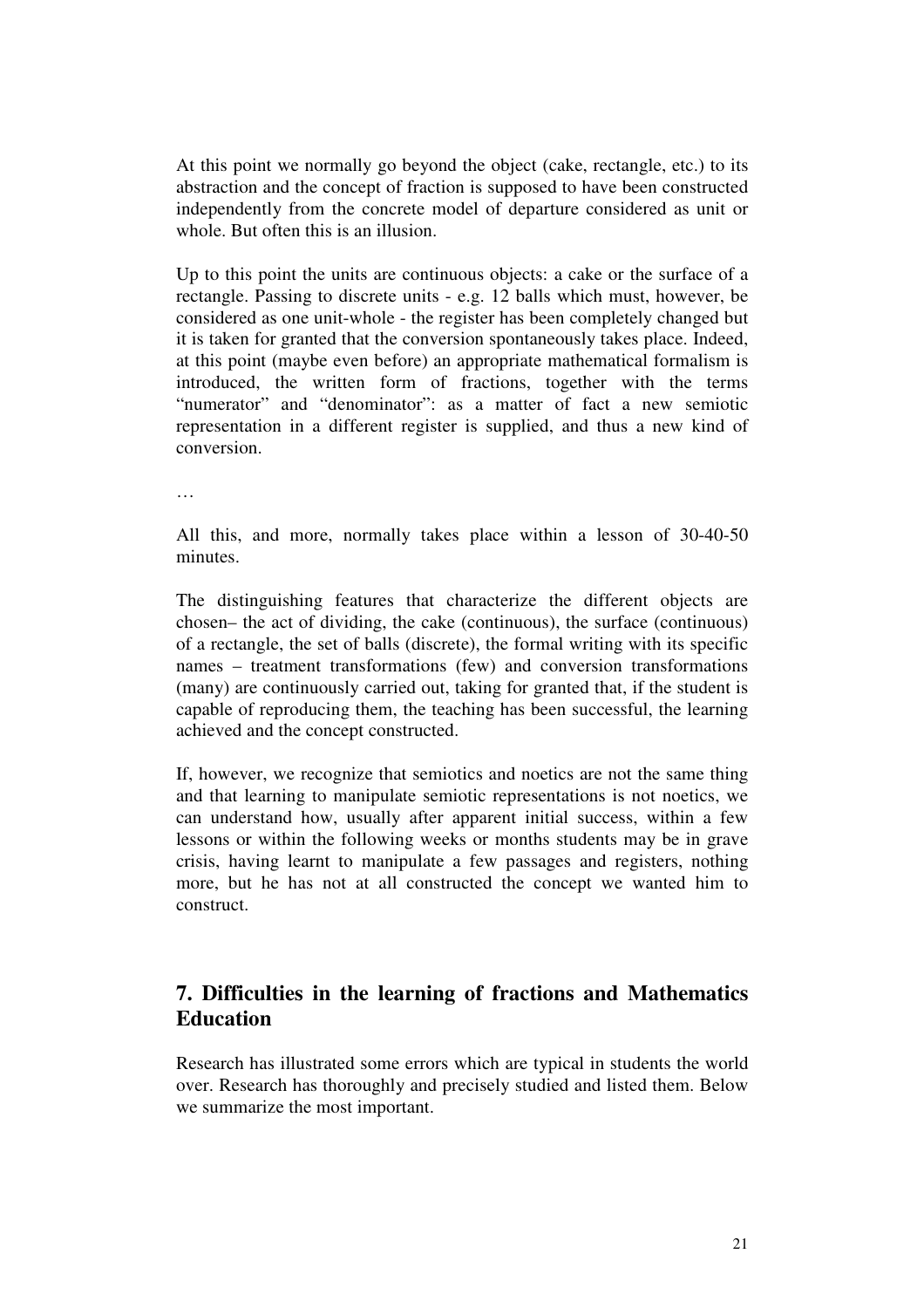At this point we normally go beyond the object (cake, rectangle, etc.) to its abstraction and the concept of fraction is supposed to have been constructed independently from the concrete model of departure considered as unit or whole. But often this is an illusion.

Up to this point the units are continuous objects: a cake or the surface of a rectangle. Passing to discrete units - e.g. 12 balls which must, however, be considered as one unit-whole - the register has been completely changed but it is taken for granted that the conversion spontaneously takes place. Indeed, at this point (maybe even before) an appropriate mathematical formalism is introduced, the written form of fractions, together with the terms "numerator" and "denominator": as a matter of fact a new semiotic representation in a different register is supplied, and thus a new kind of conversion.

…

All this, and more, normally takes place within a lesson of 30-40-50 minutes.

The distinguishing features that characterize the different objects are chosen– the act of dividing, the cake (continuous), the surface (continuous) of a rectangle, the set of balls (discrete), the formal writing with its specific names – treatment transformations (few) and conversion transformations (many) are continuously carried out, taking for granted that, if the student is capable of reproducing them, the teaching has been successful, the learning achieved and the concept constructed.

If, however, we recognize that semiotics and noetics are not the same thing and that learning to manipulate semiotic representations is not noetics, we can understand how, usually after apparent initial success, within a few lessons or within the following weeks or months students may be in grave crisis, having learnt to manipulate a few passages and registers, nothing more, but he has not at all constructed the concept we wanted him to construct.

# **7. Difficulties in the learning of fractions and Mathematics Education**

Research has illustrated some errors which are typical in students the world over. Research has thoroughly and precisely studied and listed them. Below we summarize the most important.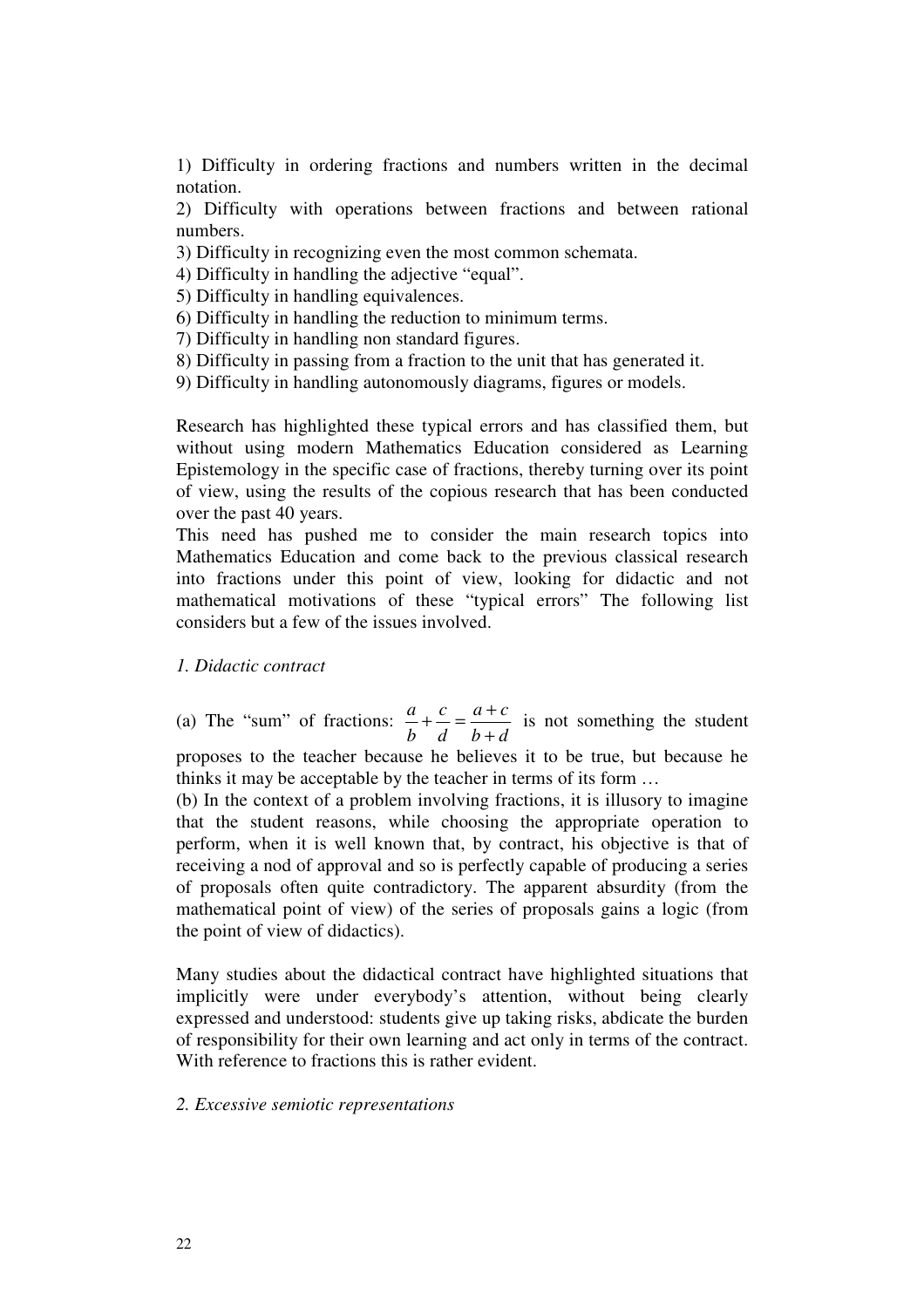1) Difficulty in ordering fractions and numbers written in the decimal notation.

2) Difficulty with operations between fractions and between rational numbers.

- 3) Difficulty in recognizing even the most common schemata.
- 4) Difficulty in handling the adjective "equal".
- 5) Difficulty in handling equivalences.
- 6) Difficulty in handling the reduction to minimum terms.
- 7) Difficulty in handling non standard figures.
- 8) Difficulty in passing from a fraction to the unit that has generated it.
- 9) Difficulty in handling autonomously diagrams, figures or models.

Research has highlighted these typical errors and has classified them, but without using modern Mathematics Education considered as Learning Epistemology in the specific case of fractions, thereby turning over its point of view, using the results of the copious research that has been conducted over the past 40 years.

This need has pushed me to consider the main research topics into Mathematics Education and come back to the previous classical research into fractions under this point of view, looking for didactic and not mathematical motivations of these "typical errors" The following list considers but a few of the issues involved.

### *1. Didactic contract*

(a) The "sum" of fractions: *b d*  $a + c$ *d c b a* +  $+\frac{c}{1} = \frac{a+c}{1}$  is not something the student

proposes to the teacher because he believes it to be true, but because he thinks it may be acceptable by the teacher in terms of its form …

(b) In the context of a problem involving fractions, it is illusory to imagine that the student reasons, while choosing the appropriate operation to perform, when it is well known that, by contract, his objective is that of receiving a nod of approval and so is perfectly capable of producing a series of proposals often quite contradictory. The apparent absurdity (from the mathematical point of view) of the series of proposals gains a logic (from the point of view of didactics).

Many studies about the didactical contract have highlighted situations that implicitly were under everybody's attention, without being clearly expressed and understood: students give up taking risks, abdicate the burden of responsibility for their own learning and act only in terms of the contract. With reference to fractions this is rather evident.

#### *2. Excessive semiotic representations*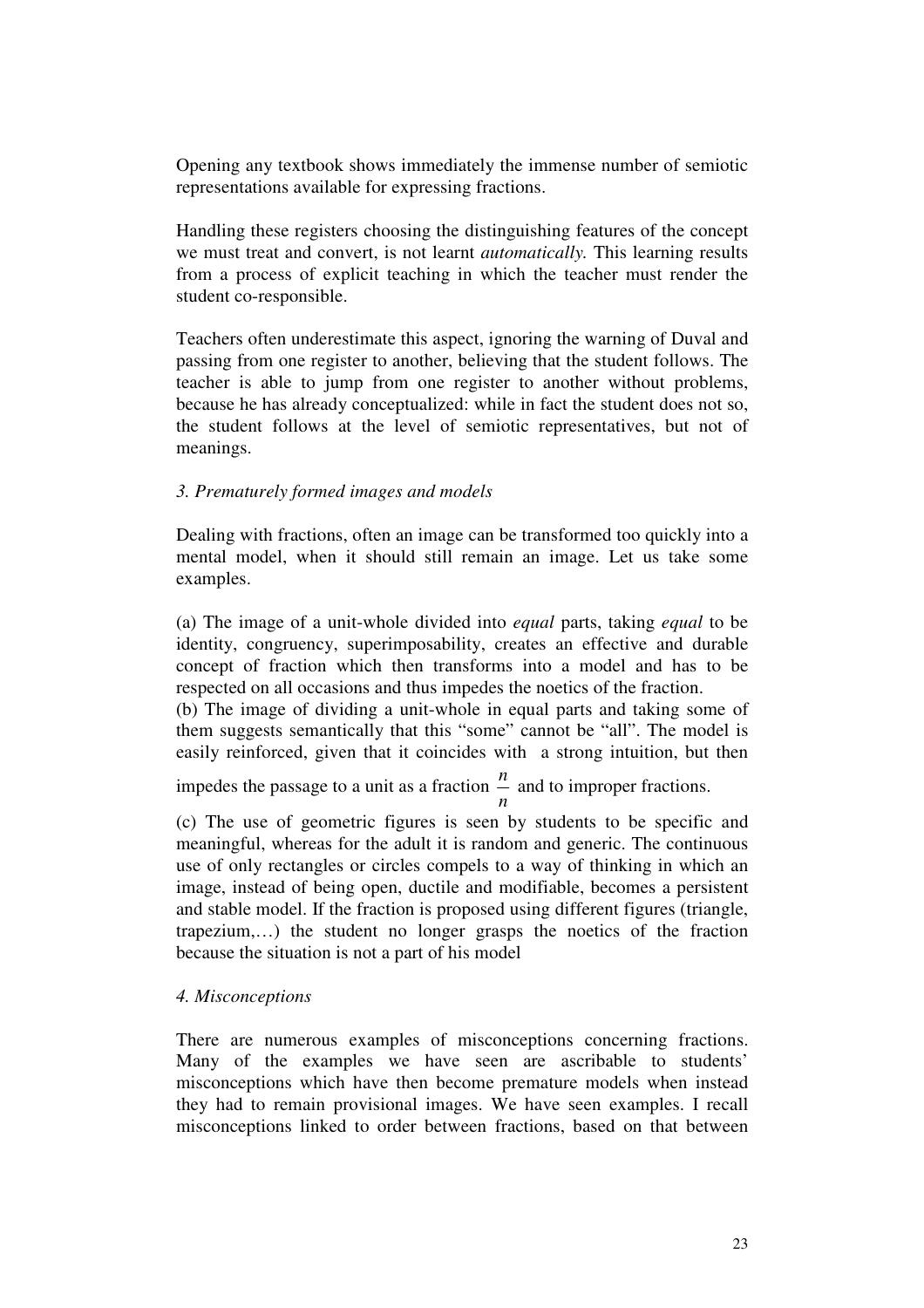Opening any textbook shows immediately the immense number of semiotic representations available for expressing fractions.

Handling these registers choosing the distinguishing features of the concept we must treat and convert, is not learnt *automatically.* This learning results from a process of explicit teaching in which the teacher must render the student co-responsible.

Teachers often underestimate this aspect, ignoring the warning of Duval and passing from one register to another, believing that the student follows. The teacher is able to jump from one register to another without problems, because he has already conceptualized: while in fact the student does not so, the student follows at the level of semiotic representatives, but not of meanings.

# *3. Prematurely formed images and models*

Dealing with fractions, often an image can be transformed too quickly into a mental model, when it should still remain an image. Let us take some examples.

(a) The image of a unit-whole divided into *equal* parts, taking *equal* to be identity, congruency, superimposability, creates an effective and durable concept of fraction which then transforms into a model and has to be respected on all occasions and thus impedes the noetics of the fraction.

(b) The image of dividing a unit-whole in equal parts and taking some of them suggests semantically that this "some" cannot be "all". The model is easily reinforced, given that it coincides with a strong intuition, but then

impedes the passage to a unit as a fraction *n*  $\frac{n}{n}$  and to improper fractions.

(c) The use of geometric figures is seen by students to be specific and meaningful, whereas for the adult it is random and generic. The continuous use of only rectangles or circles compels to a way of thinking in which an image, instead of being open, ductile and modifiable, becomes a persistent and stable model. If the fraction is proposed using different figures (triangle, trapezium,…) the student no longer grasps the noetics of the fraction because the situation is not a part of his model

## *4. Misconceptions*

There are numerous examples of misconceptions concerning fractions. Many of the examples we have seen are ascribable to students' misconceptions which have then become premature models when instead they had to remain provisional images. We have seen examples. I recall misconceptions linked to order between fractions, based on that between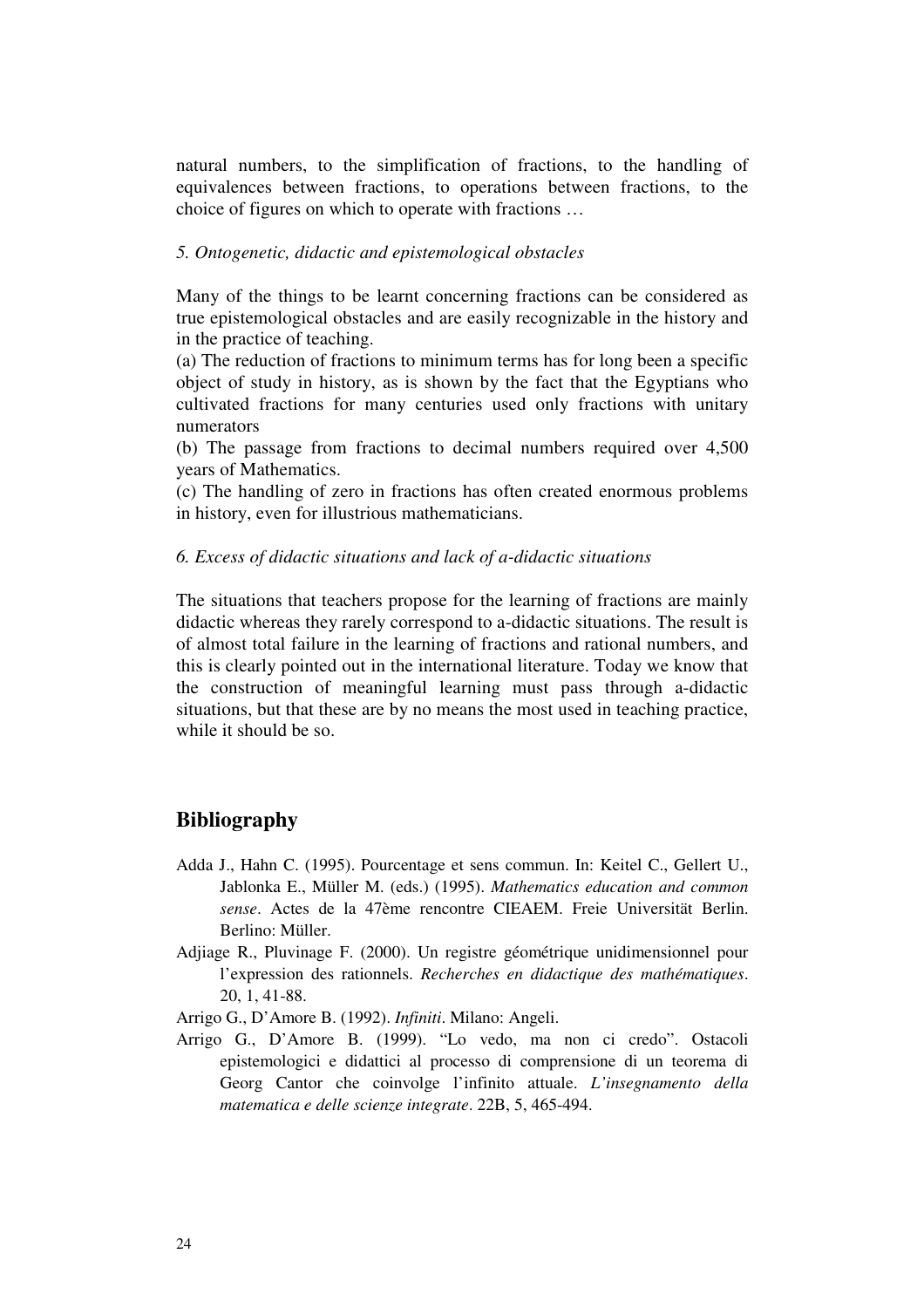natural numbers, to the simplification of fractions, to the handling of equivalences between fractions, to operations between fractions, to the choice of figures on which to operate with fractions …

### *5. Ontogenetic, didactic and epistemological obstacles*

Many of the things to be learnt concerning fractions can be considered as true epistemological obstacles and are easily recognizable in the history and in the practice of teaching.

(a) The reduction of fractions to minimum terms has for long been a specific object of study in history, as is shown by the fact that the Egyptians who cultivated fractions for many centuries used only fractions with unitary numerators

(b) The passage from fractions to decimal numbers required over 4,500 years of Mathematics.

(c) The handling of zero in fractions has often created enormous problems in history, even for illustrious mathematicians.

#### *6. Excess of didactic situations and lack of a-didactic situations*

The situations that teachers propose for the learning of fractions are mainly didactic whereas they rarely correspond to a-didactic situations. The result is of almost total failure in the learning of fractions and rational numbers, and this is clearly pointed out in the international literature. Today we know that the construction of meaningful learning must pass through a-didactic situations, but that these are by no means the most used in teaching practice, while it should be so.

## **Bibliography**

- Adda J., Hahn C. (1995). Pourcentage et sens commun. In: Keitel C., Gellert U., Jablonka E., Müller M. (eds.) (1995). *Mathematics education and common sense*. Actes de la 47ème rencontre CIEAEM. Freie Universität Berlin. Berlino: Müller.
- Adjiage R., Pluvinage F. (2000). Un registre géométrique unidimensionnel pour l'expression des rationnels. *Recherches en didactique des mathématiques*. 20, 1, 41-88.

Arrigo G., D'Amore B. (1992). *Infiniti*. Milano: Angeli.

Arrigo G., D'Amore B. (1999). "Lo vedo, ma non ci credo". Ostacoli epistemologici e didattici al processo di comprensione di un teorema di Georg Cantor che coinvolge l'infinito attuale. *L'insegnamento della matematica e delle scienze integrate*. 22B, 5, 465-494.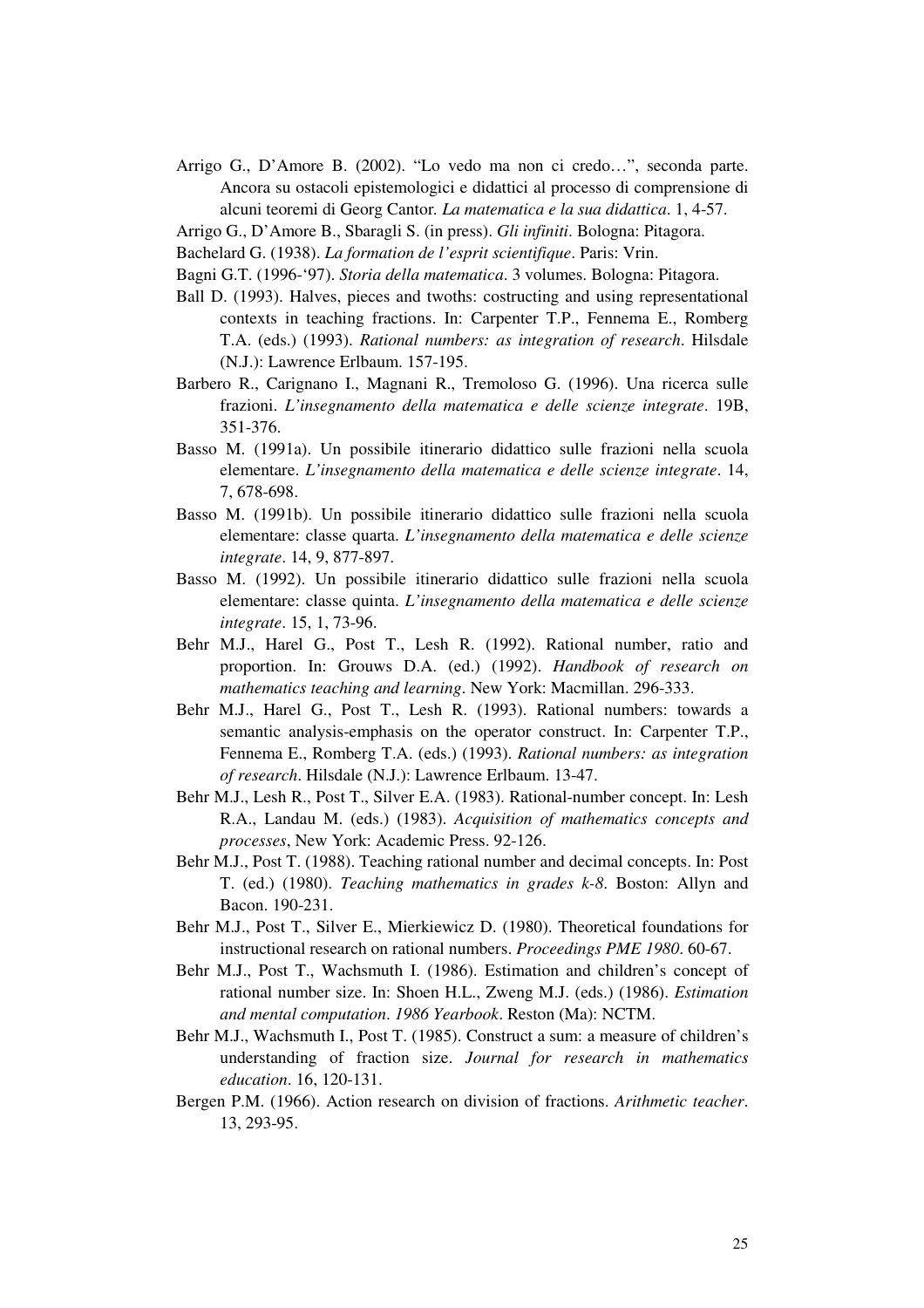- Arrigo G., D'Amore B. (2002). "Lo vedo ma non ci credo…", seconda parte. Ancora su ostacoli epistemologici e didattici al processo di comprensione di alcuni teoremi di Georg Cantor*. La matematica e la sua didattica*. 1, 4-57.
- Arrigo G., D'Amore B., Sbaragli S. (in press). *Gli infiniti*. Bologna: Pitagora.
- Bachelard G. (1938). *La formation de l'esprit scientifique*. Paris: Vrin.
- Bagni G.T. (1996-'97). *Storia della matematica*. 3 volumes. Bologna: Pitagora.
- Ball D. (1993). Halves, pieces and twoths: costructing and using representational contexts in teaching fractions. In: Carpenter T.P., Fennema E., Romberg T.A. (eds.) (1993). *Rational numbers: as integration of research*. Hilsdale (N.J.): Lawrence Erlbaum. 157-195.
- Barbero R., Carignano I., Magnani R., Tremoloso G. (1996). Una ricerca sulle frazioni. *L'insegnamento della matematica e delle scienze integrate*. 19B, 351-376.
- Basso M. (1991a). Un possibile itinerario didattico sulle frazioni nella scuola elementare. *L'insegnamento della matematica e delle scienze integrate*. 14, 7, 678-698.
- Basso M. (1991b). Un possibile itinerario didattico sulle frazioni nella scuola elementare: classe quarta. *L'insegnamento della matematica e delle scienze integrate*. 14, 9, 877-897.
- Basso M. (1992). Un possibile itinerario didattico sulle frazioni nella scuola elementare: classe quinta. *L'insegnamento della matematica e delle scienze integrate*. 15, 1, 73-96.
- Behr M.J., Harel G., Post T., Lesh R. (1992). Rational number, ratio and proportion. In: Grouws D.A. (ed.) (1992). *Handbook of research on mathematics teaching and learning*. New York: Macmillan. 296-333.
- Behr M.J., Harel G., Post T., Lesh R. (1993). Rational numbers: towards a semantic analysis-emphasis on the operator construct. In: Carpenter T.P., Fennema E., Romberg T.A. (eds.) (1993). *Rational numbers: as integration of research*. Hilsdale (N.J.): Lawrence Erlbaum. 13-47.
- Behr M.J., Lesh R., Post T., Silver E.A. (1983). Rational-number concept. In: Lesh R.A., Landau M. (eds.) (1983). *Acquisition of mathematics concepts and processes*, New York: Academic Press. 92-126.
- Behr M.J., Post T. (1988). Teaching rational number and decimal concepts. In: Post T. (ed.) (1980). *Teaching mathematics in grades k-8*. Boston: Allyn and Bacon. 190-231.
- Behr M.J., Post T., Silver E., Mierkiewicz D. (1980). Theoretical foundations for instructional research on rational numbers. *Proceedings PME 1980*. 60-67.
- Behr M.J., Post T., Wachsmuth I. (1986). Estimation and children's concept of rational number size. In: Shoen H.L., Zweng M.J. (eds.) (1986). *Estimation and mental computation*. *1986 Yearbook*. Reston (Ma): NCTM.
- Behr M.J., Wachsmuth I., Post T. (1985). Construct a sum: a measure of children's understanding of fraction size. *Journal for research in mathematics education*. 16, 120-131.
- Bergen P.M. (1966). Action research on division of fractions. *Arithmetic teacher*. 13, 293-95.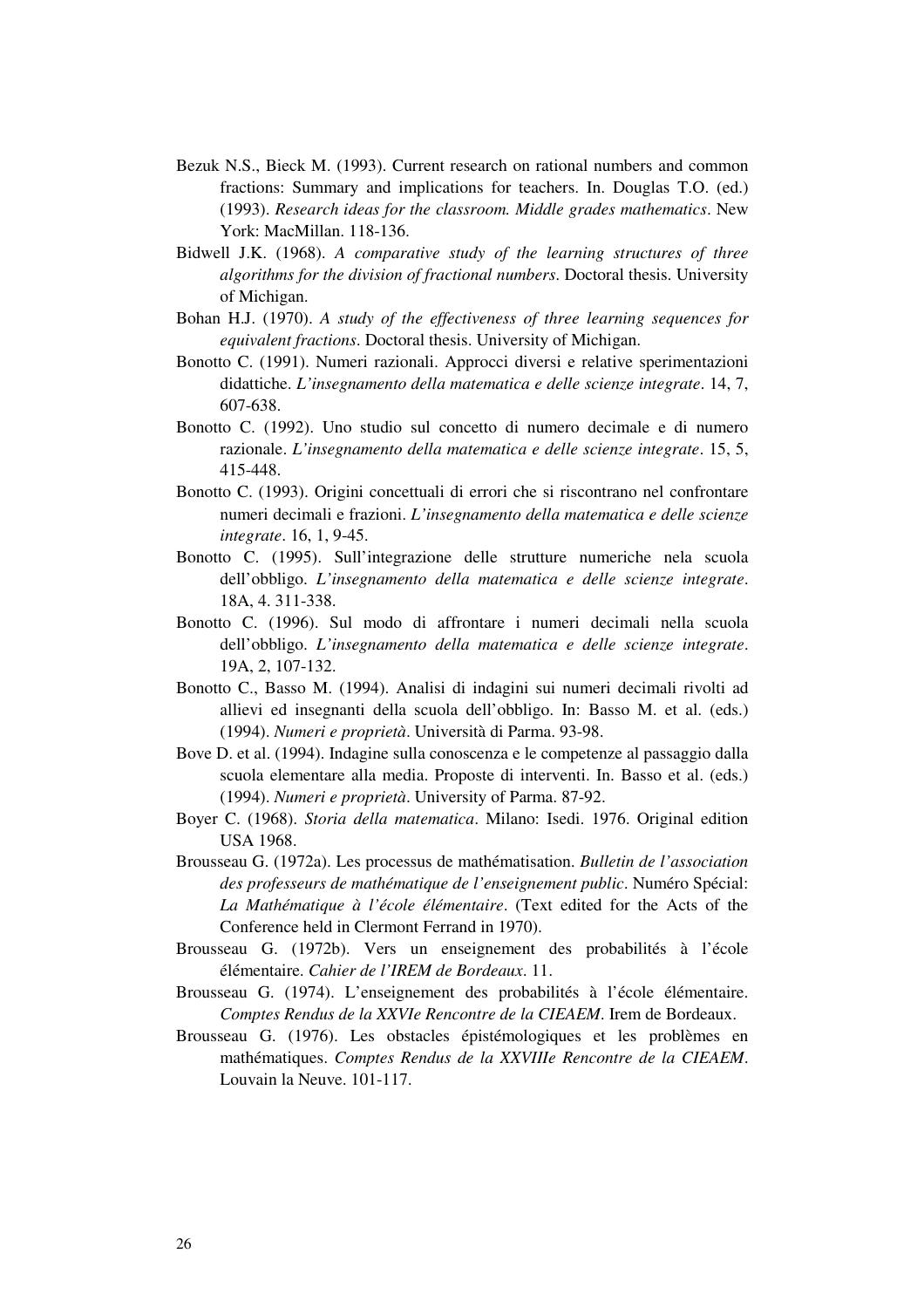- Bezuk N.S., Bieck M. (1993). Current research on rational numbers and common fractions: Summary and implications for teachers. In. Douglas T.O. (ed.) (1993). *Research ideas for the classroom. Middle grades mathematics*. New York: MacMillan. 118-136.
- Bidwell J.K. (1968). *A comparative study of the learning structures of three algorithms for the division of fractional numbers*. Doctoral thesis. University of Michigan.
- Bohan H.J. (1970). *A study of the effectiveness of three learning sequences for equivalent fractions*. Doctoral thesis. University of Michigan.
- Bonotto C. (1991). Numeri razionali. Approcci diversi e relative sperimentazioni didattiche. *L'insegnamento della matematica e delle scienze integrate*. 14, 7, 607-638.
- Bonotto C. (1992). Uno studio sul concetto di numero decimale e di numero razionale. *L'insegnamento della matematica e delle scienze integrate*. 15, 5, 415-448.
- Bonotto C. (1993). Origini concettuali di errori che si riscontrano nel confrontare numeri decimali e frazioni. *L'insegnamento della matematica e delle scienze integrate*. 16, 1, 9-45.
- Bonotto C. (1995). Sull'integrazione delle strutture numeriche nela scuola dell'obbligo. *L'insegnamento della matematica e delle scienze integrate*. 18A, 4. 311-338.
- Bonotto C. (1996). Sul modo di affrontare i numeri decimali nella scuola dell'obbligo. *L'insegnamento della matematica e delle scienze integrate*. 19A, 2, 107-132.
- Bonotto C., Basso M. (1994). Analisi di indagini sui numeri decimali rivolti ad allievi ed insegnanti della scuola dell'obbligo. In: Basso M. et al. (eds.) (1994). *Numeri e proprietà*. Università di Parma. 93-98.
- Bove D. et al. (1994). Indagine sulla conoscenza e le competenze al passaggio dalla scuola elementare alla media. Proposte di interventi. In. Basso et al. (eds.) (1994). *Numeri e proprietà*. University of Parma. 87-92.
- Boyer C. (1968). *Storia della matematica*. Milano: Isedi. 1976. Original edition USA 1968.
- Brousseau G. (1972a). Les processus de mathématisation. *Bulletin de l'association des professeurs de mathématique de l'enseignement public*. Numéro Spécial: *La Mathématique à l'école élémentaire*. (Text edited for the Acts of the Conference held in Clermont Ferrand in 1970).
- Brousseau G. (1972b). Vers un enseignement des probabilités à l'école élémentaire. *Cahier de l'IREM de Bordeaux*. 11.
- Brousseau G. (1974). L'enseignement des probabilités à l'école élémentaire. *Comptes Rendus de la XXVIe Rencontre de la CIEAEM*. Irem de Bordeaux.
- Brousseau G. (1976). Les obstacles épistémologiques et les problèmes en mathématiques. *Comptes Rendus de la XXVIIIe Rencontre de la CIEAEM*. Louvain la Neuve. 101-117.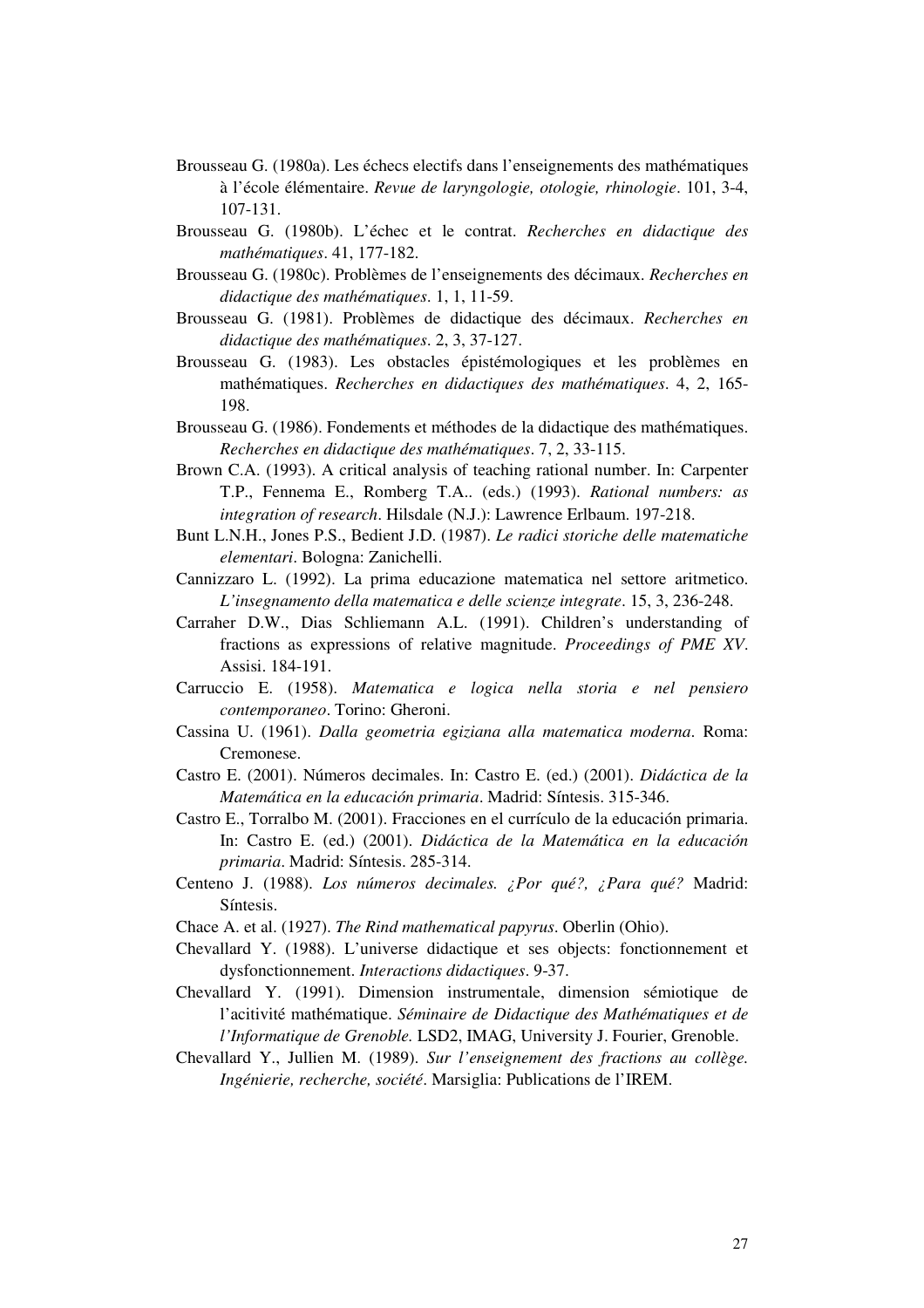- Brousseau G. (1980a). Les échecs electifs dans l'enseignements des mathématiques à l'école élémentaire. *Revue de laryngologie, otologie, rhinologie*. 101, 3-4, 107-131.
- Brousseau G. (1980b). L'échec et le contrat. *Recherches en didactique des mathématiques*. 41, 177-182.
- Brousseau G. (1980c). Problèmes de l'enseignements des décimaux. *Recherches en didactique des mathématiques*. 1, 1, 11-59.
- Brousseau G. (1981). Problèmes de didactique des décimaux. *Recherches en didactique des mathématiques*. 2, 3, 37-127.
- Brousseau G. (1983). Les obstacles épistémologiques et les problèmes en mathématiques. *Recherches en didactiques des mathématiques*. 4, 2, 165- 198.
- Brousseau G. (1986). Fondements et méthodes de la didactique des mathématiques. *Recherches en didactique des mathématiques*. 7, 2, 33-115.
- Brown C.A. (1993). A critical analysis of teaching rational number. In: Carpenter T.P., Fennema E., Romberg T.A.. (eds.) (1993). *Rational numbers: as integration of research*. Hilsdale (N.J.): Lawrence Erlbaum. 197-218.
- Bunt L.N.H., Jones P.S., Bedient J.D. (1987). *Le radici storiche delle matematiche elementari*. Bologna: Zanichelli.
- Cannizzaro L. (1992). La prima educazione matematica nel settore aritmetico. *L'insegnamento della matematica e delle scienze integrate*. 15, 3, 236-248.
- Carraher D.W., Dias Schliemann A.L. (1991). Children's understanding of fractions as expressions of relative magnitude. *Proceedings of PME XV*. Assisi. 184-191.
- Carruccio E. (1958). *Matematica e logica nella storia e nel pensiero contemporaneo*. Torino: Gheroni.
- Cassina U. (1961). *Dalla geometria egiziana alla matematica moderna*. Roma: Cremonese.
- Castro E. (2001). Números decimales. In: Castro E. (ed.) (2001). *Didáctica de la Matemática en la educación primaria*. Madrid: Síntesis. 315-346.
- Castro E., Torralbo M. (2001). Fracciones en el currículo de la educación primaria. In: Castro E. (ed.) (2001). *Didáctica de la Matemática en la educación primaria*. Madrid: Síntesis. 285-314.
- Centeno J. (1988). *Los números decimales. ¿Por qué?, ¿Para qué?* Madrid: Síntesis.
- Chace A. et al. (1927). *The Rind mathematical papyrus*. Oberlin (Ohio).
- Chevallard Y. (1988). L'universe didactique et ses objects: fonctionnement et dysfonctionnement. *Interactions didactiques*. 9-37.
- Chevallard Y. (1991). Dimension instrumentale, dimension sémiotique de l'acitivité mathématique. *Séminaire de Didactique des Mathématiques et de l'Informatique de Grenoble.* LSD2, IMAG, University J. Fourier, Grenoble.
- Chevallard Y., Jullien M. (1989). *Sur l'enseignement des fractions au collège. Ingénierie, recherche, société*. Marsiglia: Publications de l'IREM.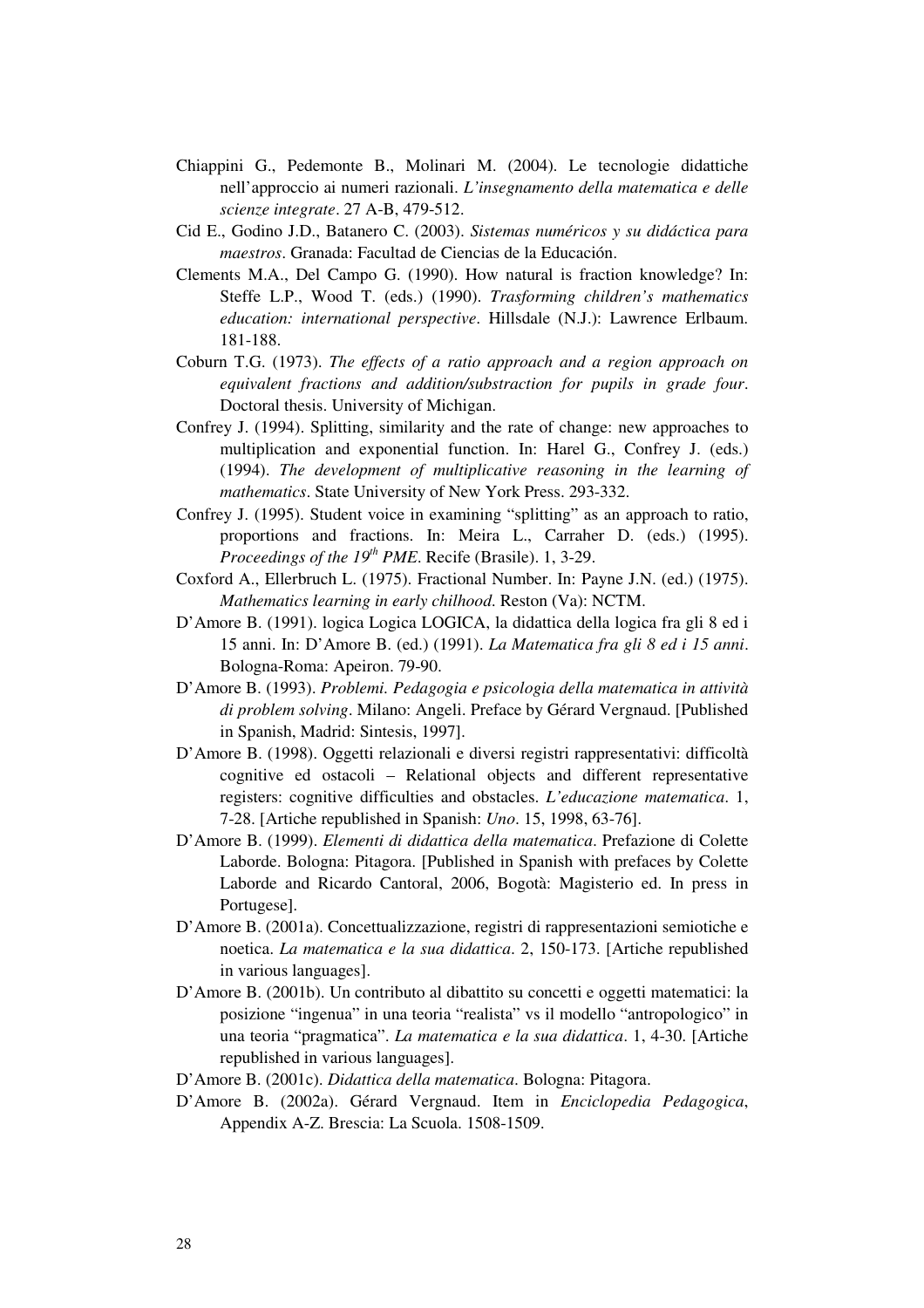- Chiappini G., Pedemonte B., Molinari M. (2004). Le tecnologie didattiche nell'approccio ai numeri razionali. *L'insegnamento della matematica e delle scienze integrate*. 27 A-B, 479-512.
- Cid E., Godino J.D., Batanero C. (2003). *Sistemas numéricos y su didáctica para maestros*. Granada: Facultad de Ciencias de la Educación.
- Clements M.A., Del Campo G. (1990). How natural is fraction knowledge? In: Steffe L.P., Wood T. (eds.) (1990). *Trasforming children's mathematics education: international perspective*. Hillsdale (N.J.): Lawrence Erlbaum. 181-188.
- Coburn T.G. (1973). *The effects of a ratio approach and a region approach on equivalent fractions and addition/substraction for pupils in grade four*. Doctoral thesis. University of Michigan.
- Confrey J. (1994). Splitting, similarity and the rate of change: new approaches to multiplication and exponential function. In: Harel G., Confrey J. (eds.) (1994). *The development of multiplicative reasoning in the learning of mathematics*. State University of New York Press. 293-332.
- Confrey J. (1995). Student voice in examining "splitting" as an approach to ratio, proportions and fractions. In: Meira L., Carraher D. (eds.) (1995). *Proceedings of the 19 th PME*. Recife (Brasile). 1, 3-29.
- Coxford A., Ellerbruch L. (1975). Fractional Number. In: Payne J.N. (ed.) (1975). *Mathematics learning in early chilhood*. Reston (Va): NCTM.
- D'Amore B. (1991). logica Logica LOGICA, la didattica della logica fra gli 8 ed i 15 anni. In: D'Amore B. (ed.) (1991). *La Matematica fra gli 8 ed i 15 anni*. Bologna-Roma: Apeiron. 79-90.
- D'Amore B. (1993). *Problemi. Pedagogia e psicologia della matematica in attività di problem solving*. Milano: Angeli. Preface by Gérard Vergnaud. [Published in Spanish, Madrid: Sintesis, 1997].
- D'Amore B. (1998). Oggetti relazionali e diversi registri rappresentativi: difficoltà cognitive ed ostacoli – Relational objects and different representative registers: cognitive difficulties and obstacles. *L'educazione matematica*. 1, 7-28. [Artiche republished in Spanish: *Uno*. 15, 1998, 63-76].
- D'Amore B. (1999). *Elementi di didattica della matematica*. Prefazione di Colette Laborde. Bologna: Pitagora. [Published in Spanish with prefaces by Colette Laborde and Ricardo Cantoral, 2006, Bogotà: Magisterio ed. In press in Portugese].
- D'Amore B. (2001a). Concettualizzazione, registri di rappresentazioni semiotiche e noetica. *La matematica e la sua didattica*. 2, 150-173. [Artiche republished in various languages].
- D'Amore B. (2001b). Un contributo al dibattito su concetti e oggetti matematici: la posizione "ingenua" in una teoria "realista" vs il modello "antropologico" in una teoria "pragmatica". *La matematica e la sua didattica*. 1, 4-30. [Artiche republished in various languages].
- D'Amore B. (2001c). *Didattica della matematica*. Bologna: Pitagora.
- D'Amore B. (2002a). Gérard Vergnaud. Item in *Enciclopedia Pedagogica*, Appendix A-Z. Brescia: La Scuola. 1508-1509.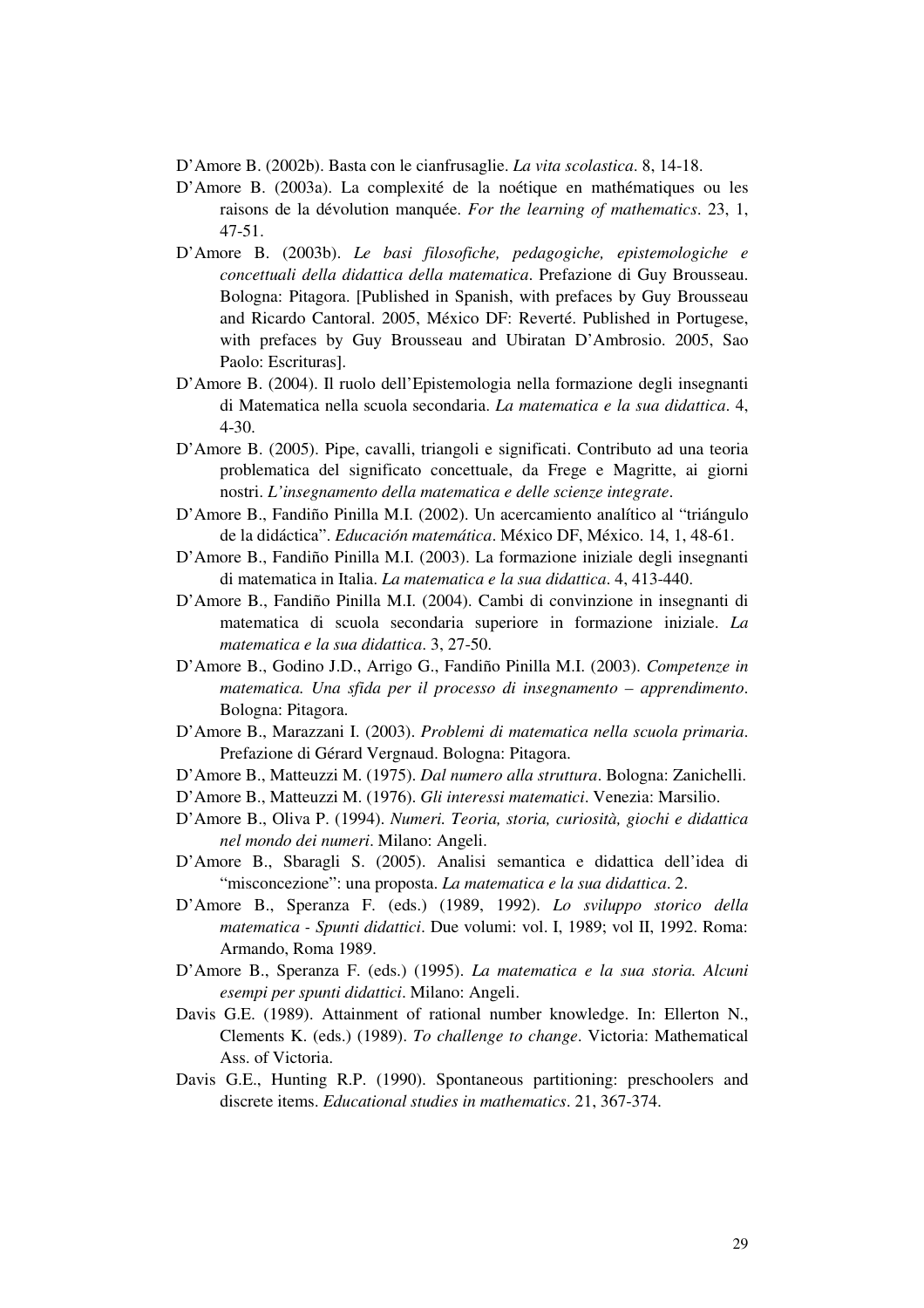D'Amore B. (2002b). Basta con le cianfrusaglie. *La vita scolastica*. 8, 14-18.

- D'Amore B. (2003a). La complexité de la noétique en mathématiques ou les raisons de la dévolution manquée. *For the learning of mathematics*. 23, 1, 47-51.
- D'Amore B. (2003b). *Le basi filosofiche, pedagogiche, epistemologiche e concettuali della didattica della matematica*. Prefazione di Guy Brousseau. Bologna: Pitagora. [Published in Spanish, with prefaces by Guy Brousseau and Ricardo Cantoral. 2005, México DF: Reverté. Published in Portugese, with prefaces by Guy Brousseau and Ubiratan D'Ambrosio. 2005, Sao Paolo: Escrituras].
- D'Amore B. (2004). Il ruolo dell'Epistemologia nella formazione degli insegnanti di Matematica nella scuola secondaria. *La matematica e la sua didattica*. 4, 4-30.
- D'Amore B. (2005). Pipe, cavalli, triangoli e significati. Contributo ad una teoria problematica del significato concettuale, da Frege e Magritte, ai giorni nostri. *L'insegnamento della matematica e delle scienze integrate*.
- D'Amore B., Fandiño Pinilla M.I. (2002). Un acercamiento analítico al "triángulo de la didáctica". *Educación matemática*. México DF, México. 14, 1, 48-61.
- D'Amore B., Fandiño Pinilla M.I. (2003). La formazione iniziale degli insegnanti di matematica in Italia. *La matematica e la sua didattica*. 4, 413-440.
- D'Amore B., Fandiño Pinilla M.I. (2004). Cambi di convinzione in insegnanti di matematica di scuola secondaria superiore in formazione iniziale. *La matematica e la sua didattica*. 3, 27-50.
- D'Amore B., Godino J.D., Arrigo G., Fandiño Pinilla M.I. (2003). *Competenze in matematica. Una sfida per il processo di insegnamento – apprendimento*. Bologna: Pitagora.
- D'Amore B., Marazzani I. (2003). *Problemi di matematica nella scuola primaria*. Prefazione di Gérard Vergnaud. Bologna: Pitagora.
- D'Amore B., Matteuzzi M. (1975). *Dal numero alla struttura*. Bologna: Zanichelli.
- D'Amore B., Matteuzzi M. (1976). *Gli interessi matematici*. Venezia: Marsilio.
- D'Amore B., Oliva P. (1994). *Numeri. Teoria, storia, curiosità, giochi e didattica nel mondo dei numeri*. Milano: Angeli.
- D'Amore B., Sbaragli S. (2005). Analisi semantica e didattica dell'idea di "misconcezione": una proposta. *La matematica e la sua didattica*. 2.
- D'Amore B., Speranza F. (eds.) (1989, 1992). *Lo sviluppo storico della matematica - Spunti didattici*. Due volumi: vol. I, 1989; vol II, 1992. Roma: Armando, Roma 1989.
- D'Amore B., Speranza F. (eds.) (1995). *La matematica e la sua storia. Alcuni esempi per spunti didattici*. Milano: Angeli.
- Davis G.E. (1989). Attainment of rational number knowledge. In: Ellerton N., Clements K. (eds.) (1989). *To challenge to change*. Victoria: Mathematical Ass. of Victoria.
- Davis G.E., Hunting R.P. (1990). Spontaneous partitioning: preschoolers and discrete items. *Educational studies in mathematics*. 21, 367-374.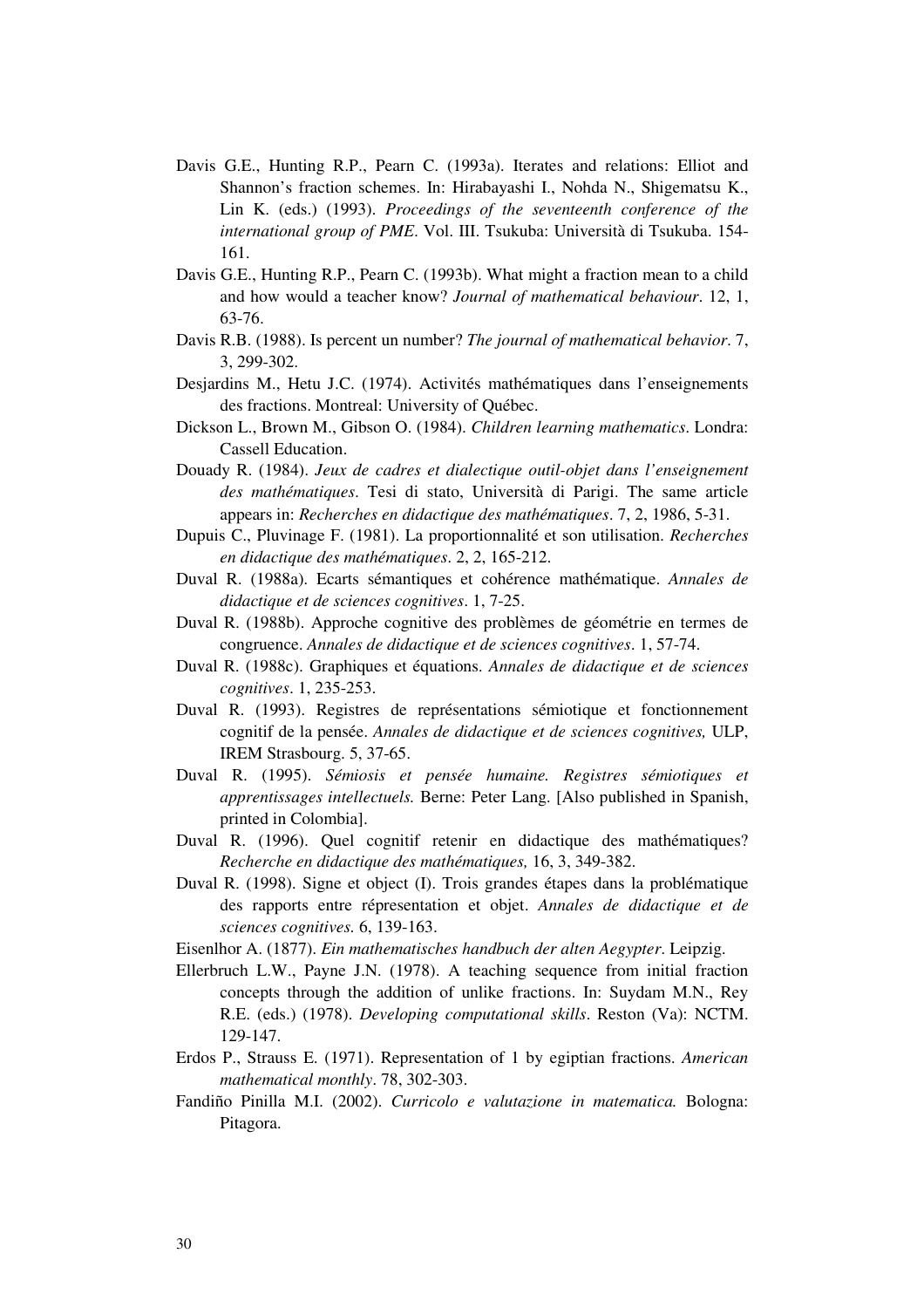- Davis G.E., Hunting R.P., Pearn C. (1993a). Iterates and relations: Elliot and Shannon's fraction schemes. In: Hirabayashi I., Nohda N., Shigematsu K., Lin K. (eds.) (1993). *Proceedings of the seventeenth conference of the international group of PME*. Vol. III. Tsukuba: Università di Tsukuba. 154- 161.
- Davis G.E., Hunting R.P., Pearn C. (1993b). What might a fraction mean to a child and how would a teacher know? *Journal of mathematical behaviour*. 12, 1, 63-76.
- Davis R.B. (1988). Is percent un number? *The journal of mathematical behavior*. 7, 3, 299-302.
- Desjardins M., Hetu J.C. (1974). Activités mathématiques dans l'enseignements des fractions. Montreal: University of Québec.
- Dickson L., Brown M., Gibson O. (1984). *Children learning mathematics*. Londra: Cassell Education.
- Douady R. (1984). *Jeux de cadres et dialectique outil-objet dans l'enseignement des mathématiques*. Tesi di stato, Università di Parigi. The same article appears in: *Recherches en didactique des mathématiques*. 7, 2, 1986, 5-31.
- Dupuis C., Pluvinage F. (1981). La proportionnalité et son utilisation. *Recherches en didactique des mathématiques*. 2, 2, 165-212.
- Duval R. (1988a). Ecarts sémantiques et cohérence mathématique. *Annales de didactique et de sciences cognitives*. 1, 7-25.
- Duval R. (1988b). Approche cognitive des problèmes de géométrie en termes de congruence. *Annales de didactique et de sciences cognitives*. 1, 57-74.
- Duval R. (1988c). Graphiques et équations. *Annales de didactique et de sciences cognitives*. 1, 235-253.
- Duval R. (1993). Registres de représentations sémiotique et fonctionnement cognitif de la pensée. *Annales de didactique et de sciences cognitives,* ULP, IREM Strasbourg. 5, 37-65.
- Duval R. (1995). *Sémiosis et pensée humaine. Registres sémiotiques et apprentissages intellectuels.* Berne: Peter Lang. [Also published in Spanish, printed in Colombia].
- Duval R. (1996). Quel cognitif retenir en didactique des mathématiques? *Recherche en didactique des mathématiques,* 16, 3, 349-382.
- Duval R. (1998). Signe et object (I). Trois grandes étapes dans la problématique des rapports entre répresentation et objet. *Annales de didactique et de sciences cognitives.* 6, 139-163.
- Eisenlhor A. (1877). *Ein mathematisches handbuch der alten Aegypter*. Leipzig.
- Ellerbruch L.W., Payne J.N. (1978). A teaching sequence from initial fraction concepts through the addition of unlike fractions. In: Suydam M.N., Rey R.E. (eds.) (1978). *Developing computational skills*. Reston (Va): NCTM. 129-147.
- Erdos P., Strauss E. (1971). Representation of 1 by egiptian fractions. *American mathematical monthly*. 78, 302-303.
- Fandiño Pinilla M.I. (2002). *Curricolo e valutazione in matematica.* Bologna: Pitagora.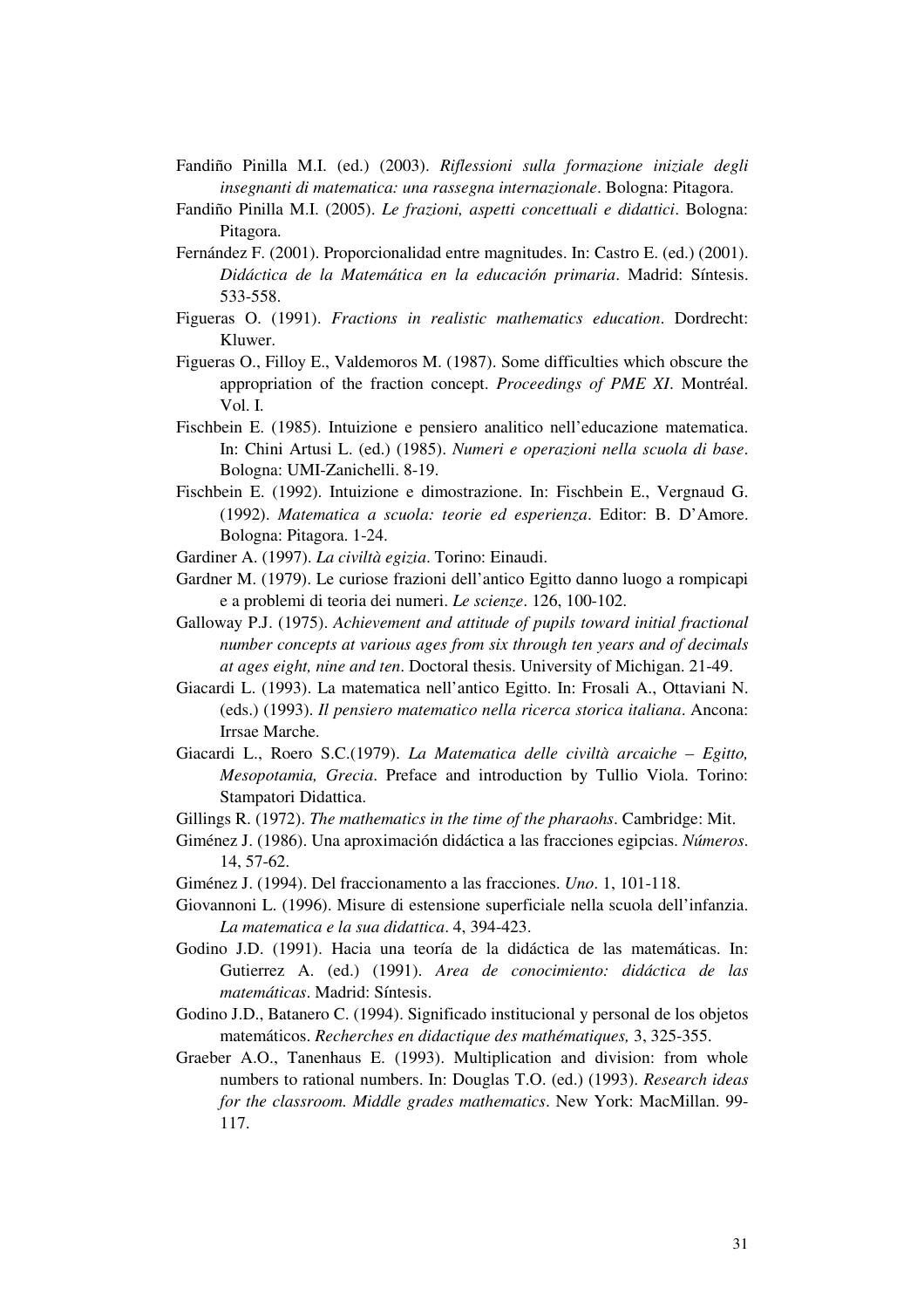- Fandiño Pinilla M.I. (ed.) (2003). *Riflessioni sulla formazione iniziale degli insegnanti di matematica: una rassegna internazionale*. Bologna: Pitagora.
- Fandiño Pinilla M.I. (2005). *Le frazioni, aspetti concettuali e didattici*. Bologna: Pitagora.
- Fernández F. (2001). Proporcionalidad entre magnitudes. In: Castro E. (ed.) (2001). *Didáctica de la Matemática en la educación primaria*. Madrid: Síntesis. 533-558.
- Figueras O. (1991). *Fractions in realistic mathematics education*. Dordrecht: Kluwer.
- Figueras O., Filloy E., Valdemoros M. (1987). Some difficulties which obscure the appropriation of the fraction concept. *Proceedings of PME XI*. Montréal. Vol. I.
- Fischbein E. (1985). Intuizione e pensiero analitico nell'educazione matematica. In: Chini Artusi L. (ed.) (1985). *Numeri e operazioni nella scuola di base*. Bologna: UMI-Zanichelli. 8-19.
- Fischbein E. (1992). Intuizione e dimostrazione. In: Fischbein E., Vergnaud G. (1992). *Matematica a scuola: teorie ed esperienza*. Editor: B. D'Amore. Bologna: Pitagora. 1-24.
- Gardiner A. (1997). *La civiltà egizia*. Torino: Einaudi.
- Gardner M. (1979). Le curiose frazioni dell'antico Egitto danno luogo a rompicapi e a problemi di teoria dei numeri. *Le scienze*. 126, 100-102.
- Galloway P.J. (1975). *Achievement and attitude of pupils toward initial fractional number concepts at various ages from six through ten years and of decimals at ages eight, nine and ten*. Doctoral thesis. University of Michigan. 21-49.
- Giacardi L. (1993). La matematica nell'antico Egitto. In: Frosali A., Ottaviani N. (eds.) (1993). *Il pensiero matematico nella ricerca storica italiana*. Ancona: Irrsae Marche.
- Giacardi L., Roero S.C.(1979). *La Matematica delle civiltà arcaiche – Egitto, Mesopotamia, Grecia*. Preface and introduction by Tullio Viola. Torino: Stampatori Didattica.
- Gillings R. (1972). *The mathematics in the time of the pharaohs*. Cambridge: Mit.
- Giménez J. (1986). Una aproximación didáctica a las fracciones egipcias. *Números*. 14, 57-62.
- Giménez J. (1994). Del fraccionamento a las fracciones. *Uno*. 1, 101-118.
- Giovannoni L. (1996). Misure di estensione superficiale nella scuola dell'infanzia. *La matematica e la sua didattica*. 4, 394-423.
- Godino J.D. (1991). Hacia una teoría de la didáctica de las matemáticas. In: Gutierrez A. (ed.) (1991). *Area de conocimiento: didáctica de las matemáticas*. Madrid: Síntesis.
- Godino J.D., Batanero C. (1994). Significado institucional y personal de los objetos matemáticos. *Recherches en didactique des mathématiques,* 3, 325-355.
- Graeber A.O., Tanenhaus E. (1993). Multiplication and division: from whole numbers to rational numbers. In: Douglas T.O. (ed.) (1993). *Research ideas for the classroom. Middle grades mathematics*. New York: MacMillan. 99- 117.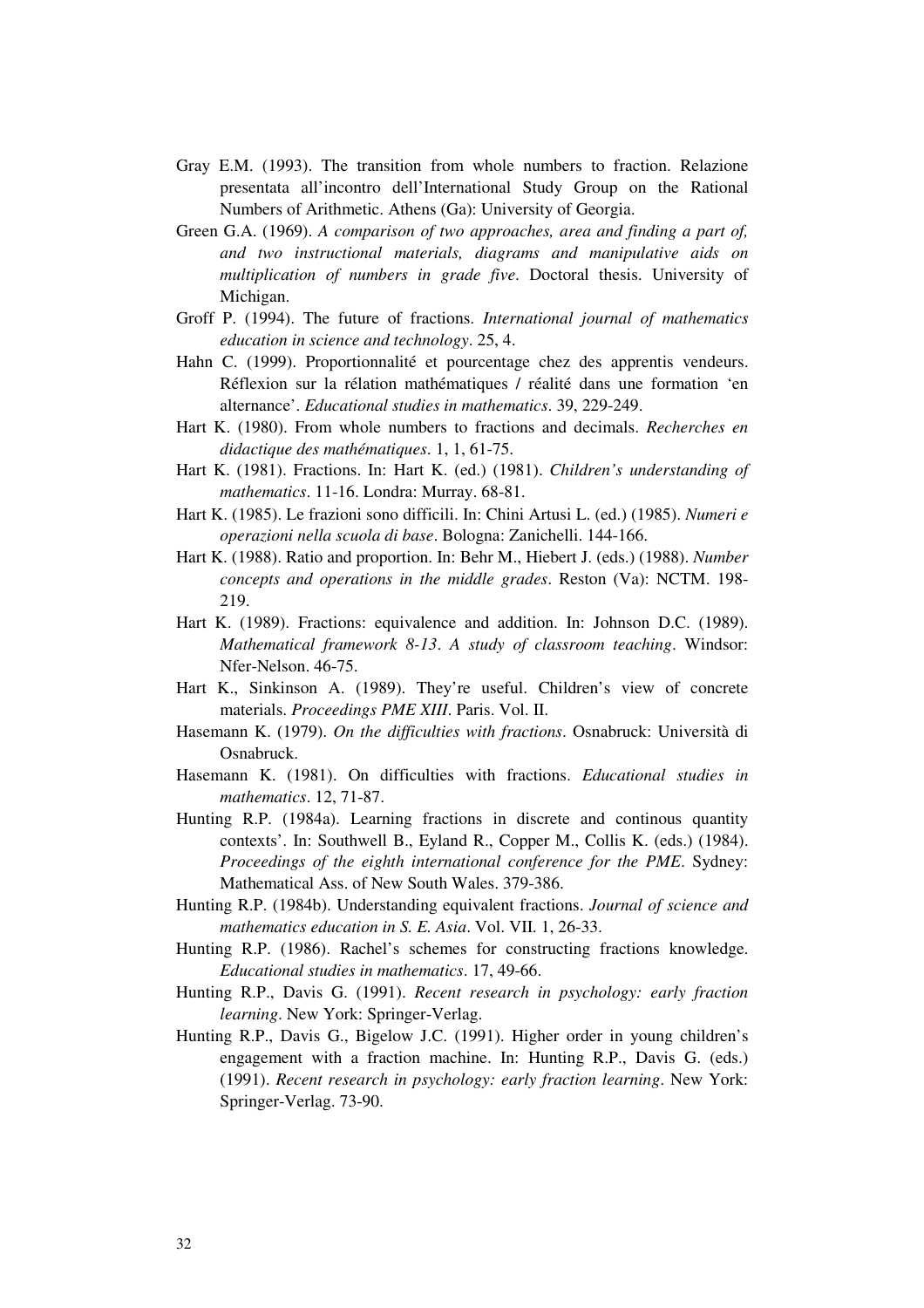- Gray E.M. (1993). The transition from whole numbers to fraction. Relazione presentata all'incontro dell'International Study Group on the Rational Numbers of Arithmetic. Athens (Ga): University of Georgia.
- Green G.A. (1969). *A comparison of two approaches, area and finding a part of, and two instructional materials, diagrams and manipulative aids on multiplication of numbers in grade five*. Doctoral thesis. University of Michigan.
- Groff P. (1994). The future of fractions. *International journal of mathematics education in science and technology*. 25, 4.
- Hahn C. (1999). Proportionnalité et pourcentage chez des apprentis vendeurs. Réflexion sur la rélation mathématiques / réalité dans une formation 'en alternance'. *Educational studies in mathematics*. 39, 229-249.
- Hart K. (1980). From whole numbers to fractions and decimals. *Recherches en didactique des mathématiques*. 1, 1, 61-75.
- Hart K. (1981). Fractions. In: Hart K. (ed.) (1981). *Children's understanding of mathematics*. 11-16. Londra: Murray. 68-81.
- Hart K. (1985). Le frazioni sono difficili. In: Chini Artusi L. (ed.) (1985). *Numeri e operazioni nella scuola di base*. Bologna: Zanichelli. 144-166.
- Hart K. (1988). Ratio and proportion. In: Behr M., Hiebert J. (eds.) (1988). *Number concepts and operations in the middle grades*. Reston (Va): NCTM. 198- 219.
- Hart K. (1989). Fractions: equivalence and addition. In: Johnson D.C. (1989). *Mathematical framework 8-13*. *A study of classroom teaching*. Windsor: Nfer-Nelson. 46-75.
- Hart K., Sinkinson A. (1989). They're useful. Children's view of concrete materials. *Proceedings PME XIII*. Paris. Vol. II.
- Hasemann K. (1979). *On the difficulties with fractions*. Osnabruck: Università di Osnabruck.
- Hasemann K. (1981). On difficulties with fractions. *Educational studies in mathematics*. 12, 71-87.
- Hunting R.P. (1984a). Learning fractions in discrete and continous quantity contexts'. In: Southwell B., Eyland R., Copper M., Collis K. (eds.) (1984). *Proceedings of the eighth international conference for the PME*. Sydney: Mathematical Ass. of New South Wales. 379-386.
- Hunting R.P. (1984b). Understanding equivalent fractions. *Journal of science and mathematics education in S. E. Asia*. Vol. VII. 1, 26-33.
- Hunting R.P. (1986). Rachel's schemes for constructing fractions knowledge. *Educational studies in mathematics*. 17, 49-66.
- Hunting R.P., Davis G. (1991). *Recent research in psychology: early fraction learning*. New York: Springer-Verlag.
- Hunting R.P., Davis G., Bigelow J.C. (1991). Higher order in young children's engagement with a fraction machine. In: Hunting R.P., Davis G. (eds.) (1991). *Recent research in psychology: early fraction learning*. New York: Springer-Verlag. 73-90.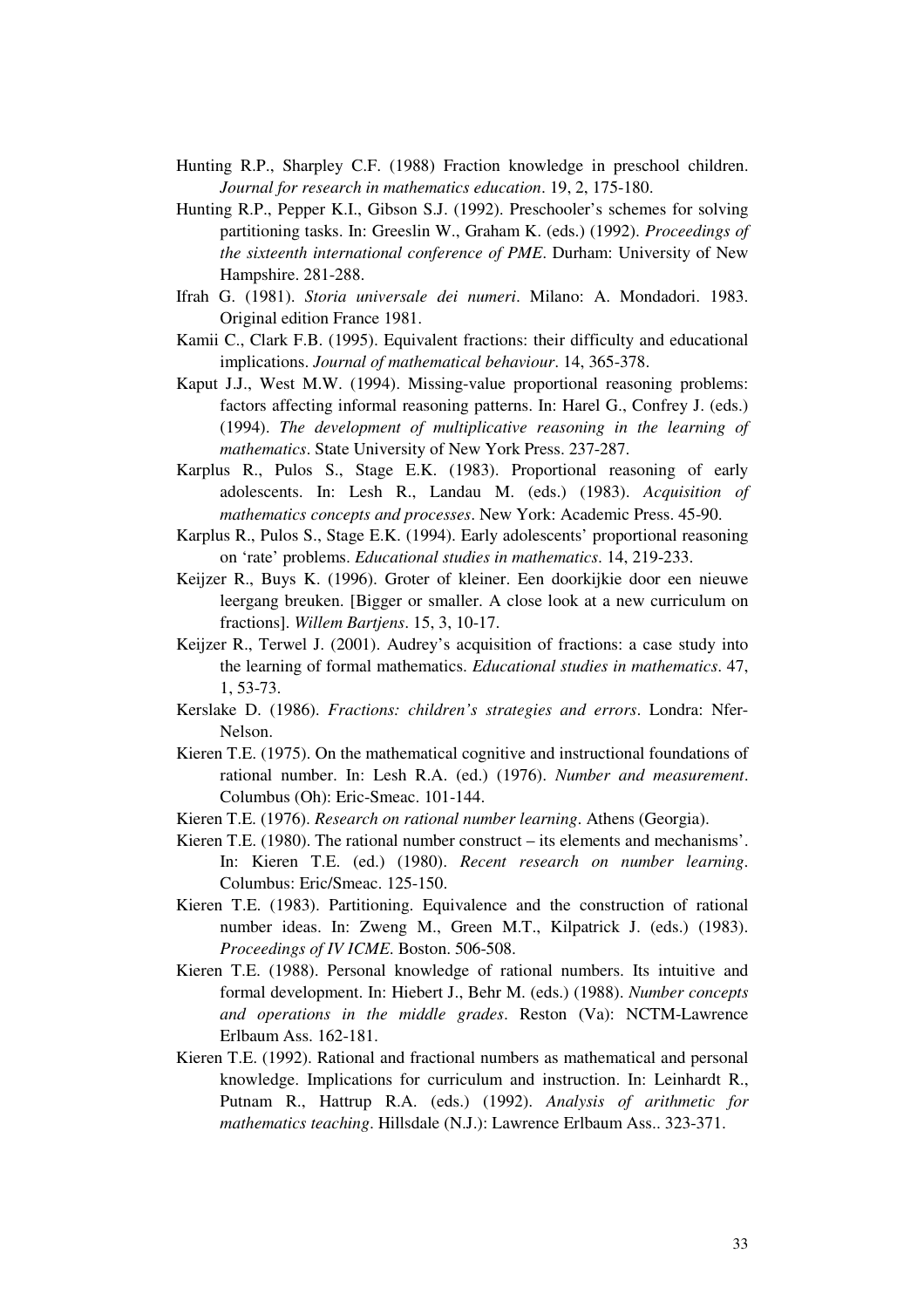- Hunting R.P., Sharpley C.F. (1988) Fraction knowledge in preschool children. *Journal for research in mathematics education*. 19, 2, 175-180.
- Hunting R.P., Pepper K.I., Gibson S.J. (1992). Preschooler's schemes for solving partitioning tasks. In: Greeslin W., Graham K. (eds.) (1992). *Proceedings of the sixteenth international conference of PME*. Durham: University of New Hampshire. 281-288.
- Ifrah G. (1981). *Storia universale dei numeri*. Milano: A. Mondadori. 1983. Original edition France 1981.
- Kamii C., Clark F.B. (1995). Equivalent fractions: their difficulty and educational implications. *Journal of mathematical behaviour*. 14, 365-378.
- Kaput J.J., West M.W. (1994). Missing-value proportional reasoning problems: factors affecting informal reasoning patterns. In: Harel G., Confrey J. (eds.) (1994). *The development of multiplicative reasoning in the learning of mathematics*. State University of New York Press. 237-287.
- Karplus R., Pulos S., Stage E.K. (1983). Proportional reasoning of early adolescents. In: Lesh R., Landau M. (eds.) (1983). *Acquisition of mathematics concepts and processes*. New York: Academic Press. 45-90.
- Karplus R., Pulos S., Stage E.K. (1994). Early adolescents' proportional reasoning on 'rate' problems. *Educational studies in mathematics*. 14, 219-233.
- Keijzer R., Buys K. (1996). Groter of kleiner. Een doorkijkie door een nieuwe leergang breuken. [Bigger or smaller. A close look at a new curriculum on fractions]. *Willem Bartjens*. 15, 3, 10-17.
- Keijzer R., Terwel J. (2001). Audrey's acquisition of fractions: a case study into the learning of formal mathematics. *Educational studies in mathematics*. 47, 1, 53-73.
- Kerslake D. (1986). *Fractions: children's strategies and errors*. Londra: Nfer-Nelson.
- Kieren T.E. (1975). On the mathematical cognitive and instructional foundations of rational number. In: Lesh R.A. (ed.) (1976). *Number and measurement*. Columbus (Oh): Eric-Smeac. 101-144.
- Kieren T.E. (1976). *Research on rational number learning*. Athens (Georgia).
- Kieren T.E. (1980). The rational number construct its elements and mechanisms'. In: Kieren T.E. (ed.) (1980). *Recent research on number learning*. Columbus: Eric/Smeac. 125-150.
- Kieren T.E. (1983). Partitioning. Equivalence and the construction of rational number ideas. In: Zweng M., Green M.T., Kilpatrick J. (eds.) (1983). *Proceedings of IV ICME*. Boston. 506-508.
- Kieren T.E. (1988). Personal knowledge of rational numbers. Its intuitive and formal development. In: Hiebert J., Behr M. (eds.) (1988). *Number concepts and operations in the middle grades*. Reston (Va): NCTM-Lawrence Erlbaum Ass. 162-181.
- Kieren T.E. (1992). Rational and fractional numbers as mathematical and personal knowledge. Implications for curriculum and instruction. In: Leinhardt R., Putnam R., Hattrup R.A. (eds.) (1992). *Analysis of arithmetic for mathematics teaching*. Hillsdale (N.J.): Lawrence Erlbaum Ass.. 323-371.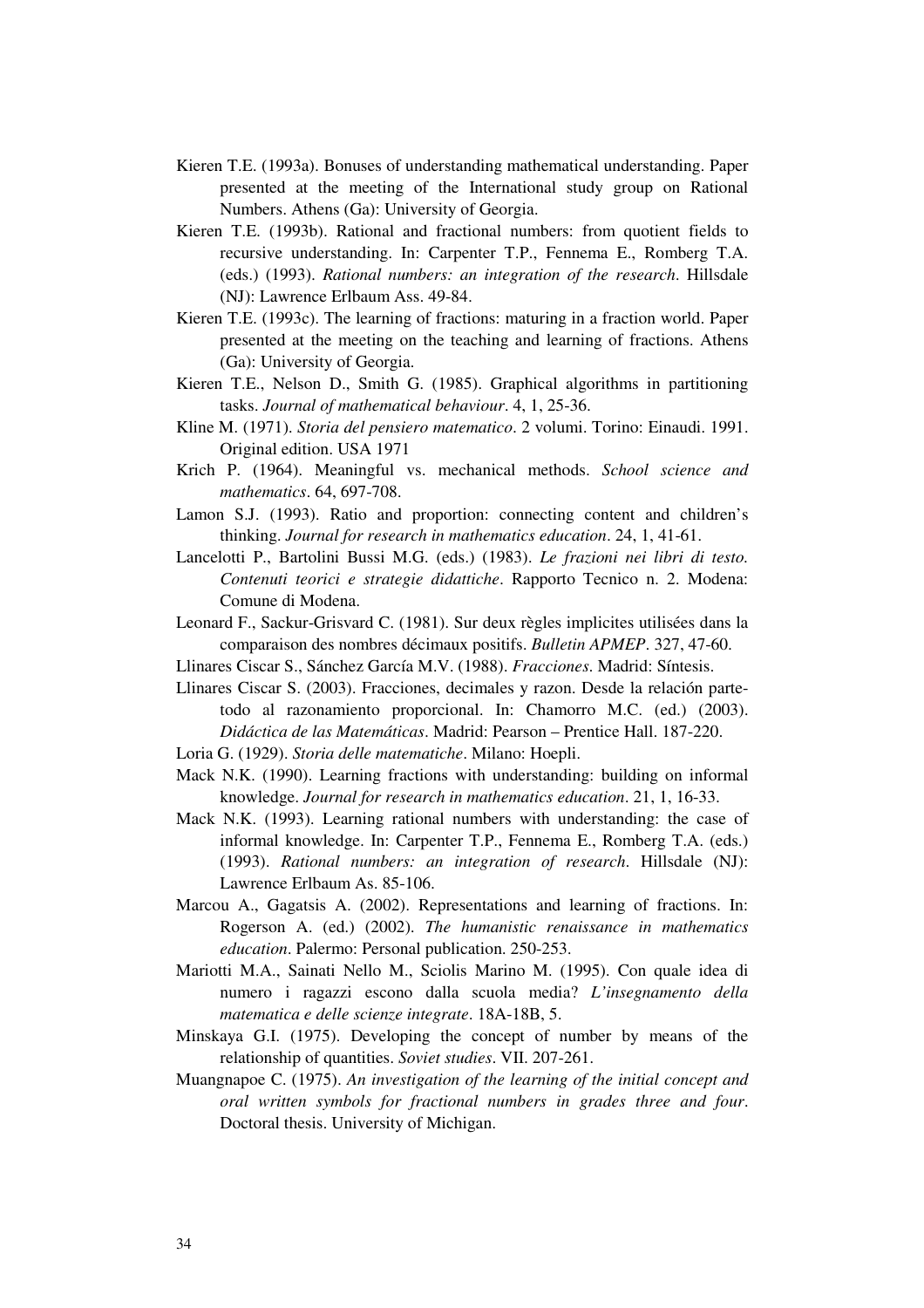- Kieren T.E. (1993a). Bonuses of understanding mathematical understanding. Paper presented at the meeting of the International study group on Rational Numbers. Athens (Ga): University of Georgia.
- Kieren T.E. (1993b). Rational and fractional numbers: from quotient fields to recursive understanding. In: Carpenter T.P., Fennema E., Romberg T.A. (eds.) (1993). *Rational numbers: an integration of the research*. Hillsdale (NJ): Lawrence Erlbaum Ass. 49-84.
- Kieren T.E. (1993c). The learning of fractions: maturing in a fraction world. Paper presented at the meeting on the teaching and learning of fractions. Athens (Ga): University of Georgia.
- Kieren T.E., Nelson D., Smith G. (1985). Graphical algorithms in partitioning tasks. *Journal of mathematical behaviour*. 4, 1, 25-36.
- Kline M. (1971). *Storia del pensiero matematico*. 2 volumi. Torino: Einaudi. 1991. Original edition. USA 1971
- Krich P. (1964). Meaningful vs. mechanical methods. *School science and mathematics*. 64, 697-708.
- Lamon S.J. (1993). Ratio and proportion: connecting content and children's thinking. *Journal for research in mathematics education*. 24, 1, 41-61.
- Lancelotti P., Bartolini Bussi M.G. (eds.) (1983). *Le frazioni nei libri di testo. Contenuti teorici e strategie didattiche*. Rapporto Tecnico n. 2. Modena: Comune di Modena.
- Leonard F., Sackur-Grisvard C. (1981). Sur deux règles implicites utilisées dans la comparaison des nombres décimaux positifs. *Bulletin APMEP*. 327, 47-60.
- Llinares Ciscar S., Sánchez García M.V. (1988). *Fracciones*. Madrid: Síntesis.
- Llinares Ciscar S. (2003). Fracciones, decimales y razon. Desde la relación partetodo al razonamiento proporcional. In: Chamorro M.C. (ed.) (2003). *Didáctica de las Matemáticas*. Madrid: Pearson – Prentice Hall. 187-220.
- Loria G. (1929). *Storia delle matematiche*. Milano: Hoepli.
- Mack N.K. (1990). Learning fractions with understanding: building on informal knowledge. *Journal for research in mathematics education*. 21, 1, 16-33.
- Mack N.K. (1993). Learning rational numbers with understanding: the case of informal knowledge. In: Carpenter T.P., Fennema E., Romberg T.A. (eds.) (1993). *Rational numbers: an integration of research*. Hillsdale (NJ): Lawrence Erlbaum As. 85-106.
- Marcou A., Gagatsis A. (2002). Representations and learning of fractions. In: Rogerson A. (ed.) (2002). *The humanistic renaissance in mathematics education*. Palermo: Personal publication. 250-253.
- Mariotti M.A., Sainati Nello M., Sciolis Marino M. (1995). Con quale idea di numero i ragazzi escono dalla scuola media? *L'insegnamento della matematica e delle scienze integrate*. 18A-18B, 5.
- Minskaya G.I. (1975). Developing the concept of number by means of the relationship of quantities. *Soviet studies*. VII. 207-261.
- Muangnapoe C. (1975). *An investigation of the learning of the initial concept and oral written symbols for fractional numbers in grades three and four*. Doctoral thesis. University of Michigan.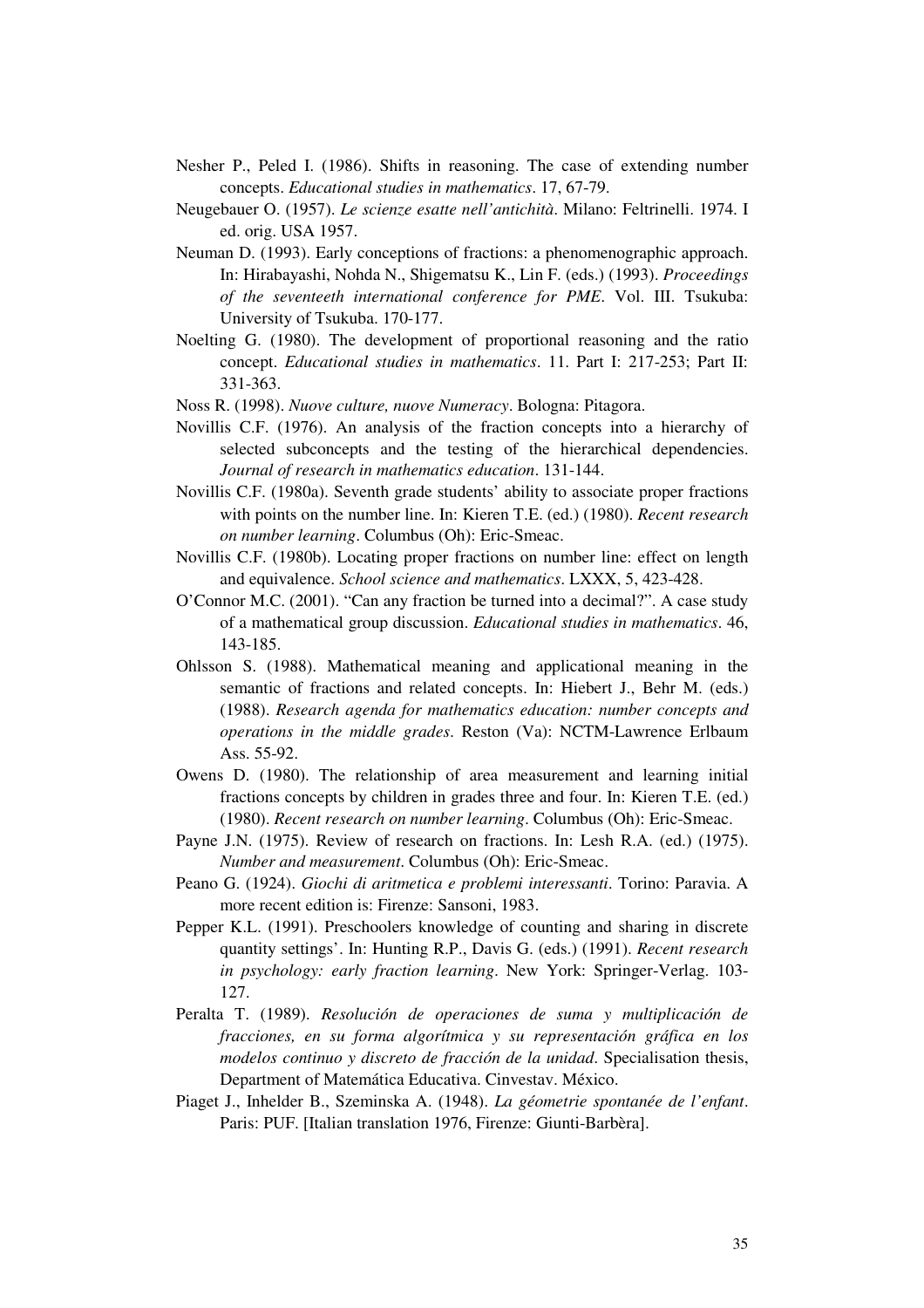- Nesher P., Peled I. (1986). Shifts in reasoning. The case of extending number concepts. *Educational studies in mathematics*. 17, 67-79.
- Neugebauer O. (1957). *Le scienze esatte nell'antichità*. Milano: Feltrinelli. 1974. I ed. orig. USA 1957.
- Neuman D. (1993). Early conceptions of fractions: a phenomenographic approach. In: Hirabayashi, Nohda N., Shigematsu K., Lin F. (eds.) (1993). *Proceedings of the seventeeth international conference for PME*. Vol. III. Tsukuba: University of Tsukuba. 170-177.
- Noelting G. (1980). The development of proportional reasoning and the ratio concept. *Educational studies in mathematics*. 11. Part I: 217-253; Part II: 331-363.
- Noss R. (1998). *Nuove culture, nuove Numeracy*. Bologna: Pitagora.
- Novillis C.F. (1976). An analysis of the fraction concepts into a hierarchy of selected subconcepts and the testing of the hierarchical dependencies. *Journal of research in mathematics education*. 131-144.
- Novillis C.F. (1980a). Seventh grade students' ability to associate proper fractions with points on the number line. In: Kieren T.E. (ed.) (1980). *Recent research on number learning*. Columbus (Oh): Eric-Smeac.
- Novillis C.F. (1980b). Locating proper fractions on number line: effect on length and equivalence. *School science and mathematics*. LXXX, 5, 423-428.
- O'Connor M.C. (2001). "Can any fraction be turned into a decimal?". A case study of a mathematical group discussion. *Educational studies in mathematics*. 46, 143-185.
- Ohlsson S. (1988). Mathematical meaning and applicational meaning in the semantic of fractions and related concepts. In: Hiebert J., Behr M. (eds.) (1988). *Research agenda for mathematics education: number concepts and operations in the middle grades*. Reston (Va): NCTM-Lawrence Erlbaum Ass. 55-92.
- Owens D. (1980). The relationship of area measurement and learning initial fractions concepts by children in grades three and four. In: Kieren T.E. (ed.) (1980). *Recent research on number learning*. Columbus (Oh): Eric-Smeac.
- Payne J.N. (1975). Review of research on fractions. In: Lesh R.A. (ed.) (1975). *Number and measurement*. Columbus (Oh): Eric-Smeac.
- Peano G. (1924). *Giochi di aritmetica e problemi interessanti*. Torino: Paravia. A more recent edition is: Firenze: Sansoni, 1983.
- Pepper K.L. (1991). Preschoolers knowledge of counting and sharing in discrete quantity settings'. In: Hunting R.P., Davis G. (eds.) (1991). *Recent research in psychology: early fraction learning*. New York: Springer-Verlag. 103- 127.
- Peralta T. (1989). *Resolución de operaciones de suma y multiplicación de fracciones, en su forma algorítmica y su representación gráfica en los modelos continuo y discreto de fracción de la unidad*. Specialisation thesis, Department of Matemática Educativa. Cinvestav. México.
- Piaget J., Inhelder B., Szeminska A. (1948). *La géometrie spontanée de l'enfant*. Paris: PUF. [Italian translation 1976, Firenze: Giunti-Barbèra].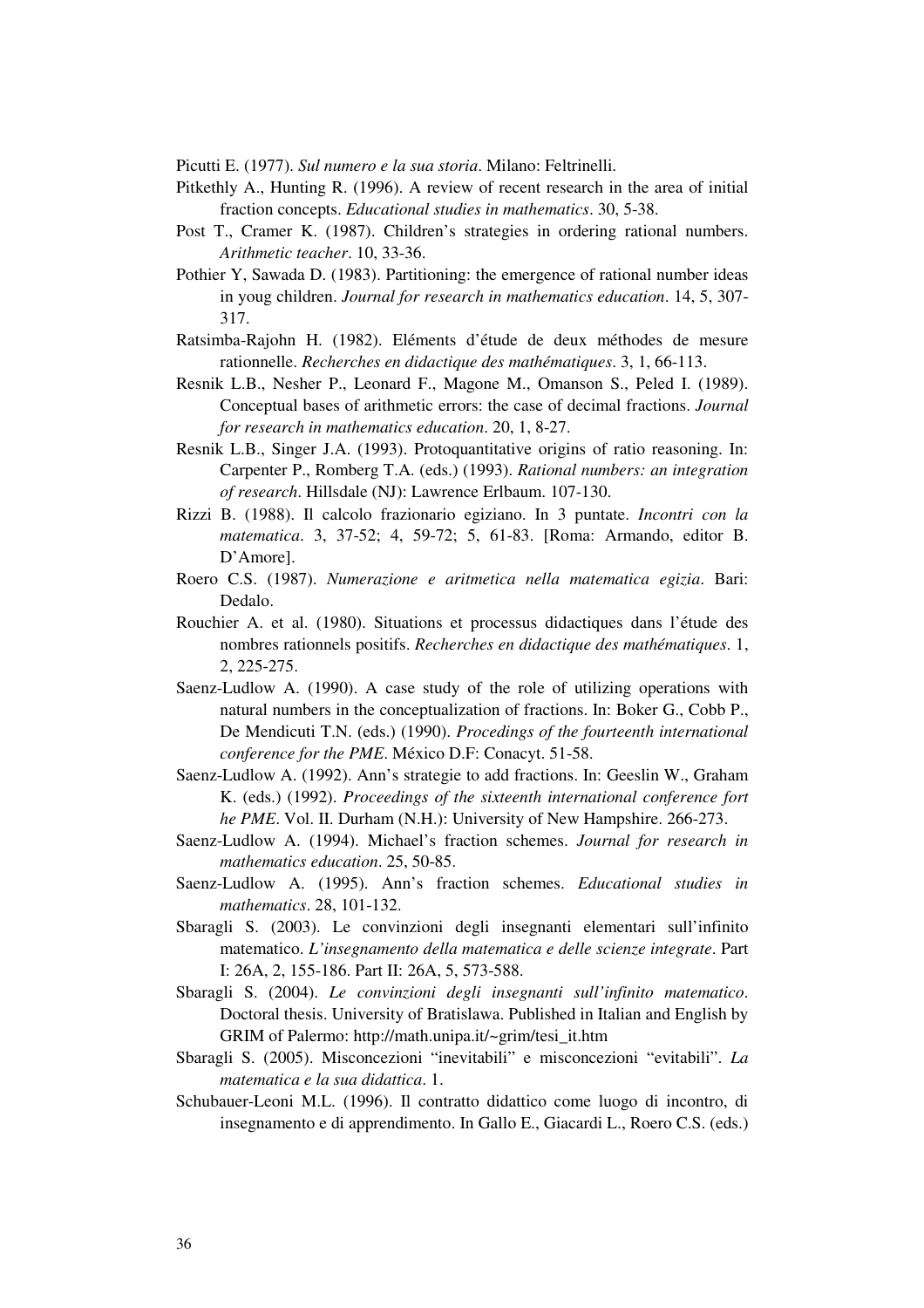Picutti E. (1977). *Sul numero e la sua storia*. Milano: Feltrinelli.

- Pitkethly A., Hunting R. (1996). A review of recent research in the area of initial fraction concepts. *Educational studies in mathematics*. 30, 5-38.
- Post T., Cramer K. (1987). Children's strategies in ordering rational numbers. *Arithmetic teacher*. 10, 33-36.
- Pothier Y, Sawada D. (1983). Partitioning: the emergence of rational number ideas in youg children. *Journal for research in mathematics education*. 14, 5, 307- 317.
- Ratsimba-Rajohn H. (1982). Eléments d'étude de deux méthodes de mesure rationnelle. *Recherches en didactique des mathématiques*. 3, 1, 66-113.
- Resnik L.B., Nesher P., Leonard F., Magone M., Omanson S., Peled I. (1989). Conceptual bases of arithmetic errors: the case of decimal fractions. *Journal for research in mathematics education*. 20, 1, 8-27.
- Resnik L.B., Singer J.A. (1993). Protoquantitative origins of ratio reasoning. In: Carpenter P., Romberg T.A. (eds.) (1993). *Rational numbers: an integration of research*. Hillsdale (NJ): Lawrence Erlbaum. 107-130.
- Rizzi B. (1988). Il calcolo frazionario egiziano. In 3 puntate. *Incontri con la matematica*. 3, 37-52; 4, 59-72; 5, 61-83. [Roma: Armando, editor B. D'Amore].
- Roero C.S. (1987). *Numerazione e aritmetica nella matematica egizia*. Bari: Dedalo.
- Rouchier A. et al. (1980). Situations et processus didactiques dans l'étude des nombres rationnels positifs. *Recherches en didactique des mathématiques*. 1, 2, 225-275.
- Saenz-Ludlow A. (1990). A case study of the role of utilizing operations with natural numbers in the conceptualization of fractions. In: Boker G., Cobb P., De Mendicuti T.N. (eds.) (1990). *Procedings of the fourteenth international conference for the PME*. México D.F: Conacyt. 51-58.
- Saenz-Ludlow A. (1992). Ann's strategie to add fractions. In: Geeslin W., Graham K. (eds.) (1992). *Proceedings of the sixteenth international conference fort he PME*. Vol. II. Durham (N.H.): University of New Hampshire. 266-273.
- Saenz-Ludlow A. (1994). Michael's fraction schemes. *Journal for research in mathematics education*. 25, 50-85.
- Saenz-Ludlow A. (1995). Ann's fraction schemes. *Educational studies in mathematics*. 28, 101-132.
- Sbaragli S. (2003). Le convinzioni degli insegnanti elementari sull'infinito matematico. *L'insegnamento della matematica e delle scienze integrate*. Part I: 26A, 2, 155-186. Part II: 26A, 5, 573-588.
- Sbaragli S. (2004). *Le convinzioni degli insegnanti sull'infinito matematico*. Doctoral thesis. University of Bratislawa. Published in Italian and English by GRIM of Palermo: http://math.unipa.it/~grim/tesi\_it.htm
- Sbaragli S. (2005). Misconcezioni "inevitabili" e misconcezioni "evitabili". *La matematica e la sua didattica*. 1.
- Schubauer-Leoni M.L. (1996). Il contratto didattico come luogo di incontro, di insegnamento e di apprendimento. In Gallo E., Giacardi L., Roero C.S. (eds.)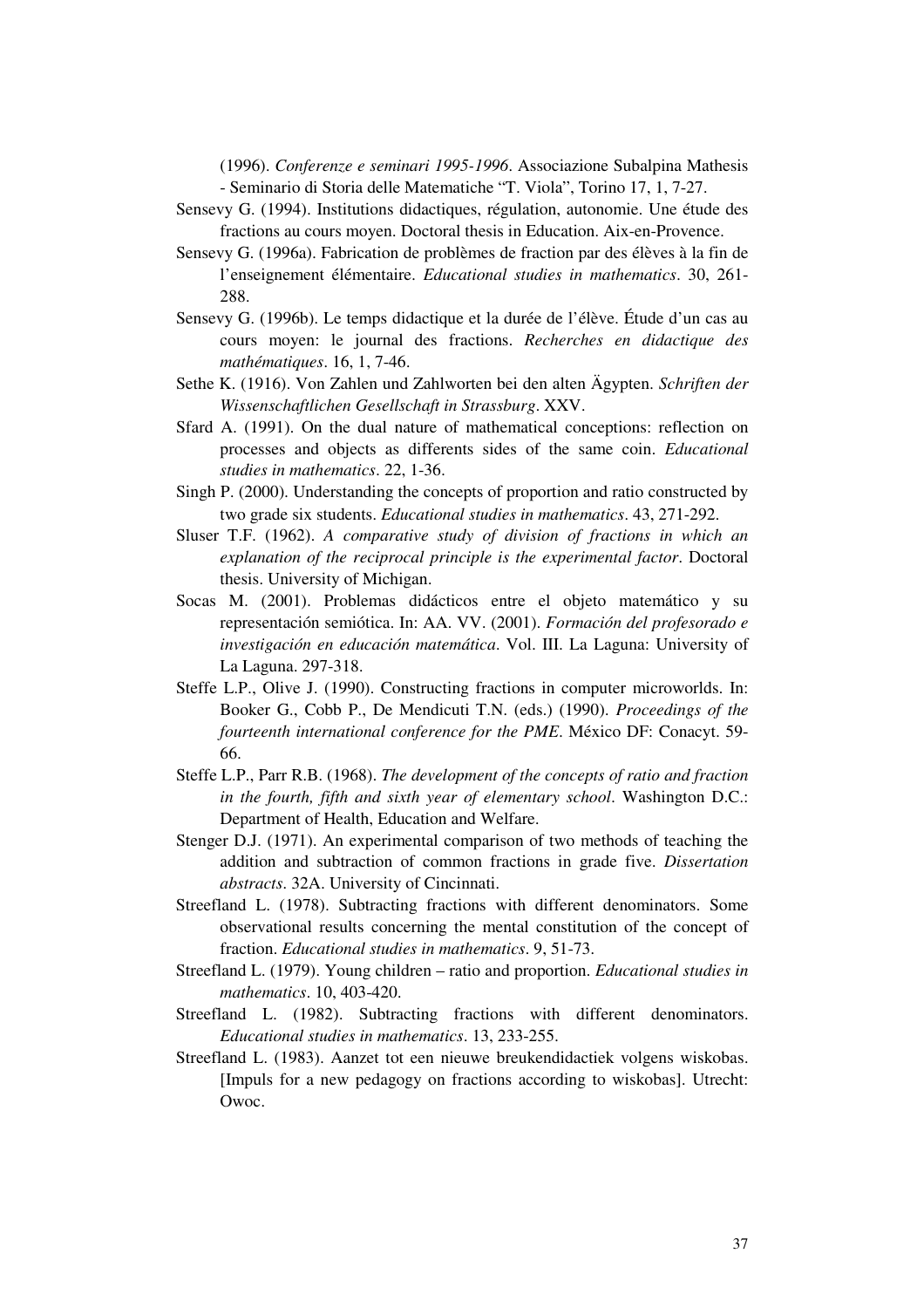(1996). *Conferenze e seminari 1995-1996*. Associazione Subalpina Mathesis - Seminario di Storia delle Matematiche "T. Viola", Torino 17, 1, 7-27.

- Sensevy G. (1994). Institutions didactiques, régulation, autonomie. Une étude des fractions au cours moyen. Doctoral thesis in Education. Aix-en-Provence.
- Sensevy G. (1996a). Fabrication de problèmes de fraction par des élèves à la fin de l'enseignement élémentaire. *Educational studies in mathematics*. 30, 261- 288.
- Sensevy G. (1996b). Le temps didactique et la durée de l'élève. Étude d'un cas au cours moyen: le journal des fractions. *Recherches en didactique des mathématiques*. 16, 1, 7-46.
- Sethe K. (1916). Von Zahlen und Zahlworten bei den alten Ägypten. *Schriften der Wissenschaftlichen Gesellschaft in Strassburg*. XXV.
- Sfard A. (1991). On the dual nature of mathematical conceptions: reflection on processes and objects as differents sides of the same coin. *Educational studies in mathematics*. 22, 1-36.
- Singh P. (2000). Understanding the concepts of proportion and ratio constructed by two grade six students. *Educational studies in mathematics*. 43, 271-292.
- Sluser T.F. (1962). *A comparative study of division of fractions in which an explanation of the reciprocal principle is the experimental factor*. Doctoral thesis. University of Michigan.
- Socas M. (2001). Problemas didácticos entre el objeto matemático y su representación semiótica. In: AA. VV. (2001). *Formación del profesorado e investigación en educación matemática*. Vol. III. La Laguna: University of La Laguna. 297-318.
- Steffe L.P., Olive J. (1990). Constructing fractions in computer microworlds. In: Booker G., Cobb P., De Mendicuti T.N. (eds.) (1990). *Proceedings of the fourteenth international conference for the PME*. México DF: Conacyt. 59- 66.
- Steffe L.P., Parr R.B. (1968). *The development of the concepts of ratio and fraction in the fourth, fifth and sixth year of elementary school*. Washington D.C.: Department of Health, Education and Welfare.
- Stenger D.J. (1971). An experimental comparison of two methods of teaching the addition and subtraction of common fractions in grade five. *Dissertation abstracts*. 32A. University of Cincinnati.
- Streefland L. (1978). Subtracting fractions with different denominators. Some observational results concerning the mental constitution of the concept of fraction. *Educational studies in mathematics*. 9, 51-73.
- Streefland L. (1979). Young children ratio and proportion. *Educational studies in mathematics*. 10, 403-420.
- Streefland L. (1982). Subtracting fractions with different denominators. *Educational studies in mathematics*. 13, 233-255.
- Streefland L. (1983). Aanzet tot een nieuwe breukendidactiek volgens wiskobas. [Impuls for a new pedagogy on fractions according to wiskobas]. Utrecht: Owoc.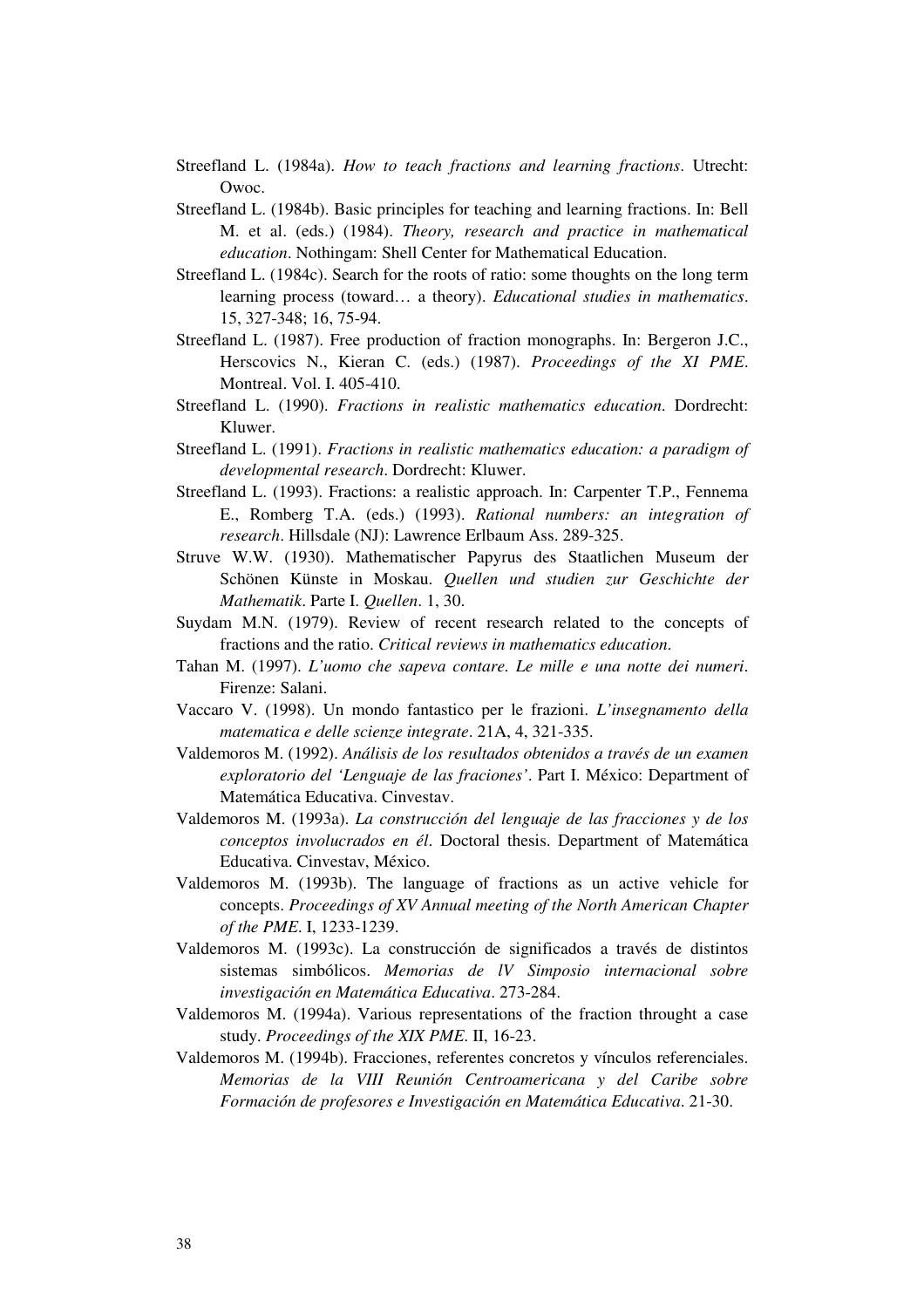Streefland L. (1984a). *How to teach fractions and learning fractions*. Utrecht: Owoc.

- Streefland L. (1984b). Basic principles for teaching and learning fractions. In: Bell M. et al. (eds.) (1984). *Theory, research and practice in mathematical education*. Nothingam: Shell Center for Mathematical Education.
- Streefland L. (1984c). Search for the roots of ratio: some thoughts on the long term learning process (toward… a theory). *Educational studies in mathematics*. 15, 327-348; 16, 75-94.
- Streefland L. (1987). Free production of fraction monographs. In: Bergeron J.C., Herscovics N., Kieran C. (eds.) (1987). *Proceedings of the XI PME*. Montreal. Vol. I. 405-410.
- Streefland L. (1990). *Fractions in realistic mathematics education*. Dordrecht: Kluwer.
- Streefland L. (1991). *Fractions in realistic mathematics education: a paradigm of developmental research*. Dordrecht: Kluwer.
- Streefland L. (1993). Fractions: a realistic approach. In: Carpenter T.P., Fennema E., Romberg T.A. (eds.) (1993). *Rational numbers: an integration of research*. Hillsdale (NJ): Lawrence Erlbaum Ass. 289-325.
- Struve W.W. (1930). Mathematischer Papyrus des Staatlichen Museum der Schönen Künste in Moskau. *Quellen und studien zur Geschichte der Mathematik*. Parte I. *Quellen*. 1, 30.
- Suydam M.N. (1979). Review of recent research related to the concepts of fractions and the ratio. *Critical reviews in mathematics education*.
- Tahan M. (1997). *L'uomo che sapeva contare. Le mille e una notte dei numeri*. Firenze: Salani.
- Vaccaro V. (1998). Un mondo fantastico per le frazioni. *L'insegnamento della matematica e delle scienze integrate*. 21A, 4, 321-335.
- Valdemoros M. (1992). *Análisis de los resultados obtenidos a través de un examen exploratorio del 'Lenguaje de las fraciones'*. Part I. México: Department of Matemática Educativa. Cinvestav.
- Valdemoros M. (1993a). *La construcción del lenguaje de las fracciones y de los conceptos involucrados en él*. Doctoral thesis. Department of Matemática Educativa. Cinvestav, México.
- Valdemoros M. (1993b). The language of fractions as un active vehicle for concepts. *Proceedings of XV Annual meeting of the North American Chapter of the PME*. I, 1233-1239.
- Valdemoros M. (1993c). La construcción de significados a través de distintos sistemas simbólicos. *Memorias de lV Simposio internacional sobre investigación en Matemática Educativa*. 273-284.
- Valdemoros M. (1994a). Various representations of the fraction throught a case study. *Proceedings of the XIX PME*. II, 16-23.
- Valdemoros M. (1994b). Fracciones, referentes concretos y vínculos referenciales. *Memorias de la VIII Reunión Centroamericana y del Caribe sobre Formación de profesores e Investigación en Matemática Educativa*. 21-30.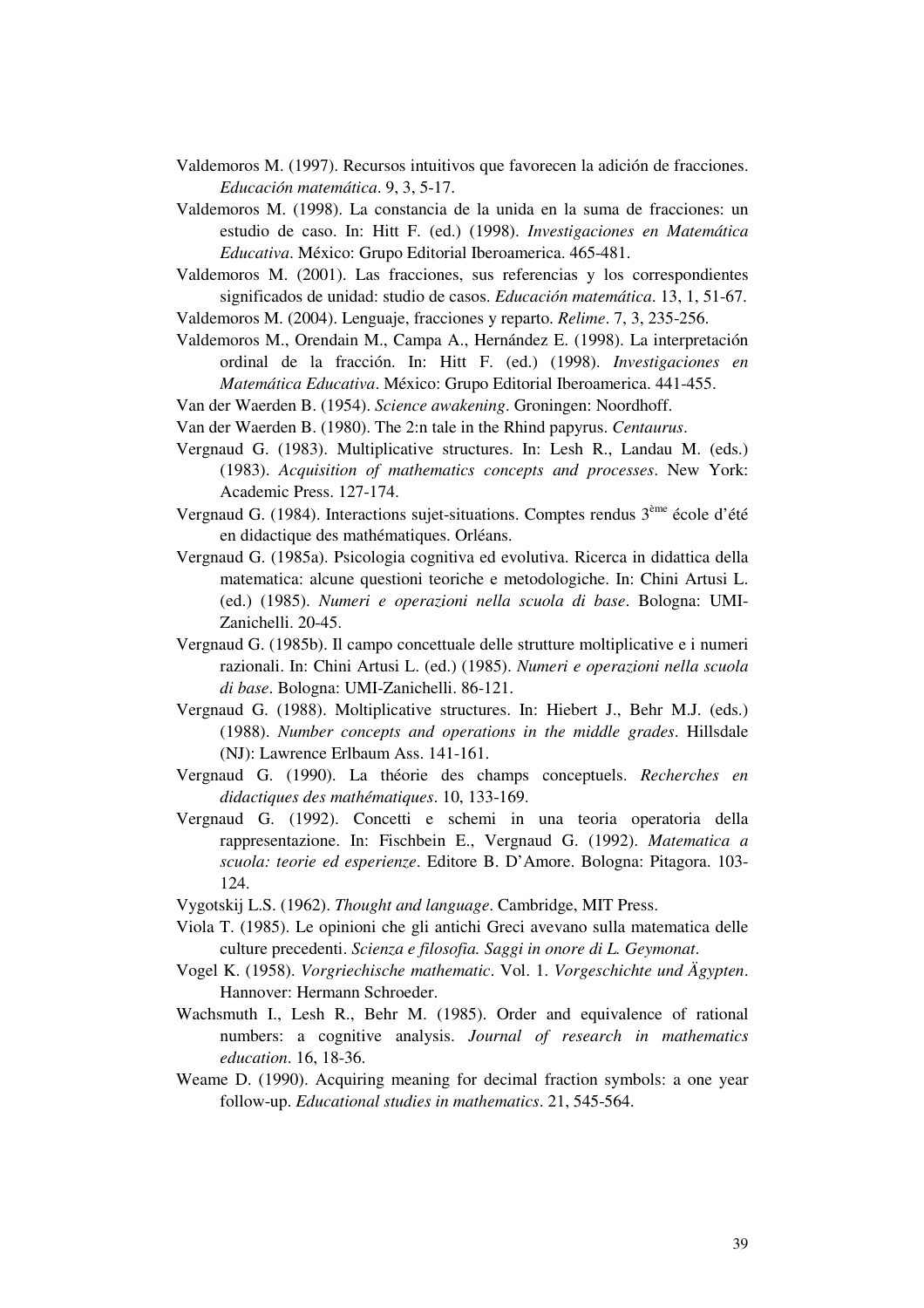- Valdemoros M. (1997). Recursos intuitivos que favorecen la adición de fracciones. *Educación matemática*. 9, 3, 5-17.
- Valdemoros M. (1998). La constancia de la unida en la suma de fracciones: un estudio de caso. In: Hitt F. (ed.) (1998). *Investigaciones en Matemática Educativa*. México: Grupo Editorial Iberoamerica. 465-481.
- Valdemoros M. (2001). Las fracciones, sus referencias y los correspondientes significados de unidad: studio de casos. *Educación matemática*. 13, 1, 51-67.
- Valdemoros M. (2004). Lenguaje, fracciones y reparto. *Relime*. 7, 3, 235-256.
- Valdemoros M., Orendain M., Campa A., Hernández E. (1998). La interpretación ordinal de la fracción. In: Hitt F. (ed.) (1998). *Investigaciones en Matemática Educativa*. México: Grupo Editorial Iberoamerica. 441-455.
- Van der Waerden B. (1954). *Science awakening*. Groningen: Noordhoff.
- Van der Waerden B. (1980). The 2:n tale in the Rhind papyrus. *Centaurus*.
- Vergnaud G. (1983). Multiplicative structures. In: Lesh R., Landau M. (eds.) (1983). *Acquisition of mathematics concepts and processes*. New York: Academic Press. 127-174.
- Vergnaud G. (1984). Interactions sujet-situations. Comptes rendus 3<sup>ème</sup> école d'été en didactique des mathématiques. Orléans.
- Vergnaud G. (1985a). Psicologia cognitiva ed evolutiva. Ricerca in didattica della matematica: alcune questioni teoriche e metodologiche. In: Chini Artusi L. (ed.) (1985). *Numeri e operazioni nella scuola di base*. Bologna: UMI-Zanichelli. 20-45.
- Vergnaud G. (1985b). Il campo concettuale delle strutture moltiplicative e i numeri razionali. In: Chini Artusi L. (ed.) (1985). *Numeri e operazioni nella scuola di base*. Bologna: UMI-Zanichelli. 86-121.
- Vergnaud G. (1988). Moltiplicative structures. In: Hiebert J., Behr M.J. (eds.) (1988). *Number concepts and operations in the middle grades*. Hillsdale (NJ): Lawrence Erlbaum Ass. 141-161.
- Vergnaud G. (1990). La théorie des champs conceptuels. *Recherches en didactiques des mathématiques*. 10, 133-169.
- Vergnaud G. (1992). Concetti e schemi in una teoria operatoria della rappresentazione. In: Fischbein E., Vergnaud G. (1992). *Matematica a scuola: teorie ed esperienze*. Editore B. D'Amore. Bologna: Pitagora. 103- 124.
- Vygotskij L.S. (1962). *Thought and language*. Cambridge, MIT Press.
- Viola T. (1985). Le opinioni che gli antichi Greci avevano sulla matematica delle culture precedenti. *Scienza e filosofia. Saggi in onore di L. Geymonat*.
- Vogel K. (1958). *Vorgriechische mathematic*. Vol. 1. *Vorgeschichte und Ägypten*. Hannover: Hermann Schroeder.
- Wachsmuth I., Lesh R., Behr M. (1985). Order and equivalence of rational numbers: a cognitive analysis. *Journal of research in mathematics education*. 16, 18-36.
- Weame D. (1990). Acquiring meaning for decimal fraction symbols: a one year follow-up. *Educational studies in mathematics*. 21, 545-564.